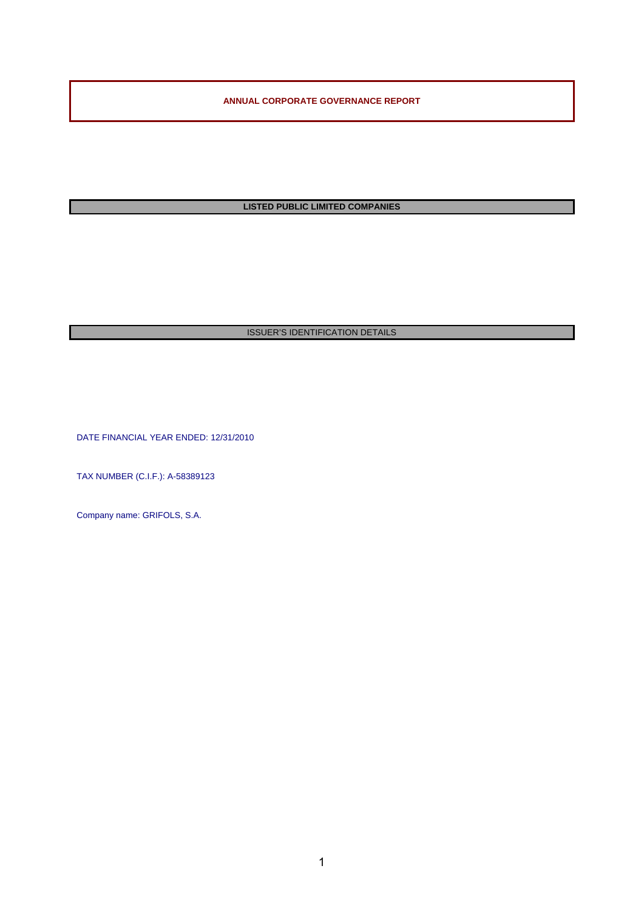**ANNUAL CORPORATE GOVERNANCE REPORT** 

**LISTED PUBLIC LIMITED COMPANIES** 

## **ISSUER'S IDENTIFICATION DETAILS**

DATE FINANCIAL YEAR ENDED: 12/31/2010

TAX NUMBER (C.I.F.): A-58389123

Company name: GRIFOLS, S.A.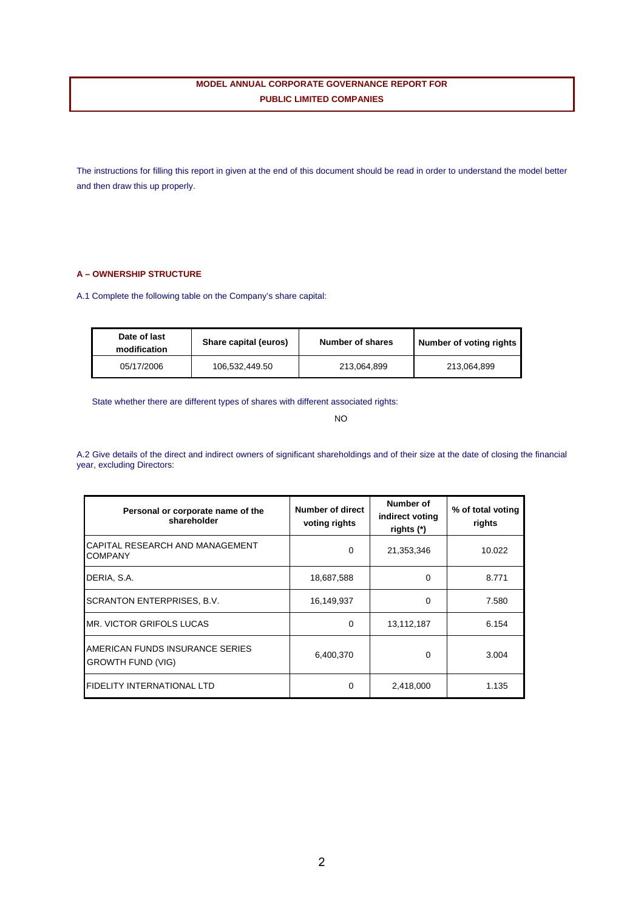## **MODEL ANNUAL CORPORATE GOVERNANCE REPORT FOR PUBLIC LIMITED COMPANIES**

The instructions for filling this report in given at the end of this document should be read in order to understand the model better and then draw this up properly.

## **A – OWNERSHIP STRUCTURE**

A.1 Complete the following table on the Company's share capital:

| Date of last<br>modification | Share capital (euros) | Number of shares | Number of voting rights |
|------------------------------|-----------------------|------------------|-------------------------|
| 05/17/2006                   | 106,532,449.50        | 213.064.899      | 213.064.899             |

State whether there are different types of shares with different associated rights:

NO

A.2 Give details of the direct and indirect owners of significant shareholdings and of their size at the date of closing the financial year, excluding Directors:

| Personal or corporate name of the<br>shareholder            | <b>Number of direct</b><br>voting rights | Number of<br>indirect voting<br>rights (*) | % of total voting<br>rights |
|-------------------------------------------------------------|------------------------------------------|--------------------------------------------|-----------------------------|
| CAPITAL RESEARCH AND MANAGEMENT<br><b>COMPANY</b>           | $\Omega$                                 | 21,353,346                                 | 10.022                      |
| DERIA, S.A.                                                 | 18,687,588                               | 0                                          | 8.771                       |
| <b>SCRANTON ENTERPRISES, B.V.</b>                           | 16,149,937                               | 0                                          | 7.580                       |
| MR. VICTOR GRIFOLS LUCAS                                    | 0                                        | 13,112,187                                 | 6.154                       |
| AMERICAN FUNDS INSURANCE SERIES<br><b>GROWTH FUND (VIG)</b> | 6,400,370                                | 0                                          | 3.004                       |
| <b>FIDELITY INTERNATIONAL LTD</b>                           | $\Omega$                                 | 2,418,000                                  | 1.135                       |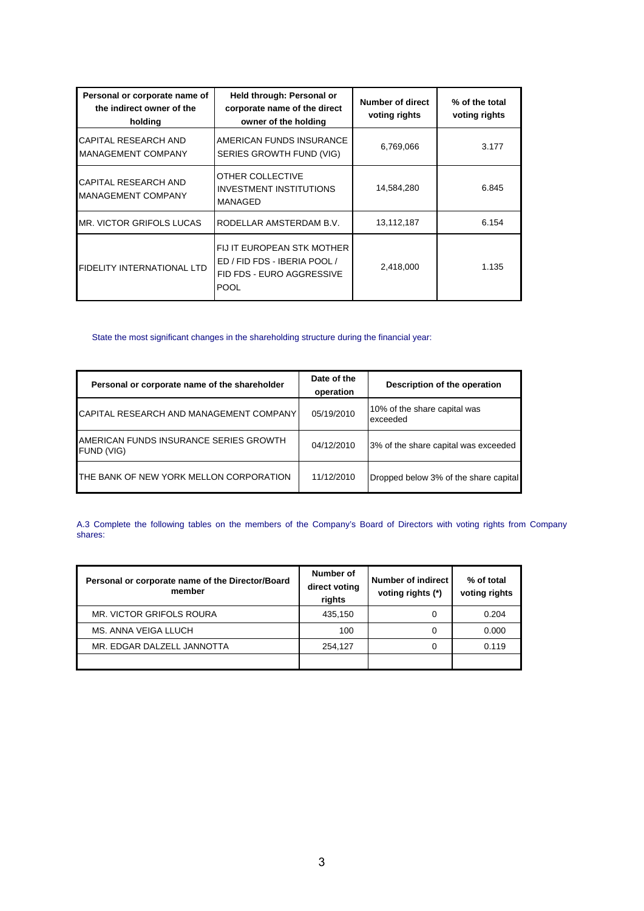| Personal or corporate name of<br>the indirect owner of the<br>holding | Held through: Personal or<br>corporate name of the direct<br>owner of the holding                      | <b>Number of direct</b><br>voting rights | % of the total<br>voting rights |
|-----------------------------------------------------------------------|--------------------------------------------------------------------------------------------------------|------------------------------------------|---------------------------------|
| CAPITAL RESEARCH AND<br><b>MANAGEMENT COMPANY</b>                     | AMERICAN FUNDS INSURANCE<br>SERIES GROWTH FUND (VIG)                                                   | 6,769,066                                | 3.177                           |
| CAPITAL RESEARCH AND<br>MANAGEMENT COMPANY                            | OTHER COLLECTIVE<br><b>INVESTMENT INSTITUTIONS</b><br>MANAGED                                          | 14,584,280                               | 6.845                           |
| IMR. VICTOR GRIFOLS LUCAS                                             | RODELLAR AMSTERDAM B.V.                                                                                | 13,112,187                               | 6.154                           |
| <b>FIDELITY INTERNATIONAL LTD</b>                                     | FIJ IT EUROPEAN STK MOTHER<br>ED / FID FDS - IBERIA POOL /<br>FID FDS - EURO AGGRESSIVE<br><b>POOL</b> | 2,418,000                                | 1.135                           |

## State the most significant changes in the shareholding structure during the financial year:

| Personal or corporate name of the shareholder        | Date of the<br>operation | Description of the operation             |
|------------------------------------------------------|--------------------------|------------------------------------------|
| CAPITAL RESEARCH AND MANAGEMENT COMPANY              | 05/19/2010               | 10% of the share capital was<br>exceeded |
| AMERICAN FUNDS INSURANCE SERIES GROWTH<br>FUND (VIG) | 04/12/2010               | 3% of the share capital was exceeded     |
| THE BANK OF NEW YORK MELLON CORPORATION              | 11/12/2010               | Dropped below 3% of the share capital    |

A.3 Complete the following tables on the members of the Company's Board of Directors with voting rights from Company shares:

| Personal or corporate name of the Director/Board<br>member | Number of<br>direct voting<br>rights | Number of indirect<br>voting rights (*) | % of total<br>voting rights |
|------------------------------------------------------------|--------------------------------------|-----------------------------------------|-----------------------------|
| MR. VICTOR GRIFOLS ROURA                                   | 435,150                              | 0                                       | 0.204                       |
| MS. ANNA VEIGA LLUCH                                       | 100                                  | 0                                       | 0.000                       |
| MR. EDGAR DALZELL JANNOTTA                                 | 254.127                              | 0                                       | 0.119                       |
|                                                            |                                      |                                         |                             |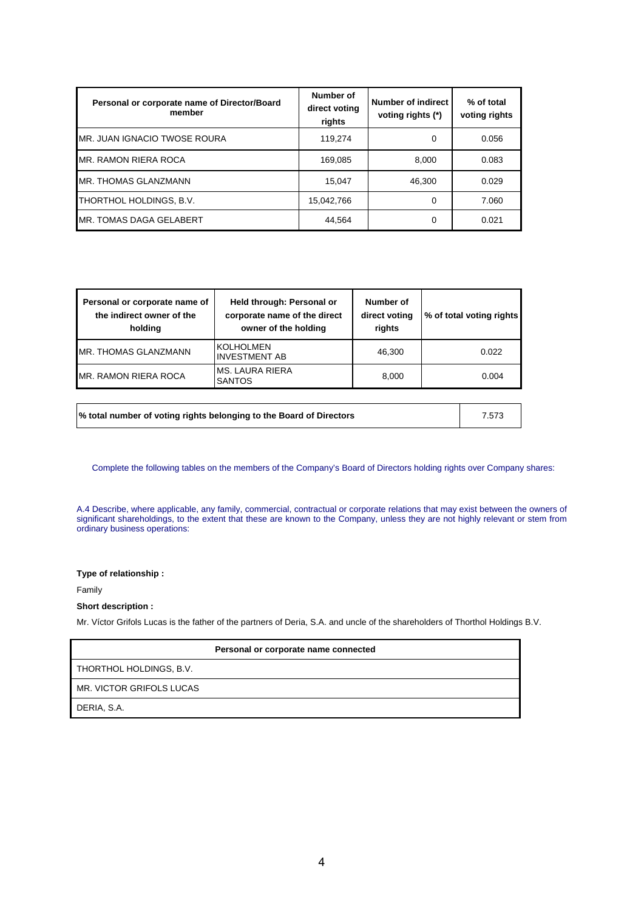| Personal or corporate name of Director/Board<br>member | Number of<br>direct voting<br>rights | Number of indirect<br>voting rights (*) | % of total<br>voting rights |
|--------------------------------------------------------|--------------------------------------|-----------------------------------------|-----------------------------|
| MR. JUAN IGNACIO TWOSE ROURA                           | 119.274                              | 0                                       | 0.056                       |
| MR. RAMON RIERA ROCA                                   | 169.085                              | 8.000                                   | 0.083                       |
| MR. THOMAS GLANZMANN                                   | 15.047                               | 46.300                                  | 0.029                       |
| THORTHOL HOLDINGS, B.V.                                | 15,042,766                           | 0                                       | 7.060                       |
| <b>IMR. TOMAS DAGA GELABERT</b>                        | 44.564                               | 0                                       | 0.021                       |

| Personal or corporate name of<br>the indirect owner of the<br>holding | Held through: Personal or<br>corporate name of the direct<br>owner of the holding | Number of<br>direct voting<br>rights | % of total voting rights |
|-----------------------------------------------------------------------|-----------------------------------------------------------------------------------|--------------------------------------|--------------------------|
| <b>IMR. THOMAS GLANZMANN</b>                                          | <b>KOLHOLMEN</b><br><b>INVESTMENT AB</b>                                          | 46.300                               | 0.022                    |
| <b>IMR. RAMON RIERA ROCA</b>                                          | <b>IMS. LAURA RIERA</b><br><b>SANTOS</b>                                          | 8.000                                | 0.004                    |

**% total number of voting rights belonging to the Board of Directors** 7.573

Complete the following tables on the members of the Company's Board of Directors holding rights over Company shares:

A.4 Describe, where applicable, any family, commercial, contractual or corporate relations that may exist between the owners of significant shareholdings, to the extent that these are known to the Company, unless they are not highly relevant or stem from ordinary business operations:

**Type of relationship :** 

Family

## **Short description :**

Mr. Víctor Grifols Lucas is the father of the partners of Deria, S.A. and uncle of the shareholders of Thorthol Holdings B.V.

|                          | Personal or corporate name connected |
|--------------------------|--------------------------------------|
| THORTHOL HOLDINGS, B.V.  |                                      |
| MR. VICTOR GRIFOLS LUCAS |                                      |
| DERIA, S.A.              |                                      |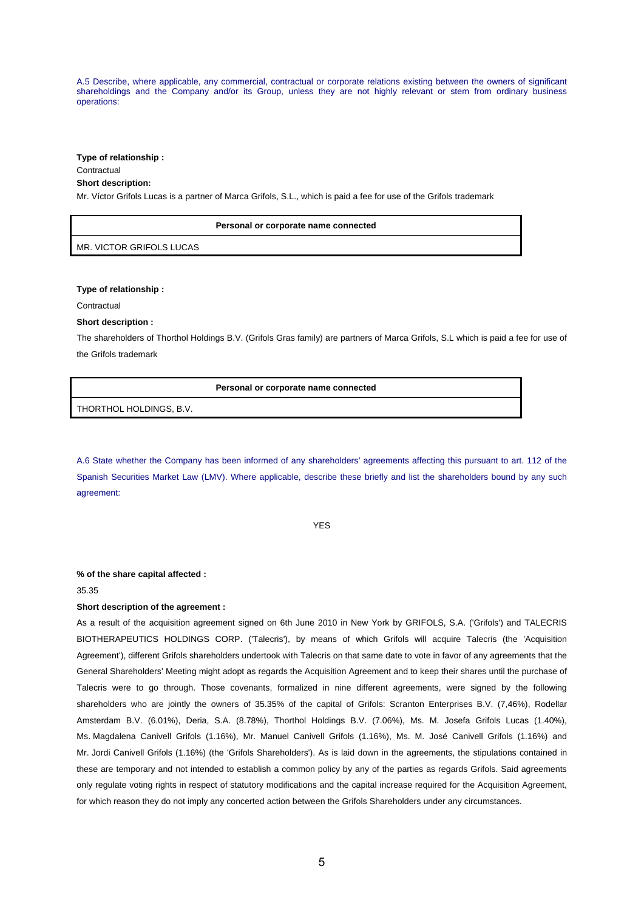A.5 Describe, where applicable, any commercial, contractual or corporate relations existing between the owners of significant shareholdings and the Company and/or its Group, unless they are not highly relevant or stem from ordinary business operations:

**Type of relationship :** 

## **Contractual**

## **Short description:**

Mr. Víctor Grifols Lucas is a partner of Marca Grifols, S.L., which is paid a fee for use of the Grifols trademark

|                          | Personal or corporate name connected |
|--------------------------|--------------------------------------|
| MR. VICTOR GRIFOLS LUCAS |                                      |

**Type of relationship :** 

**Contractual** 

#### **Short description :**

The shareholders of Thorthol Holdings B.V. (Grifols Gras family) are partners of Marca Grifols, S.L which is paid a fee for use of the Grifols trademark

**Personal or corporate name connected** 

THORTHOL HOLDINGS, B.V.

A.6 State whether the Company has been informed of any shareholders' agreements affecting this pursuant to art. 112 of the Spanish Securities Market Law (LMV). Where applicable, describe these briefly and list the shareholders bound by any such agreement:

YES

## **% of the share capital affected :**

## 35.35

#### **Short description of the agreement :**

As a result of the acquisition agreement signed on 6th June 2010 in New York by GRIFOLS, S.A. ('Grifols') and TALECRIS BIOTHERAPEUTICS HOLDINGS CORP. ('Talecris'), by means of which Grifols will acquire Talecris (the 'Acquisition Agreement'), different Grifols shareholders undertook with Talecris on that same date to vote in favor of any agreements that the General Shareholders' Meeting might adopt as regards the Acquisition Agreement and to keep their shares until the purchase of Talecris were to go through. Those covenants, formalized in nine different agreements, were signed by the following shareholders who are jointly the owners of 35.35% of the capital of Grifols: Scranton Enterprises B.V. (7,46%), Rodellar Amsterdam B.V. (6.01%), Deria, S.A. (8.78%), Thorthol Holdings B.V. (7.06%), Ms. M. Josefa Grifols Lucas (1.40%), Ms. Magdalena Canivell Grifols (1.16%), Mr. Manuel Canivell Grifols (1.16%), Ms. M. José Canivell Grifols (1.16%) and Mr. Jordi Canivell Grifols (1.16%) (the 'Grifols Shareholders'). As is laid down in the agreements, the stipulations contained in these are temporary and not intended to establish a common policy by any of the parties as regards Grifols. Said agreements only regulate voting rights in respect of statutory modifications and the capital increase required for the Acquisition Agreement, for which reason they do not imply any concerted action between the Grifols Shareholders under any circumstances.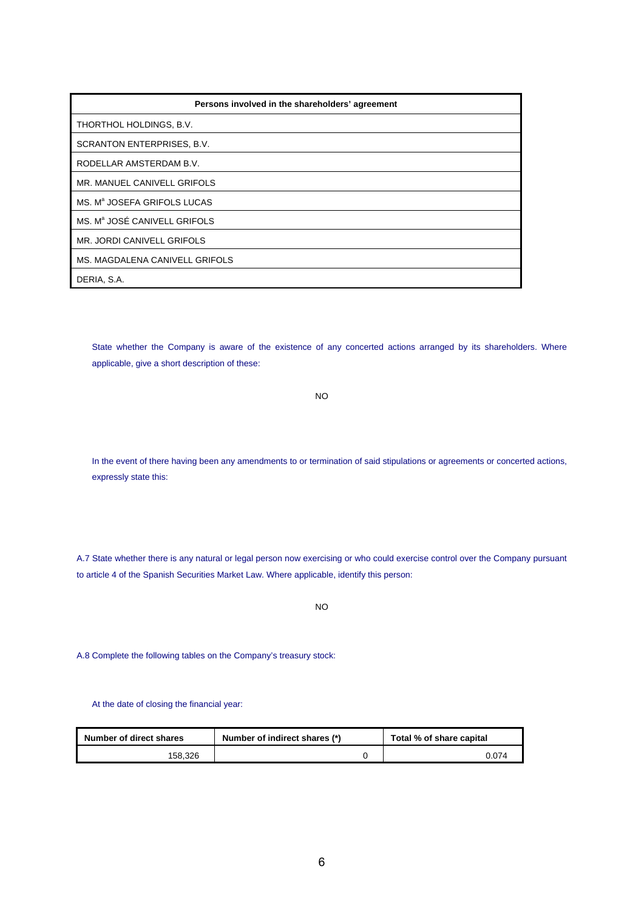| Persons involved in the shareholders' agreement |
|-------------------------------------------------|
| THORTHOL HOLDINGS, B.V.                         |
| SCRANTON ENTERPRISES, B.V.                      |
| RODELLAR AMSTERDAM B.V.                         |
| MR. MANUEL CANIVELL GRIFOLS                     |
| MS. M <sup>a</sup> JOSEFA GRIFOLS LUCAS         |
| MS. M <sup>a</sup> JOSÉ CANIVELL GRIFOLS        |
| MR. JORDI CANIVELL GRIFOLS                      |
| MS. MAGDALENA CANIVELL GRIFOLS                  |
| DERIA, S.A.                                     |

State whether the Company is aware of the existence of any concerted actions arranged by its shareholders. Where applicable, give a short description of these:

NO

In the event of there having been any amendments to or termination of said stipulations or agreements or concerted actions, expressly state this:

A.7 State whether there is any natural or legal person now exercising or who could exercise control over the Company pursuant to article 4 of the Spanish Securities Market Law. Where applicable, identify this person:

NO

A.8 Complete the following tables on the Company's treasury stock:

At the date of closing the financial year:

| Number of direct shares | Number of indirect shares (*) | Total % of share capital |  |
|-------------------------|-------------------------------|--------------------------|--|
| 158.326                 |                               | 0.074                    |  |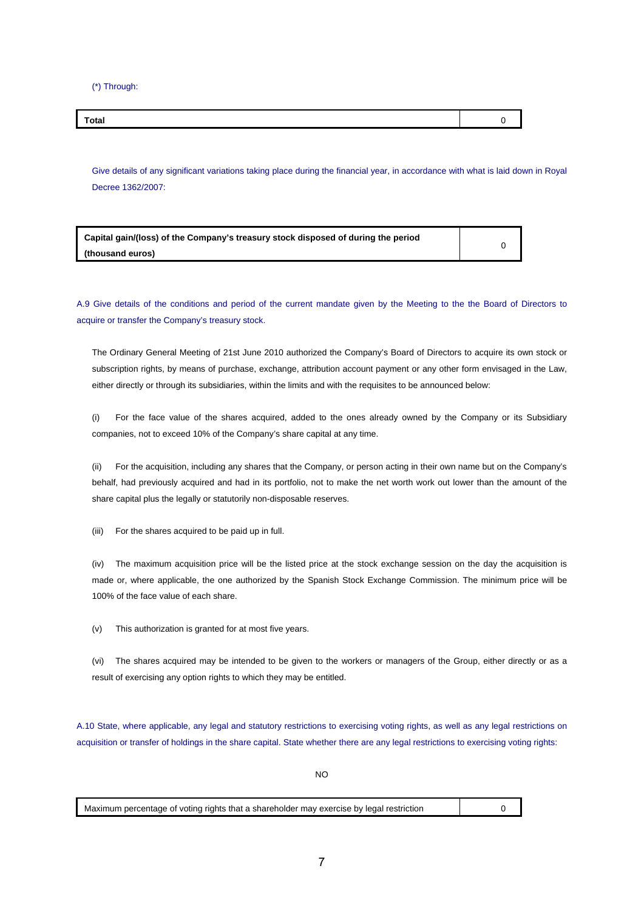(\*) Through:

| Total |  |
|-------|--|

Give details of any significant variations taking place during the financial year, in accordance with what is laid down in Royal Decree 1362/2007:

| Capital gain/(loss) of the Company's treasury stock disposed of during the period |  |
|-----------------------------------------------------------------------------------|--|
| (thousand euros)                                                                  |  |

A.9 Give details of the conditions and period of the current mandate given by the Meeting to the the Board of Directors to acquire or transfer the Company's treasury stock.

The Ordinary General Meeting of 21st June 2010 authorized the Company's Board of Directors to acquire its own stock or subscription rights, by means of purchase, exchange, attribution account payment or any other form envisaged in the Law, either directly or through its subsidiaries, within the limits and with the requisites to be announced below:

(i) For the face value of the shares acquired, added to the ones already owned by the Company or its Subsidiary companies, not to exceed 10% of the Company's share capital at any time.

(ii) For the acquisition, including any shares that the Company, or person acting in their own name but on the Company's behalf, had previously acquired and had in its portfolio, not to make the net worth work out lower than the amount of the share capital plus the legally or statutorily non-disposable reserves.

(iii) For the shares acquired to be paid up in full.

(iv) The maximum acquisition price will be the listed price at the stock exchange session on the day the acquisition is made or, where applicable, the one authorized by the Spanish Stock Exchange Commission. The minimum price will be 100% of the face value of each share.

(v) This authorization is granted for at most five years.

(vi) The shares acquired may be intended to be given to the workers or managers of the Group, either directly or as a result of exercising any option rights to which they may be entitled.

A.10 State, where applicable, any legal and statutory restrictions to exercising voting rights, as well as any legal restrictions on acquisition or transfer of holdings in the share capital. State whether there are any legal restrictions to exercising voting rights:

NO

Maximum percentage of voting rights that a shareholder may exercise by legal restriction  $\vert$  0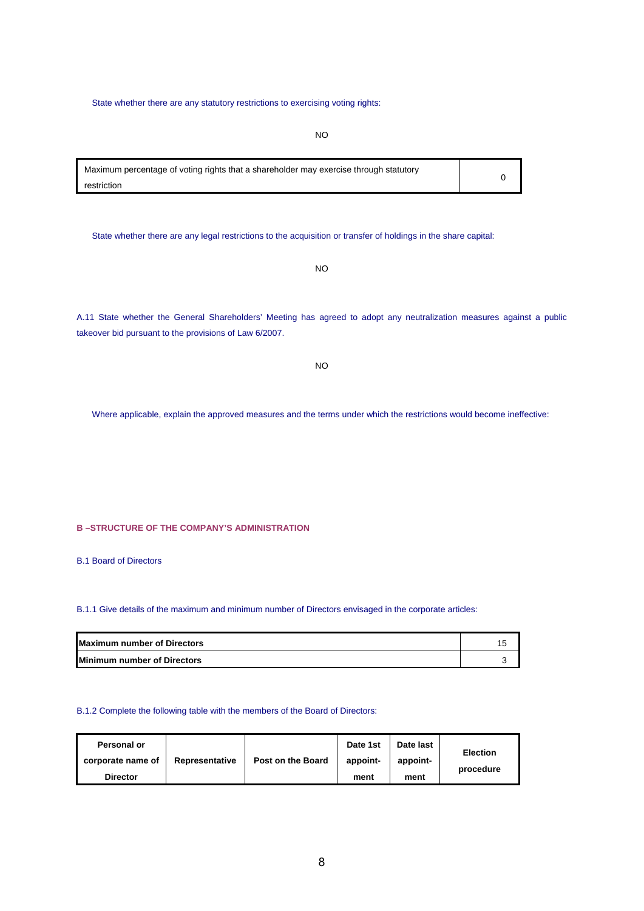State whether there are any statutory restrictions to exercising voting rights:

NO

Maximum percentage of voting rights that a shareholder may exercise through statutory restriction 0

State whether there are any legal restrictions to the acquisition or transfer of holdings in the share capital:

NO

A.11 State whether the General Shareholders' Meeting has agreed to adopt any neutralization measures against a public takeover bid pursuant to the provisions of Law 6/2007.

| I<br>۰.<br>v |  |  |
|--------------|--|--|
|--------------|--|--|

Where applicable, explain the approved measures and the terms under which the restrictions would become ineffective:

**B –STRUCTURE OF THE COMPANY'S ADMINISTRATION** 

B.1 Board of Directors

## B.1.1 Give details of the maximum and minimum number of Directors envisaged in the corporate articles:

| <b>Maximum number of Directors</b> |  |
|------------------------------------|--|
| <b>Minimum number of Directors</b> |  |

### B.1.2 Complete the following table with the members of the Board of Directors:

| Personal or       |                | Post on the Board | Date 1st | Date last | <b>Election</b> |
|-------------------|----------------|-------------------|----------|-----------|-----------------|
| corporate name of | Representative |                   | appoint- | appoint-  | procedure       |
| <b>Director</b>   |                |                   | ment     | ment      |                 |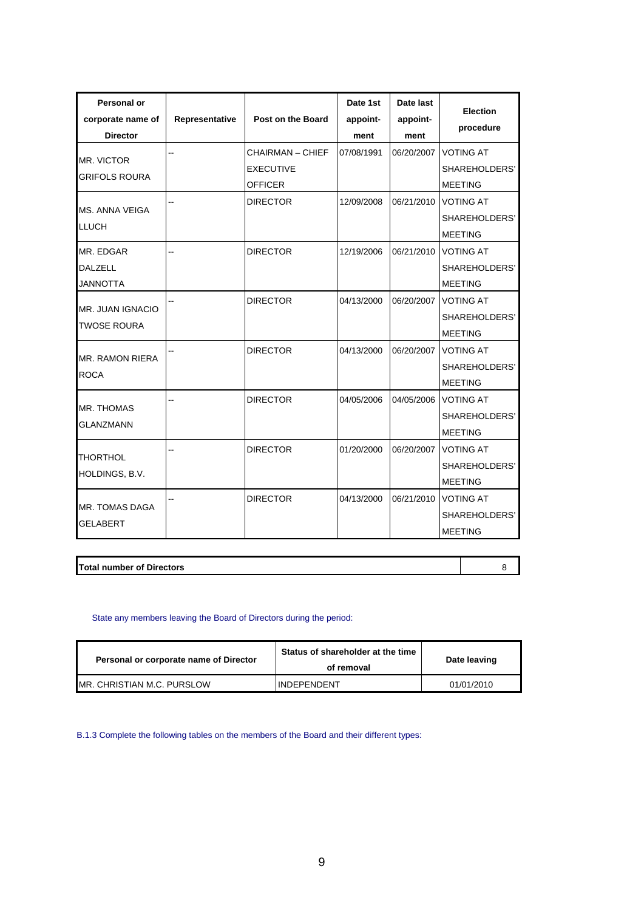| Personal or<br>corporate name of<br><b>Director</b> | Representative | Post on the Board                                      | Date 1st<br>appoint-<br>ment | Date last<br>appoint-<br>ment | <b>Election</b><br>procedure                        |
|-----------------------------------------------------|----------------|--------------------------------------------------------|------------------------------|-------------------------------|-----------------------------------------------------|
| <b>MR. VICTOR</b><br><b>GRIFOLS ROURA</b>           |                | CHAIRMAN – CHIEF<br><b>EXECUTIVE</b><br><b>OFFICER</b> | 07/08/1991                   | 06/20/2007                    | <b>VOTING AT</b><br>SHAREHOLDERS'<br><b>MEETING</b> |
| MS. ANNA VEIGA<br><b>LLUCH</b>                      |                | <b>DIRECTOR</b>                                        | 12/09/2008                   | 06/21/2010                    | <b>VOTING AT</b><br>SHAREHOLDERS'<br><b>MEETING</b> |
| MR. EDGAR<br><b>DALZELL</b><br><b>JANNOTTA</b>      |                | <b>DIRECTOR</b>                                        | 12/19/2006                   | 06/21/2010                    | <b>VOTING AT</b><br>SHAREHOLDERS'<br><b>MEETING</b> |
| MR. JUAN IGNACIO<br><b>TWOSE ROURA</b>              |                | <b>DIRECTOR</b>                                        | 04/13/2000                   | 06/20/2007                    | <b>VOTING AT</b><br>SHAREHOLDERS'<br><b>MEETING</b> |
| <b>MR. RAMON RIERA</b><br><b>ROCA</b>               |                | <b>DIRECTOR</b>                                        | 04/13/2000                   | 06/20/2007                    | <b>VOTING AT</b><br>SHAREHOLDERS'<br><b>MEETING</b> |
| <b>MR. THOMAS</b><br><b>GLANZMANN</b>               |                | <b>DIRECTOR</b>                                        | 04/05/2006                   | 04/05/2006                    | <b>VOTING AT</b><br>SHAREHOLDERS'<br><b>MEETING</b> |
| <b>THORTHOL</b><br>HOLDINGS, B.V.                   |                | <b>DIRECTOR</b>                                        | 01/20/2000                   | 06/20/2007                    | <b>VOTING AT</b><br>SHAREHOLDERS'<br><b>MEETING</b> |
| MR. TOMAS DAGA<br><b>GELABERT</b>                   |                | <b>DIRECTOR</b>                                        | 04/13/2000                   | 06/21/2010                    | <b>VOTING AT</b><br>SHAREHOLDERS'<br><b>MEETING</b> |

**Total number of Directors 8** 

## State any members leaving the Board of Directors during the period:

| Personal or corporate name of Director | Status of shareholder at the time<br>of removal | Date leaving |
|----------------------------------------|-------------------------------------------------|--------------|
| IMR. CHRISTIAN M.C. PURSLOW            | IINDEPENDENT                                    | 01/01/2010   |

B.1.3 Complete the following tables on the members of the Board and their different types: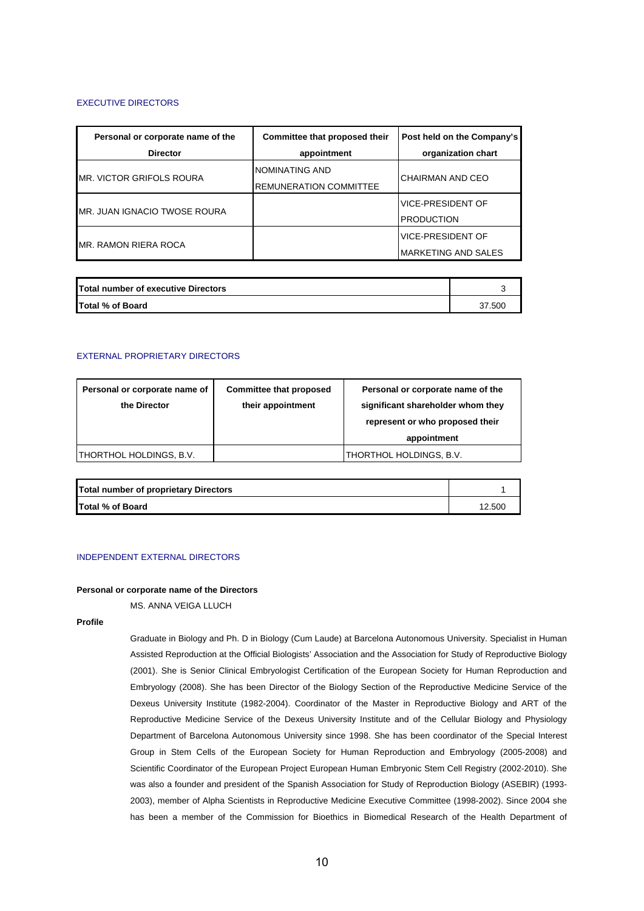## EXECUTIVE DIRECTORS

| Personal or corporate name of the | Committee that proposed their | Post held on the Company's |
|-----------------------------------|-------------------------------|----------------------------|
| <b>Director</b>                   | appointment                   | organization chart         |
|                                   | NOMINATING AND                |                            |
| IMR. VICTOR GRIFOLS ROURA         | <b>REMUNERATION COMMITTEE</b> | CHAIRMAN AND CEO           |
|                                   |                               | <b>VICE-PRESIDENT OF</b>   |
| IMR. JUAN IGNACIO TWOSE ROURA     |                               | <b>PRODUCTION</b>          |
|                                   |                               | <b>VICE-PRESIDENT OF</b>   |
| IMR. RAMON RIERA ROCA             |                               | <b>MARKETING AND SALES</b> |

| <b>Total number of executive Directors</b> |        |
|--------------------------------------------|--------|
| <b>Total % of Board</b>                    | 37.500 |

## EXTERNAL PROPRIETARY DIRECTORS

| Personal or corporate name of | Committee that proposed | Personal or corporate name of the |
|-------------------------------|-------------------------|-----------------------------------|
| the Director                  | their appointment       | significant shareholder whom they |
|                               |                         | represent or who proposed their   |
|                               |                         | appointment                       |
| THORTHOL HOLDINGS, B.V.       |                         | THORTHOL HOLDINGS, B.V.           |
|                               |                         |                                   |

| Total number of proprietary Directors |        |
|---------------------------------------|--------|
| Total % of Board                      | 12.500 |

## INDEPENDENT EXTERNAL DIRECTORS

## **Personal or corporate name of the Directors**

MS. ANNA VEIGA LLUCH

**Profile** 

Graduate in Biology and Ph. D in Biology (Cum Laude) at Barcelona Autonomous University. Specialist in Human Assisted Reproduction at the Official Biologists' Association and the Association for Study of Reproductive Biology (2001). She is Senior Clinical Embryologist Certification of the European Society for Human Reproduction and Embryology (2008). She has been Director of the Biology Section of the Reproductive Medicine Service of the Dexeus University Institute (1982-2004). Coordinator of the Master in Reproductive Biology and ART of the Reproductive Medicine Service of the Dexeus University Institute and of the Cellular Biology and Physiology Department of Barcelona Autonomous University since 1998. She has been coordinator of the Special Interest Group in Stem Cells of the European Society for Human Reproduction and Embryology (2005-2008) and Scientific Coordinator of the European Project European Human Embryonic Stem Cell Registry (2002-2010). She was also a founder and president of the Spanish Association for Study of Reproduction Biology (ASEBIR) (1993- 2003), member of Alpha Scientists in Reproductive Medicine Executive Committee (1998-2002). Since 2004 she has been a member of the Commission for Bioethics in Biomedical Research of the Health Department of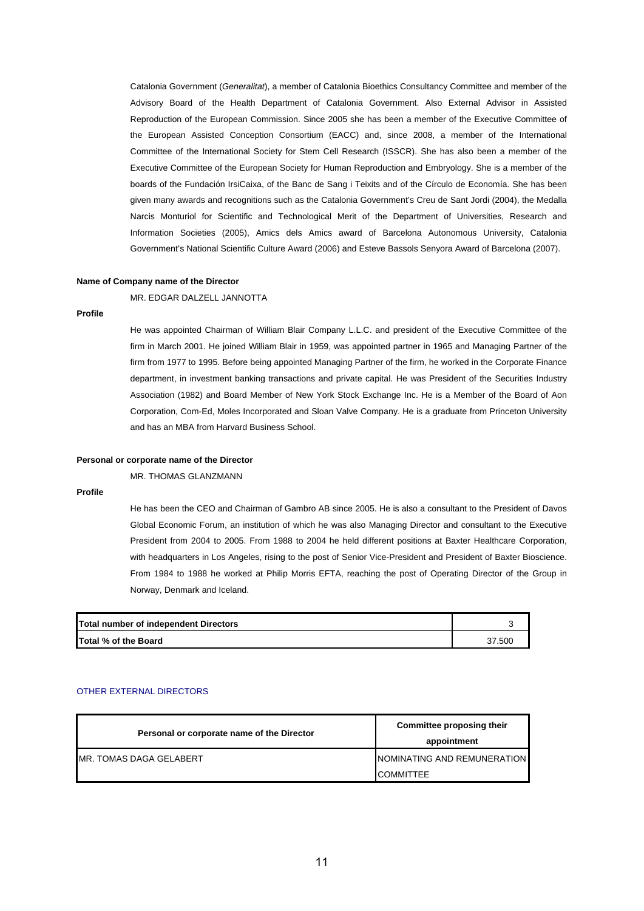Catalonia Government (*Generalitat*), a member of Catalonia Bioethics Consultancy Committee and member of the Advisory Board of the Health Department of Catalonia Government. Also External Advisor in Assisted Reproduction of the European Commission. Since 2005 she has been a member of the Executive Committee of the European Assisted Conception Consortium (EACC) and, since 2008, a member of the International Committee of the International Society for Stem Cell Research (ISSCR). She has also been a member of the Executive Committee of the European Society for Human Reproduction and Embryology. She is a member of the boards of the Fundación IrsiCaixa, of the Banc de Sang i Teixits and of the Círculo de Economía. She has been given many awards and recognitions such as the Catalonia Government's Creu de Sant Jordi (2004), the Medalla Narcis Monturiol for Scientific and Technological Merit of the Department of Universities, Research and Information Societies (2005), Amics dels Amics award of Barcelona Autonomous University, Catalonia Government's National Scientific Culture Award (2006) and Esteve Bassols Senyora Award of Barcelona (2007).

#### **Name of Company name of the Director**

MR. EDGAR DALZELL JANNOTTA

## **Profile**

He was appointed Chairman of William Blair Company L.L.C. and president of the Executive Committee of the firm in March 2001. He joined William Blair in 1959, was appointed partner in 1965 and Managing Partner of the firm from 1977 to 1995. Before being appointed Managing Partner of the firm, he worked in the Corporate Finance department, in investment banking transactions and private capital. He was President of the Securities Industry Association (1982) and Board Member of New York Stock Exchange Inc. He is a Member of the Board of Aon Corporation, Com-Ed, Moles Incorporated and Sloan Valve Company. He is a graduate from Princeton University and has an MBA from Harvard Business School.

#### **Personal or corporate name of the Director**

MR. THOMAS GLANZMANN

## **Profile**

He has been the CEO and Chairman of Gambro AB since 2005. He is also a consultant to the President of Davos Global Economic Forum, an institution of which he was also Managing Director and consultant to the Executive President from 2004 to 2005. From 1988 to 2004 he held different positions at Baxter Healthcare Corporation, with headquarters in Los Angeles, rising to the post of Senior Vice-President and President of Baxter Bioscience. From 1984 to 1988 he worked at Philip Morris EFTA, reaching the post of Operating Director of the Group in Norway, Denmark and Iceland.

| Total number of independent Directors |        |
|---------------------------------------|--------|
| Total % of the Board                  | 37.500 |

## OTHER EXTERNAL DIRECTORS

| Personal or corporate name of the Director | Committee proposing their   |  |
|--------------------------------------------|-----------------------------|--|
|                                            | appointment                 |  |
| IMR. TOMAS DAGA GELABERT                   | NOMINATING AND REMUNERATION |  |
|                                            | ICOMMITTEE                  |  |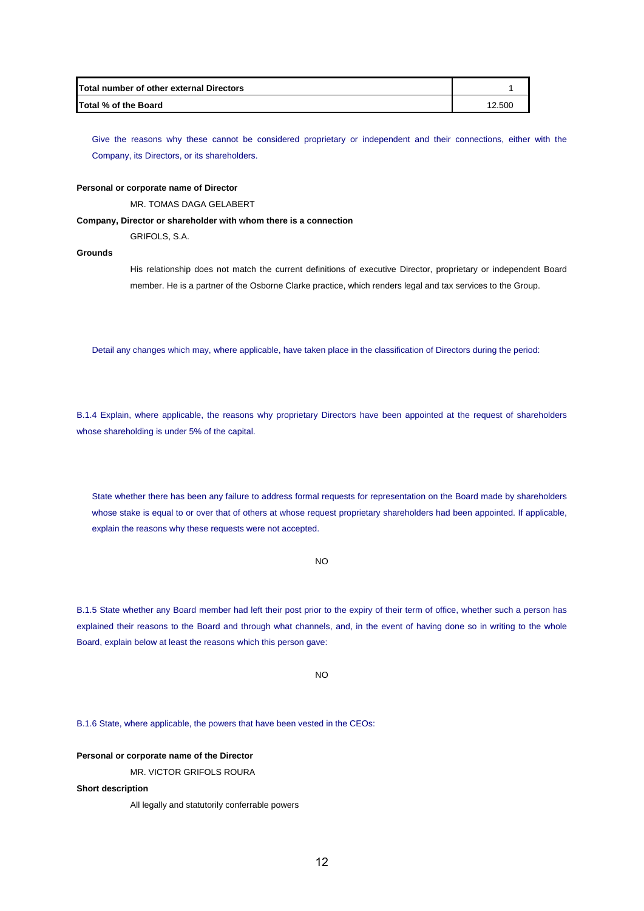| Total number of other external Directors |        |
|------------------------------------------|--------|
| Total % of the Board                     | 12.500 |

Give the reasons why these cannot be considered proprietary or independent and their connections, either with the Company, its Directors, or its shareholders.

### **Personal or corporate name of Director**

MR. TOMAS DAGA GELABERT

## **Company, Director or shareholder with whom there is a connection**

GRIFOLS, S.A.

## **Grounds**

His relationship does not match the current definitions of executive Director, proprietary or independent Board member. He is a partner of the Osborne Clarke practice, which renders legal and tax services to the Group.

Detail any changes which may, where applicable, have taken place in the classification of Directors during the period:

B.1.4 Explain, where applicable, the reasons why proprietary Directors have been appointed at the request of shareholders whose shareholding is under 5% of the capital.

State whether there has been any failure to address formal requests for representation on the Board made by shareholders whose stake is equal to or over that of others at whose request proprietary shareholders had been appointed. If applicable, explain the reasons why these requests were not accepted.

NO

B.1.5 State whether any Board member had left their post prior to the expiry of their term of office, whether such a person has explained their reasons to the Board and through what channels, and, in the event of having done so in writing to the whole Board, explain below at least the reasons which this person gave:

NO

B.1.6 State, where applicable, the powers that have been vested in the CEOs:

## **Personal or corporate name of the Director**

MR. VICTOR GRIFOLS ROURA

## **Short description**

All legally and statutorily conferrable powers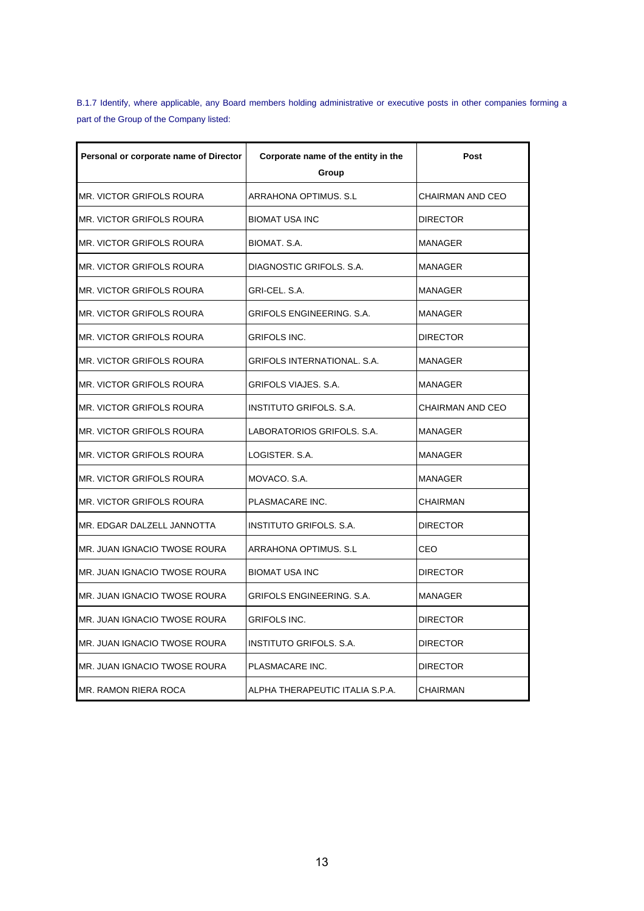B.1.7 Identify, where applicable, any Board members holding administrative or executive posts in other companies forming a part of the Group of the Company listed:

| Personal or corporate name of Director | Corporate name of the entity in the<br>Group | Post                    |
|----------------------------------------|----------------------------------------------|-------------------------|
| <b>MR. VICTOR GRIFOLS ROURA</b>        | ARRAHONA OPTIMUS, S.L                        | <b>CHAIRMAN AND CEO</b> |
| IMR. VICTOR GRIFOLS ROURA              | <b>BIOMAT USA INC</b>                        | <b>DIRECTOR</b>         |
| IMR. VICTOR GRIFOLS ROURA              | BIOMAT. S.A.                                 | MANAGER                 |
| <b>MR. VICTOR GRIFOLS ROURA</b>        | DIAGNOSTIC GRIFOLS. S.A.                     | MANAGER                 |
| IMR. VICTOR GRIFOLS ROURA              | GRI-CEL, S.A.                                | MANAGER                 |
| <b>MR. VICTOR GRIFOLS ROURA</b>        | GRIFOLS ENGINEERING, S.A.                    | MANAGER                 |
| <b>MR. VICTOR GRIFOLS ROURA</b>        | <b>GRIFOLS INC.</b>                          | <b>DIRECTOR</b>         |
| <b>MR. VICTOR GRIFOLS ROURA</b>        | <b>GRIFOLS INTERNATIONAL. S.A.</b>           | <b>MANAGER</b>          |
| IMR. VICTOR GRIFOLS ROURA              | <b>GRIFOLS VIAJES, S.A.</b>                  | <b>MANAGER</b>          |
| IMR. VICTOR GRIFOLS ROURA              | INSTITUTO GRIFOLS, S.A.                      | <b>CHAIRMAN AND CEO</b> |
| IMR. VICTOR GRIFOLS ROURA              | LABORATORIOS GRIFOLS. S.A.                   | MANAGER                 |
| IMR. VICTOR GRIFOLS ROURA              | LOGISTER. S.A.                               | MANAGER                 |
| IMR. VICTOR GRIFOLS ROURA              | MOVACO. S.A.                                 | MANAGER                 |
| <b>MR. VICTOR GRIFOLS ROURA</b>        | PLASMACARE INC.                              | <b>CHAIRMAN</b>         |
| MR. EDGAR DALZELL JANNOTTA             | INSTITUTO GRIFOLS. S.A.                      | <b>DIRECTOR</b>         |
| IMR. JUAN IGNACIO TWOSE ROURA          | ARRAHONA OPTIMUS, S.L                        | CEO                     |
| IMR. JUAN IGNACIO TWOSE ROURA          | <b>BIOMAT USA INC</b>                        | <b>DIRECTOR</b>         |
| IMR. JUAN IGNACIO TWOSE ROURA          | GRIFOLS ENGINEERING. S.A.                    | MANAGER                 |
| IMR. JUAN IGNACIO TWOSE ROURA          | GRIFOLS INC.                                 | <b>DIRECTOR</b>         |
| IMR. JUAN IGNACIO TWOSE ROURA          | INSTITUTO GRIFOLS. S.A.                      | <b>DIRECTOR</b>         |
| IMR. JUAN IGNACIO TWOSE ROURA          | PLASMACARE INC.                              | <b>DIRECTOR</b>         |
| <b>MR. RAMON RIERA ROCA</b>            | ALPHA THERAPEUTIC ITALIA S.P.A.              | <b>CHAIRMAN</b>         |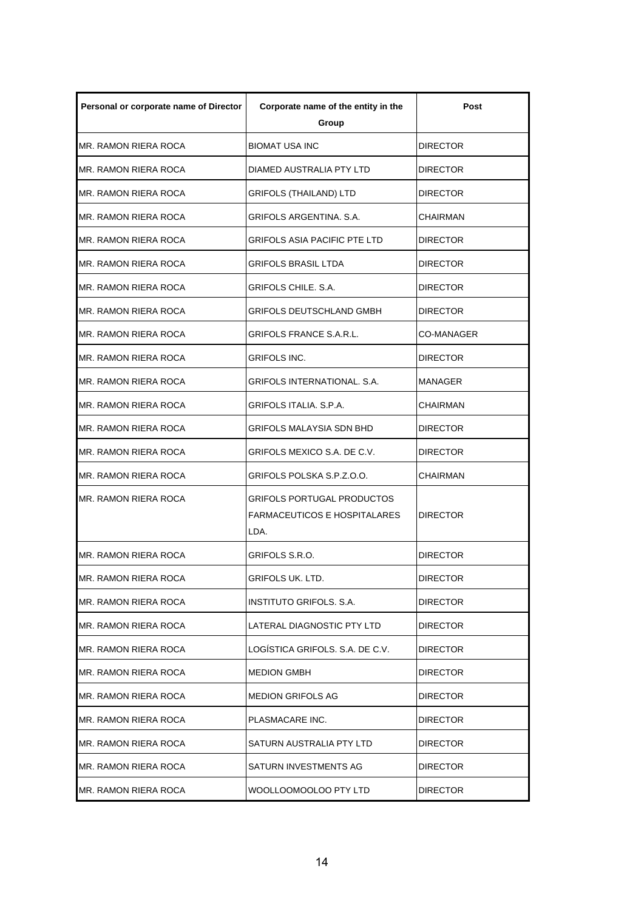| Personal or corporate name of Director | Corporate name of the entity in the<br>Group                              | Post            |
|----------------------------------------|---------------------------------------------------------------------------|-----------------|
| MR. RAMON RIERA ROCA                   | <b>BIOMAT USA INC</b>                                                     | <b>DIRECTOR</b> |
| MR. RAMON RIERA ROCA                   | DIAMED AUSTRALIA PTY LTD                                                  | <b>DIRECTOR</b> |
| MR. RAMON RIERA ROCA                   | GRIFOLS (THAILAND) LTD                                                    | <b>DIRECTOR</b> |
| MR. RAMON RIERA ROCA                   | GRIFOLS ARGENTINA. S.A.                                                   | CHAIRMAN        |
| MR. RAMON RIERA ROCA                   | GRIFOLS ASIA PACIFIC PTE LTD                                              | <b>DIRECTOR</b> |
| IMR. RAMON RIERA ROCA                  | GRIFOLS BRASIL LTDA                                                       | <b>DIRECTOR</b> |
| MR. RAMON RIERA ROCA                   | GRIFOLS CHILE. S.A.                                                       | <b>DIRECTOR</b> |
| MR. RAMON RIERA ROCA                   | GRIFOLS DEUTSCHLAND GMBH                                                  | <b>DIRECTOR</b> |
| MR. RAMON RIERA ROCA                   | GRIFOLS FRANCE S.A.R.L.                                                   | CO-MANAGER      |
| MR. RAMON RIERA ROCA                   | GRIFOLS INC.                                                              | DIRECTOR        |
| MR. RAMON RIERA ROCA                   | GRIFOLS INTERNATIONAL. S.A.                                               | MANAGER         |
| MR. RAMON RIERA ROCA                   | GRIFOLS ITALIA. S.P.A.                                                    | CHAIRMAN        |
| MR. RAMON RIERA ROCA                   | GRIFOLS MALAYSIA SDN BHD                                                  | <b>DIRECTOR</b> |
| MR. RAMON RIERA ROCA                   | GRIFOLS MEXICO S.A. DE C.V.                                               | <b>DIRECTOR</b> |
| MR. RAMON RIERA ROCA                   | GRIFOLS POLSKA S.P.Z.O.O.                                                 | CHAIRMAN        |
| MR. RAMON RIERA ROCA                   | GRIFOLS PORTUGAL PRODUCTOS<br><b>FARMACEUTICOS E HOSPITALARES</b><br>LDA. | DIRECTOR        |
| MR. RAMON RIERA ROCA                   | GRIFOLS S.R.O.                                                            | <b>DIRECTOR</b> |
| MR. RAMON RIERA ROCA                   | GRIFOLS UK. LTD.                                                          | DIRECTOR        |
| MR. RAMON RIERA ROCA                   | INSTITUTO GRIFOLS. S.A.                                                   | <b>DIRECTOR</b> |
| MR. RAMON RIERA ROCA                   | LATERAL DIAGNOSTIC PTY LTD                                                | DIRECTOR        |
| MR. RAMON RIERA ROCA                   | LOGISTICA GRIFOLS. S.A. DE C.V.                                           | <b>DIRECTOR</b> |
| MR. RAMON RIERA ROCA                   | <b>MEDION GMBH</b>                                                        | <b>DIRECTOR</b> |
| MR. RAMON RIERA ROCA                   | <b>MEDION GRIFOLS AG</b>                                                  | DIRECTOR        |
| MR. RAMON RIERA ROCA                   | PLASMACARE INC.                                                           | <b>DIRECTOR</b> |
| MR. RAMON RIERA ROCA                   | SATURN AUSTRALIA PTY LTD                                                  | DIRECTOR        |
| MR. RAMON RIERA ROCA                   | SATURN INVESTMENTS AG                                                     | DIRECTOR        |
| MR. RAMON RIERA ROCA                   | WOOLLOOMOOLOO PTY LTD                                                     | <b>DIRECTOR</b> |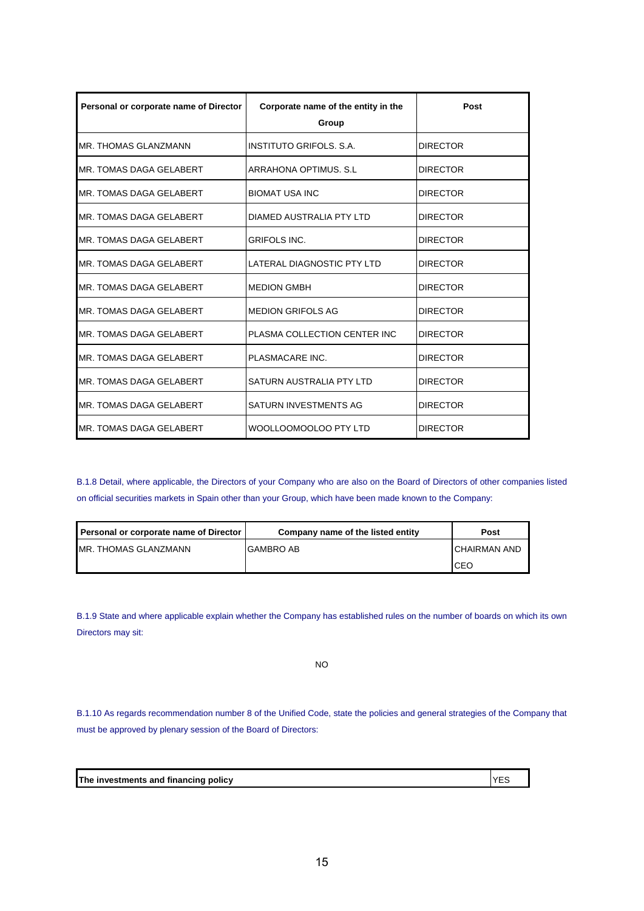| Personal or corporate name of Director | Corporate name of the entity in the<br>Group | Post            |
|----------------------------------------|----------------------------------------------|-----------------|
| <b>IMR. THOMAS GLANZMANN</b>           | INSTITUTO GRIFOLS, S.A.                      | <b>DIRECTOR</b> |
| IMR. TOMAS DAGA GELABERT               | ARRAHONA OPTIMUS, S.L                        | <b>DIRECTOR</b> |
| MR. TOMAS DAGA GELABERT                | <b>BIOMAT USA INC</b>                        | <b>DIRECTOR</b> |
| MR. TOMAS DAGA GELABERT                | DIAMED AUSTRALIA PTY LTD                     | <b>DIRECTOR</b> |
| MR. TOMAS DAGA GELABERT                | <b>GRIFOLS INC.</b>                          | <b>DIRECTOR</b> |
| MR. TOMAS DAGA GELABERT                | LATERAL DIAGNOSTIC PTY LTD                   | <b>DIRECTOR</b> |
| MR. TOMAS DAGA GELABERT                | <b>MEDION GMBH</b>                           | <b>DIRECTOR</b> |
| MR. TOMAS DAGA GELABERT                | <b>MEDION GRIFOLS AG</b>                     | <b>DIRECTOR</b> |
| MR. TOMAS DAGA GELABERT                | PLASMA COLLECTION CENTER INC                 | <b>DIRECTOR</b> |
| MR. TOMAS DAGA GELABERT                | PLASMACARE INC.                              | <b>DIRECTOR</b> |
| MR. TOMAS DAGA GELABERT                | SATURN AUSTRALIA PTY LTD                     | <b>DIRECTOR</b> |
| MR. TOMAS DAGA GELABERT                | SATURN INVESTMENTS AG                        | <b>DIRECTOR</b> |
| MR. TOMAS DAGA GELABERT                | WOOLLOOMOOLOO PTY LTD                        | <b>DIRECTOR</b> |

B.1.8 Detail, where applicable, the Directors of your Company who are also on the Board of Directors of other companies listed on official securities markets in Spain other than your Group, which have been made known to the Company:

| Personal or corporate name of Director | Company name of the listed entity | Post                 |
|----------------------------------------|-----------------------------------|----------------------|
| IMR. THOMAS GLANZMANN                  | <b>GAMBRO AB</b>                  | <b>ICHAIRMAN AND</b> |
|                                        |                                   | ICEC                 |

B.1.9 State and where applicable explain whether the Company has established rules on the number of boards on which its own Directors may sit:

NO

B.1.10 As regards recommendation number 8 of the Unified Code, state the policies and general strategies of the Company that must be approved by plenary session of the Board of Directors:

**The investments and financing policy VES**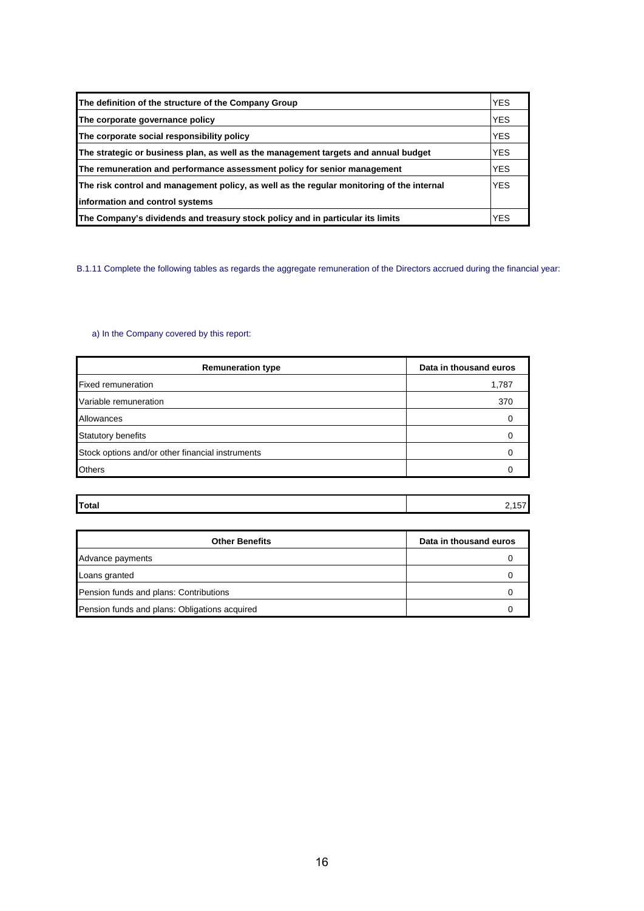| The definition of the structure of the Company Group                                      | <b>YES</b> |
|-------------------------------------------------------------------------------------------|------------|
| The corporate governance policy                                                           | <b>YES</b> |
| The corporate social responsibility policy                                                | <b>YES</b> |
| The strategic or business plan, as well as the management targets and annual budget       | <b>YES</b> |
| The remuneration and performance assessment policy for senior management                  | <b>YES</b> |
| The risk control and management policy, as well as the regular monitoring of the internal | <b>YES</b> |
| information and control systems                                                           |            |
| The Company's dividends and treasury stock policy and in particular its limits            | <b>YES</b> |

B.1.11 Complete the following tables as regards the aggregate remuneration of the Directors accrued during the financial year:

## a) In the Company covered by this report:

| <b>Remuneration type</b>                         | Data in thousand euros |
|--------------------------------------------------|------------------------|
| <b>Fixed remuneration</b>                        | 1,787                  |
| Variable remuneration                            | 370                    |
| Allowances                                       |                        |
| Statutory benefits                               |                        |
| Stock options and/or other financial instruments |                        |
| Others                                           |                        |

|              | . .  |
|--------------|------|
| <b>Total</b> | $ -$ |

| <b>Other Benefits</b>                         | Data in thousand euros |
|-----------------------------------------------|------------------------|
| Advance payments                              |                        |
| Loans granted                                 |                        |
| Pension funds and plans: Contributions        |                        |
| Pension funds and plans: Obligations acquired |                        |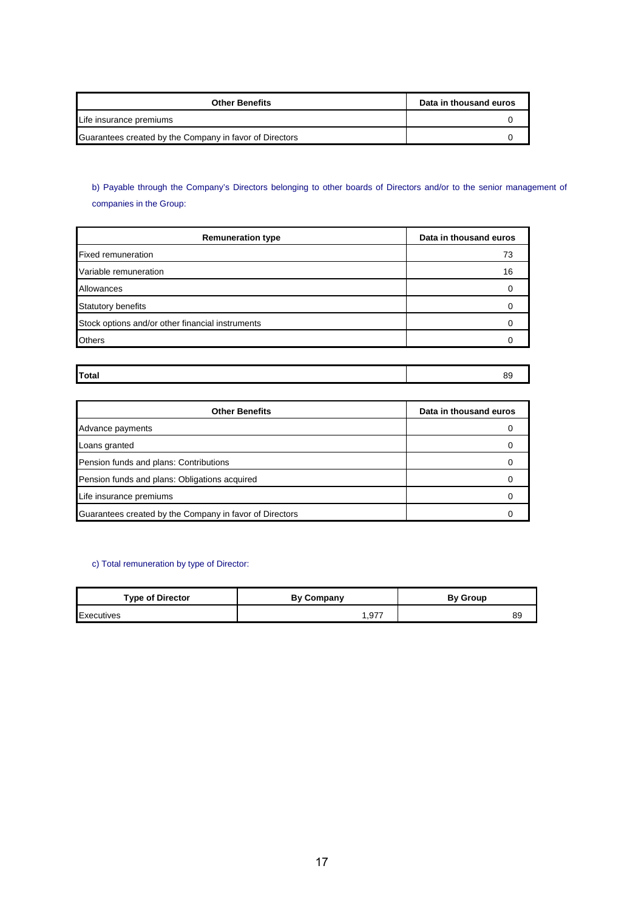| <b>Other Benefits</b>                                   | Data in thousand euros |
|---------------------------------------------------------|------------------------|
| Life insurance premiums                                 |                        |
| Guarantees created by the Company in favor of Directors |                        |

# b) Payable through the Company's Directors belonging to other boards of Directors and/or to the senior management of companies in the Group:

| <b>Remuneration type</b>                         | Data in thousand euros |
|--------------------------------------------------|------------------------|
| <b>Fixed remuneration</b>                        | 73                     |
| Variable remuneration                            | 16                     |
| Allowances                                       |                        |
| <b>Statutory benefits</b>                        |                        |
| Stock options and/or other financial instruments |                        |
| <b>Others</b>                                    |                        |

## **Total** 89

| <b>Other Benefits</b>                                   | Data in thousand euros |
|---------------------------------------------------------|------------------------|
| Advance payments                                        |                        |
| Loans granted                                           |                        |
| Pension funds and plans: Contributions                  |                        |
| Pension funds and plans: Obligations acquired           |                        |
| Life insurance premiums                                 |                        |
| Guarantees created by the Company in favor of Directors |                        |

## c) Total remuneration by type of Director:

| <b>Type of Director</b> | <b>By Company</b> | <b>By Group</b> |
|-------------------------|-------------------|-----------------|
| Executives              | .977              | 89              |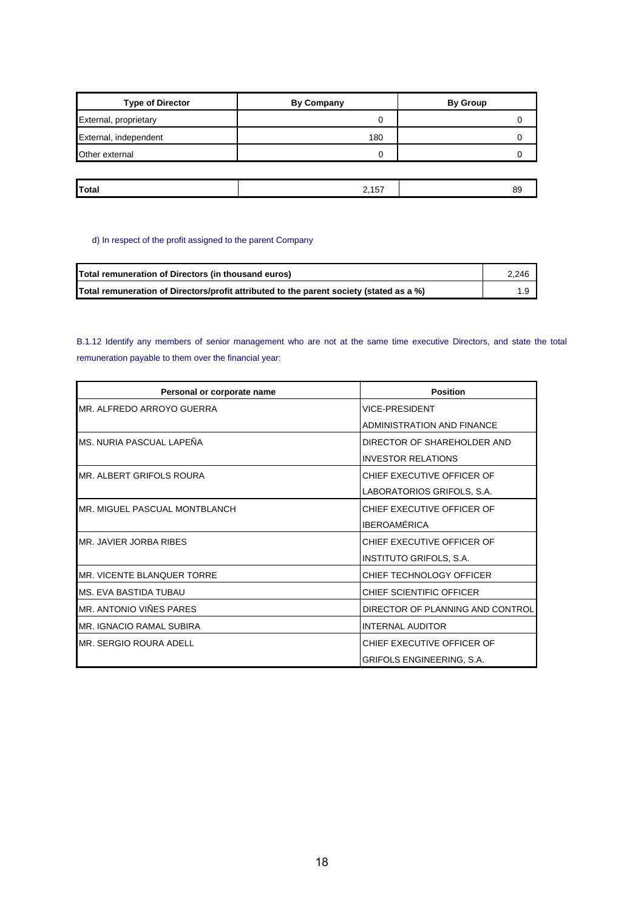| <b>Type of Director</b> | <b>By Company</b> | <b>By Group</b> |
|-------------------------|-------------------|-----------------|
| External, proprietary   | 0                 |                 |
| External, independent   | 180               |                 |
| Other external          | 0                 |                 |
|                         |                   |                 |
|                         |                   |                 |

**Total** 2,157 89

## d) In respect of the profit assigned to the parent Company

| Total remuneration of Directors (in thousand euros)                                     | 2.246 |
|-----------------------------------------------------------------------------------------|-------|
| Total remuneration of Directors/profit attributed to the parent society (stated as a %) |       |

B.1.12 Identify any members of senior management who are not at the same time executive Directors, and state the total remuneration payable to them over the financial year:

| <b>Position</b><br>Personal or corporate name |                                  |
|-----------------------------------------------|----------------------------------|
| MR. ALFREDO ARROYO GUERRA                     | <b>VICE-PRESIDENT</b>            |
|                                               | ADMINISTRATION AND FINANCE       |
| MS. NURIA PASCUAL LAPEÑA                      | DIRECTOR OF SHAREHOLDER AND      |
|                                               | <b>INVESTOR RELATIONS</b>        |
| MR. ALBERT GRIFOLS ROURA                      | CHIFF FXFCUTIVE OFFICER OF       |
|                                               | LABORATORIOS GRIFOLS, S.A.       |
| MR. MIGUEL PASCUAL MONTBLANCH                 | CHIEF EXECUTIVE OFFICER OF       |
|                                               | <b>IBEROAMÉRICA</b>              |
| MR. JAVIER JORBA RIBES                        | CHIEF EXECUTIVE OFFICER OF       |
|                                               | <b>INSTITUTO GRIFOLS, S.A.</b>   |
| MR. VICENTE BLANQUER TORRE                    | CHIEF TECHNOLOGY OFFICER         |
| MS. EVA BASTIDA TUBAU                         | CHIEF SCIENTIFIC OFFICER         |
| MR. ANTONIO VIÑES PARES                       | DIRECTOR OF PLANNING AND CONTROL |
| MR. IGNACIO RAMAL SUBIRA                      | <b>INTERNAL AUDITOR</b>          |
| <b>IMR. SERGIO ROURA ADELL</b>                | CHIEF EXECUTIVE OFFICER OF       |
|                                               | GRIFOLS ENGINEERING, S.A.        |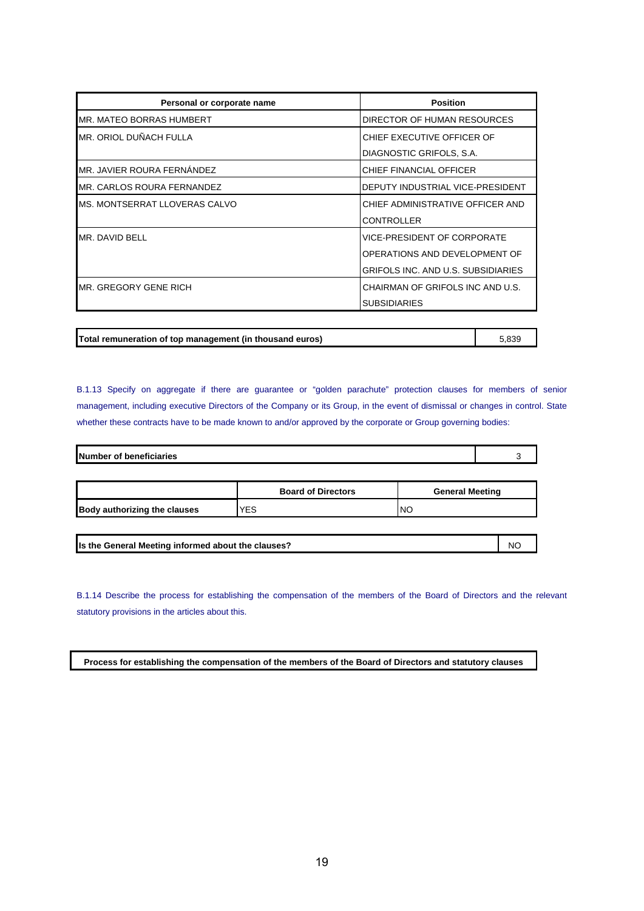| Personal or corporate name      | <b>Position</b>                    |
|---------------------------------|------------------------------------|
| <b>MR. MATEO BORRAS HUMBERT</b> | DIRECTOR OF HUMAN RESOURCES        |
| MR. ORIOL DUÑACH FULLA          | CHIEF EXECUTIVE OFFICER OF         |
|                                 | DIAGNOSTIC GRIFOLS, S.A.           |
| MR. JAVIER ROURA FERNANDEZ      | CHIEF FINANCIAL OFFICER            |
| IMR. CARLOS ROURA FERNANDEZ     | DEPUTY INDUSTRIAL VICE-PRESIDENT   |
| MS. MONTSERRAT LLOVERAS CALVO   | CHIEF ADMINISTRATIVE OFFICER AND   |
|                                 | <b>CONTROLLER</b>                  |
| MR. DAVID BELL                  | VICE-PRESIDENT OF CORPORATE        |
|                                 | OPERATIONS AND DEVELOPMENT OF      |
|                                 | GRIFOLS INC. AND U.S. SUBSIDIARIES |
| MR. GREGORY GENE RICH           | CHAIRMAN OF GRIFOLS INC AND U.S.   |
|                                 | <b>SUBSIDIARIES</b>                |

**Total remuneration of top management (in thousand euros)** 5,839

B.1.13 Specify on aggregate if there are guarantee or "golden parachute" protection clauses for members of senior management, including executive Directors of the Company or its Group, in the event of dismissal or changes in control. State whether these contracts have to be made known to and/or approved by the corporate or Group governing bodies:

| Number of beneficiaries |                           |                        |  |
|-------------------------|---------------------------|------------------------|--|
|                         |                           |                        |  |
|                         | <b>Board of Directors</b> | <b>General Meeting</b> |  |

| Is the General Meeting informed about the clauses? | N0 |
|----------------------------------------------------|----|

**Body authorizing the clauses**  $YES$  NO

B.1.14 Describe the process for establishing the compensation of the members of the Board of Directors and the relevant statutory provisions in the articles about this.

**Process for establishing the compensation of the members of the Board of Directors and statutory clauses**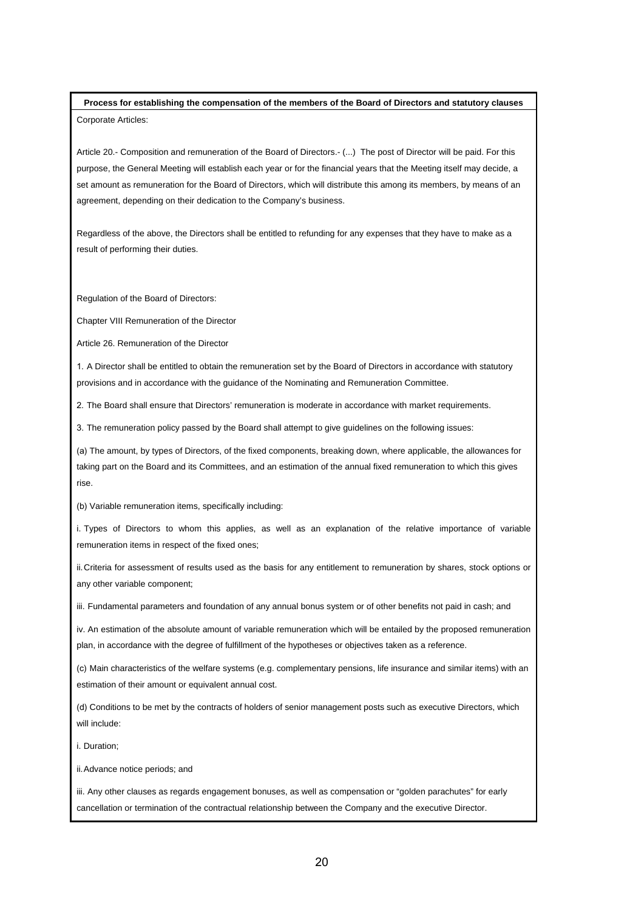**Process for establishing the compensation of the members of the Board of Directors and statutory clauses**  Corporate Articles:

Article 20.- Composition and remuneration of the Board of Directors.- (...) The post of Director will be paid. For this purpose, the General Meeting will establish each year or for the financial years that the Meeting itself may decide, a set amount as remuneration for the Board of Directors, which will distribute this among its members, by means of an agreement, depending on their dedication to the Company's business.

Regardless of the above, the Directors shall be entitled to refunding for any expenses that they have to make as a result of performing their duties.

Regulation of the Board of Directors:

Chapter VIII Remuneration of the Director

Article 26. Remuneration of the Director

1. A Director shall be entitled to obtain the remuneration set by the Board of Directors in accordance with statutory provisions and in accordance with the guidance of the Nominating and Remuneration Committee.

2. The Board shall ensure that Directors' remuneration is moderate in accordance with market requirements.

3. The remuneration policy passed by the Board shall attempt to give guidelines on the following issues:

(a) The amount, by types of Directors, of the fixed components, breaking down, where applicable, the allowances for taking part on the Board and its Committees, and an estimation of the annual fixed remuneration to which this gives rise.

(b) Variable remuneration items, specifically including:

i. Types of Directors to whom this applies, as well as an explanation of the relative importance of variable remuneration items in respect of the fixed ones;

ii. Criteria for assessment of results used as the basis for any entitlement to remuneration by shares, stock options or any other variable component;

iii. Fundamental parameters and foundation of any annual bonus system or of other benefits not paid in cash; and

iv. An estimation of the absolute amount of variable remuneration which will be entailed by the proposed remuneration plan, in accordance with the degree of fulfillment of the hypotheses or objectives taken as a reference.

(c) Main characteristics of the welfare systems (e.g. complementary pensions, life insurance and similar items) with an estimation of their amount or equivalent annual cost.

(d) Conditions to be met by the contracts of holders of senior management posts such as executive Directors, which will include:

i. Duration;

ii. Advance notice periods; and

iii. Any other clauses as regards engagement bonuses, as well as compensation or "golden parachutes" for early cancellation or termination of the contractual relationship between the Company and the executive Director.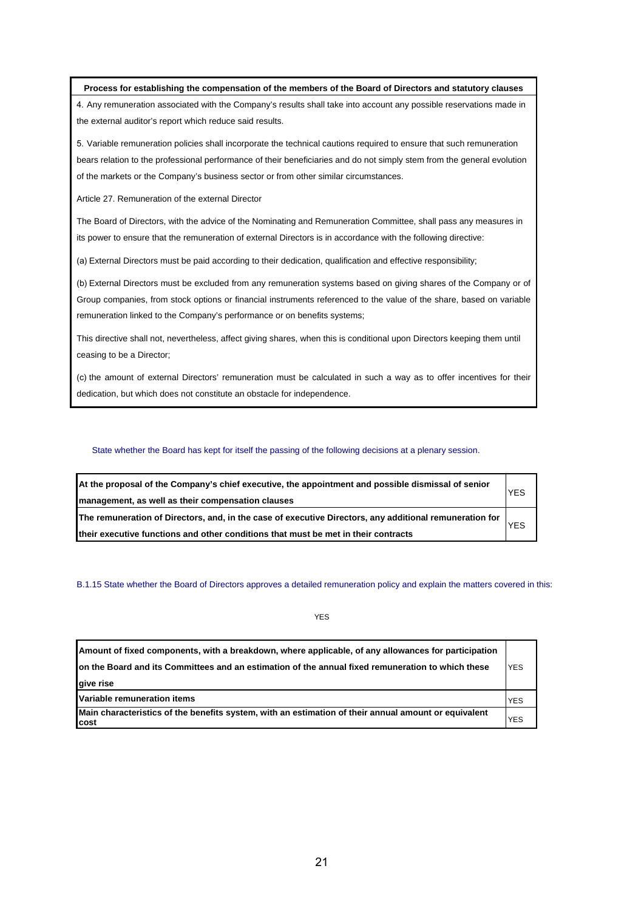**Process for establishing the compensation of the members of the Board of Directors and statutory clauses** 

4. Any remuneration associated with the Company's results shall take into account any possible reservations made in the external auditor's report which reduce said results.

5. Variable remuneration policies shall incorporate the technical cautions required to ensure that such remuneration bears relation to the professional performance of their beneficiaries and do not simply stem from the general evolution of the markets or the Company's business sector or from other similar circumstances.

Article 27. Remuneration of the external Director

The Board of Directors, with the advice of the Nominating and Remuneration Committee, shall pass any measures in its power to ensure that the remuneration of external Directors is in accordance with the following directive:

(a) External Directors must be paid according to their dedication, qualification and effective responsibility;

(b) External Directors must be excluded from any remuneration systems based on giving shares of the Company or of Group companies, from stock options or financial instruments referenced to the value of the share, based on variable remuneration linked to the Company's performance or on benefits systems;

This directive shall not, nevertheless, affect giving shares, when this is conditional upon Directors keeping them until ceasing to be a Director;

(c) the amount of external Directors' remuneration must be calculated in such a way as to offer incentives for their dedication, but which does not constitute an obstacle for independence.

State whether the Board has kept for itself the passing of the following decisions at a plenary session.

| At the proposal of the Company's chief executive, the appointment and possible dismissal of senior<br>management, as well as their compensation clauses |  |
|---------------------------------------------------------------------------------------------------------------------------------------------------------|--|
| The remuneration of Directors, and, in the case of executive Directors, any additional remuneration for<br><b>YES</b>                                   |  |
| their executive functions and other conditions that must be met in their contracts                                                                      |  |

B.1.15 State whether the Board of Directors approves a detailed remuneration policy and explain the matters covered in this:

YES

| Amount of fixed components, with a breakdown, where applicable, of any allowances for participation          |            |
|--------------------------------------------------------------------------------------------------------------|------------|
| on the Board and its Committees and an estimation of the annual fixed remuneration to which these            | <b>YES</b> |
| give rise                                                                                                    |            |
| Variable remuneration items                                                                                  | <b>YES</b> |
| Main characteristics of the benefits system, with an estimation of their annual amount or equivalent<br>cost | <b>YES</b> |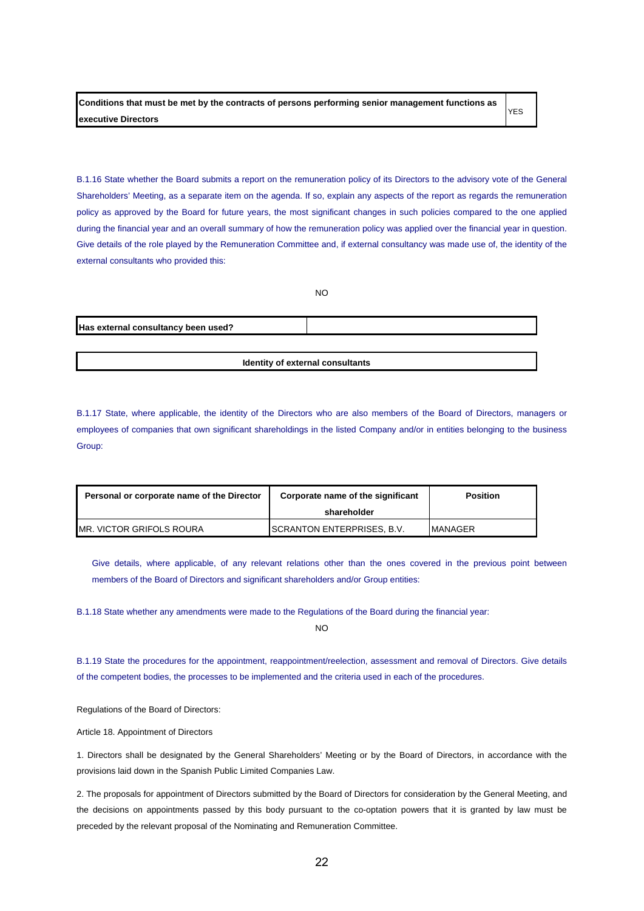**Conditions that must be met by the contracts of persons performing senior management functions as executive Directors**  YES

B.1.16 State whether the Board submits a report on the remuneration policy of its Directors to the advisory vote of the General Shareholders' Meeting, as a separate item on the agenda. If so, explain any aspects of the report as regards the remuneration policy as approved by the Board for future years, the most significant changes in such policies compared to the one applied during the financial year and an overall summary of how the remuneration policy was applied over the financial year in question. Give details of the role played by the Remuneration Committee and, if external consultancy was made use of, the identity of the external consultants who provided this:

NO

|                                     | טאו |
|-------------------------------------|-----|
| Has external consultancy been used? |     |
|                                     |     |

**Identity of external consultants**

B.1.17 State, where applicable, the identity of the Directors who are also members of the Board of Directors, managers or employees of companies that own significant shareholdings in the listed Company and/or in entities belonging to the business Group:

| Personal or corporate name of the Director | Corporate name of the significant  | <b>Position</b> |
|--------------------------------------------|------------------------------------|-----------------|
|                                            | shareholder                        |                 |
| <b>IMR. VICTOR GRIFOLS ROURA</b>           | <b>ISCRANTON ENTERPRISES. B.V.</b> | <b>IMANAGER</b> |

Give details, where applicable, of any relevant relations other than the ones covered in the previous point between members of the Board of Directors and significant shareholders and/or Group entities:

B.1.18 State whether any amendments were made to the Regulations of the Board during the financial year:

 $N<sub>O</sub>$ 

B.1.19 State the procedures for the appointment, reappointment/reelection, assessment and removal of Directors. Give details of the competent bodies, the processes to be implemented and the criteria used in each of the procedures.

Regulations of the Board of Directors:

Article 18. Appointment of Directors

1. Directors shall be designated by the General Shareholders' Meeting or by the Board of Directors, in accordance with the provisions laid down in the Spanish Public Limited Companies Law.

2. The proposals for appointment of Directors submitted by the Board of Directors for consideration by the General Meeting, and the decisions on appointments passed by this body pursuant to the co-optation powers that it is granted by law must be preceded by the relevant proposal of the Nominating and Remuneration Committee.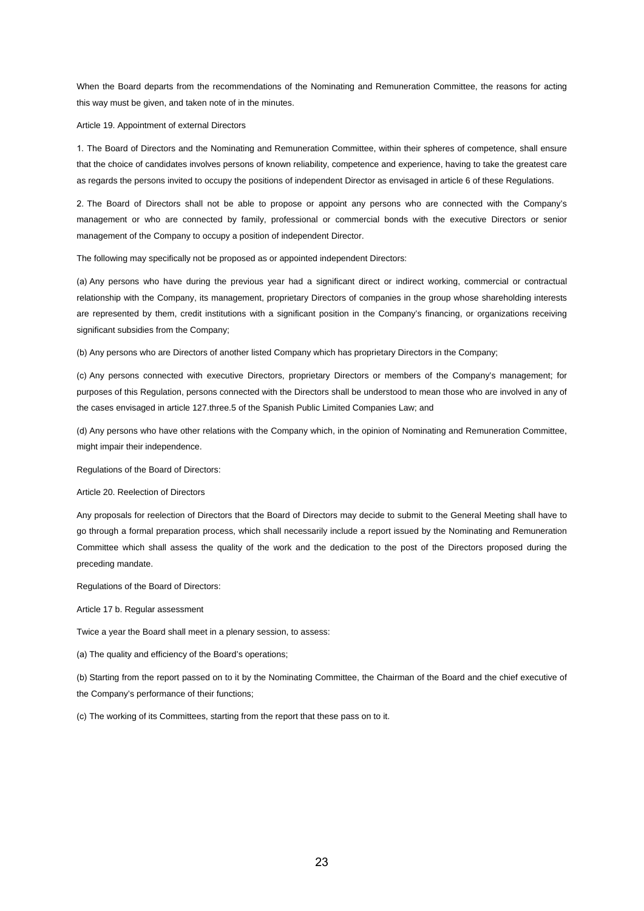When the Board departs from the recommendations of the Nominating and Remuneration Committee, the reasons for acting this way must be given, and taken note of in the minutes.

Article 19. Appointment of external Directors

1. The Board of Directors and the Nominating and Remuneration Committee, within their spheres of competence, shall ensure that the choice of candidates involves persons of known reliability, competence and experience, having to take the greatest care as regards the persons invited to occupy the positions of independent Director as envisaged in article 6 of these Regulations.

2. The Board of Directors shall not be able to propose or appoint any persons who are connected with the Company's management or who are connected by family, professional or commercial bonds with the executive Directors or senior management of the Company to occupy a position of independent Director.

The following may specifically not be proposed as or appointed independent Directors:

(a) Any persons who have during the previous year had a significant direct or indirect working, commercial or contractual relationship with the Company, its management, proprietary Directors of companies in the group whose shareholding interests are represented by them, credit institutions with a significant position in the Company's financing, or organizations receiving significant subsidies from the Company;

(b) Any persons who are Directors of another listed Company which has proprietary Directors in the Company;

(c) Any persons connected with executive Directors, proprietary Directors or members of the Company's management; for purposes of this Regulation, persons connected with the Directors shall be understood to mean those who are involved in any of the cases envisaged in article 127.three.5 of the Spanish Public Limited Companies Law; and

(d) Any persons who have other relations with the Company which, in the opinion of Nominating and Remuneration Committee, might impair their independence.

Regulations of the Board of Directors:

Article 20. Reelection of Directors

Any proposals for reelection of Directors that the Board of Directors may decide to submit to the General Meeting shall have to go through a formal preparation process, which shall necessarily include a report issued by the Nominating and Remuneration Committee which shall assess the quality of the work and the dedication to the post of the Directors proposed during the preceding mandate.

Regulations of the Board of Directors:

Article 17 b. Regular assessment

Twice a year the Board shall meet in a plenary session, to assess:

(a) The quality and efficiency of the Board's operations;

(b) Starting from the report passed on to it by the Nominating Committee, the Chairman of the Board and the chief executive of the Company's performance of their functions;

(c) The working of its Committees, starting from the report that these pass on to it.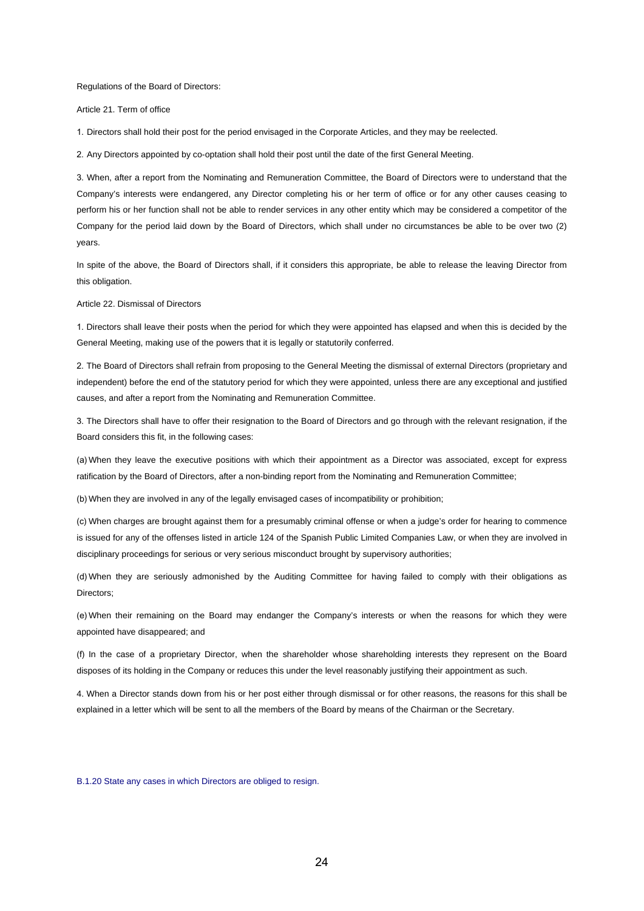Regulations of the Board of Directors:

Article 21. Term of office

1. Directors shall hold their post for the period envisaged in the Corporate Articles, and they may be reelected.

2. Any Directors appointed by co-optation shall hold their post until the date of the first General Meeting.

3. When, after a report from the Nominating and Remuneration Committee, the Board of Directors were to understand that the Company's interests were endangered, any Director completing his or her term of office or for any other causes ceasing to perform his or her function shall not be able to render services in any other entity which may be considered a competitor of the Company for the period laid down by the Board of Directors, which shall under no circumstances be able to be over two (2) years.

In spite of the above, the Board of Directors shall, if it considers this appropriate, be able to release the leaving Director from this obligation.

Article 22. Dismissal of Directors

1. Directors shall leave their posts when the period for which they were appointed has elapsed and when this is decided by the General Meeting, making use of the powers that it is legally or statutorily conferred.

2. The Board of Directors shall refrain from proposing to the General Meeting the dismissal of external Directors (proprietary and independent) before the end of the statutory period for which they were appointed, unless there are any exceptional and justified causes, and after a report from the Nominating and Remuneration Committee.

3. The Directors shall have to offer their resignation to the Board of Directors and go through with the relevant resignation, if the Board considers this fit, in the following cases:

(a) When they leave the executive positions with which their appointment as a Director was associated, except for express ratification by the Board of Directors, after a non-binding report from the Nominating and Remuneration Committee;

(b) When they are involved in any of the legally envisaged cases of incompatibility or prohibition;

(c) When charges are brought against them for a presumably criminal offense or when a judge's order for hearing to commence is issued for any of the offenses listed in article 124 of the Spanish Public Limited Companies Law, or when they are involved in disciplinary proceedings for serious or very serious misconduct brought by supervisory authorities;

(d) When they are seriously admonished by the Auditing Committee for having failed to comply with their obligations as Directors;

(e) When their remaining on the Board may endanger the Company's interests or when the reasons for which they were appointed have disappeared; and

(f) In the case of a proprietary Director, when the shareholder whose shareholding interests they represent on the Board disposes of its holding in the Company or reduces this under the level reasonably justifying their appointment as such.

4. When a Director stands down from his or her post either through dismissal or for other reasons, the reasons for this shall be explained in a letter which will be sent to all the members of the Board by means of the Chairman or the Secretary.

B.1.20 State any cases in which Directors are obliged to resign.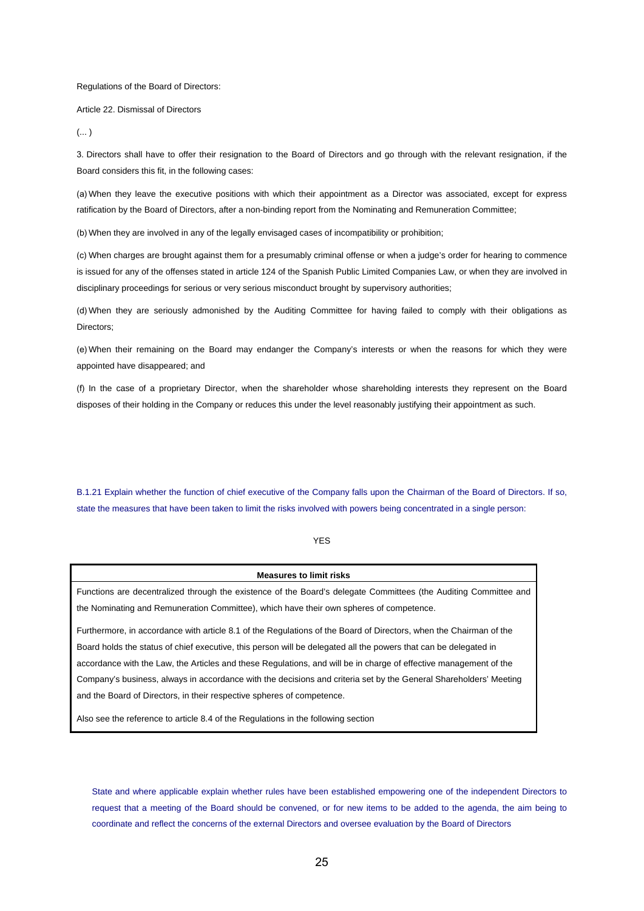#### Regulations of the Board of Directors:

Article 22. Dismissal of Directors

 $(\dots)$ 

3. Directors shall have to offer their resignation to the Board of Directors and go through with the relevant resignation, if the Board considers this fit, in the following cases:

(a) When they leave the executive positions with which their appointment as a Director was associated, except for express ratification by the Board of Directors, after a non-binding report from the Nominating and Remuneration Committee;

(b) When they are involved in any of the legally envisaged cases of incompatibility or prohibition;

(c) When charges are brought against them for a presumably criminal offense or when a judge's order for hearing to commence is issued for any of the offenses stated in article 124 of the Spanish Public Limited Companies Law, or when they are involved in disciplinary proceedings for serious or very serious misconduct brought by supervisory authorities;

(d) When they are seriously admonished by the Auditing Committee for having failed to comply with their obligations as Directors;

(e) When their remaining on the Board may endanger the Company's interests or when the reasons for which they were appointed have disappeared; and

(f) In the case of a proprietary Director, when the shareholder whose shareholding interests they represent on the Board disposes of their holding in the Company or reduces this under the level reasonably justifying their appointment as such.

B.1.21 Explain whether the function of chief executive of the Company falls upon the Chairman of the Board of Directors. If so, state the measures that have been taken to limit the risks involved with powers being concentrated in a single person:

## YES

## **Measures to limit risks**

Functions are decentralized through the existence of the Board's delegate Committees (the Auditing Committee and the Nominating and Remuneration Committee), which have their own spheres of competence.

Furthermore, in accordance with article 8.1 of the Regulations of the Board of Directors, when the Chairman of the Board holds the status of chief executive, this person will be delegated all the powers that can be delegated in accordance with the Law, the Articles and these Regulations, and will be in charge of effective management of the Company's business, always in accordance with the decisions and criteria set by the General Shareholders' Meeting and the Board of Directors, in their respective spheres of competence.

Also see the reference to article 8.4 of the Regulations in the following section

State and where applicable explain whether rules have been established empowering one of the independent Directors to request that a meeting of the Board should be convened, or for new items to be added to the agenda, the aim being to coordinate and reflect the concerns of the external Directors and oversee evaluation by the Board of Directors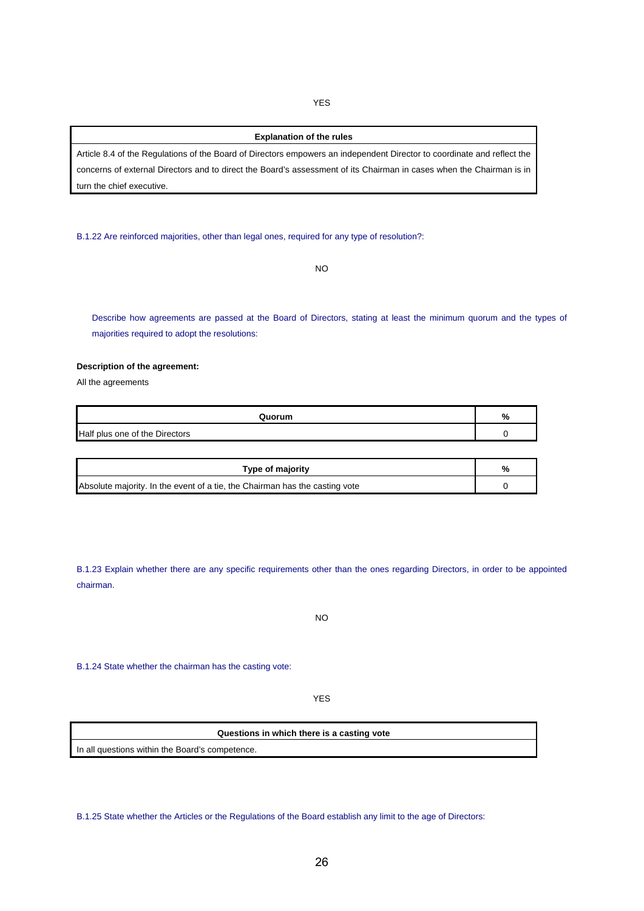YES

## **Explanation of the rules**

Article 8.4 of the Regulations of the Board of Directors empowers an independent Director to coordinate and reflect the concerns of external Directors and to direct the Board's assessment of its Chairman in cases when the Chairman is in turn the chief executive.

B.1.22 Are reinforced majorities, other than legal ones, required for any type of resolution?:

NO

Describe how agreements are passed at the Board of Directors, stating at least the minimum quorum and the types of majorities required to adopt the resolutions:

## **Description of the agreement:**

All the agreements

| Quorum                         | % |
|--------------------------------|---|
| Half plus one of the Directors |   |

| Type of majority                                                            |  |
|-----------------------------------------------------------------------------|--|
| Absolute majority. In the event of a tie, the Chairman has the casting vote |  |

B.1.23 Explain whether there are any specific requirements other than the ones regarding Directors, in order to be appointed chairman.

NO

B.1.24 State whether the chairman has the casting vote:

YES

## **Questions in which there is a casting vote**

In all questions within the Board's competence.

B.1.25 State whether the Articles or the Regulations of the Board establish any limit to the age of Directors: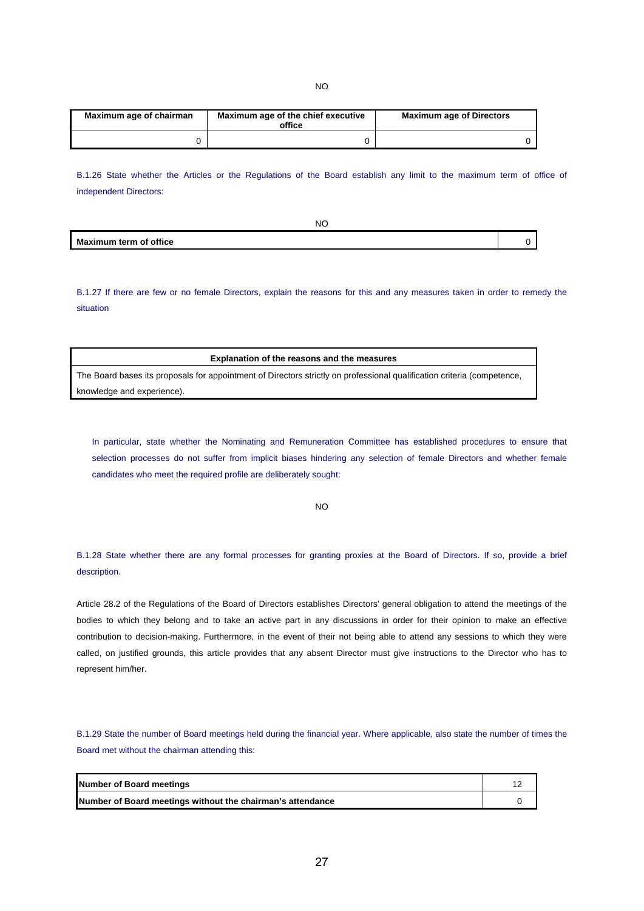NO

| Maximum age of chairman | Maximum age of the chief executive<br>office | <b>Maximum age of Directors</b> |  |
|-------------------------|----------------------------------------------|---------------------------------|--|
|                         |                                              |                                 |  |

B.1.26 State whether the Articles or the Regulations of the Board establish any limit to the maximum term of office of independent Directors:

| NC                            |  |
|-------------------------------|--|
| <b>Maximum term of office</b> |  |

B.1.27 If there are few or no female Directors, explain the reasons for this and any measures taken in order to remedy the situation

**Explanation of the reasons and the measures** 

The Board bases its proposals for appointment of Directors strictly on professional qualification criteria (competence, knowledge and experience).

In particular, state whether the Nominating and Remuneration Committee has established procedures to ensure that selection processes do not suffer from implicit biases hindering any selection of female Directors and whether female candidates who meet the required profile are deliberately sought:

NO

B.1.28 State whether there are any formal processes for granting proxies at the Board of Directors. If so, provide a brief description.

Article 28.2 of the Regulations of the Board of Directors establishes Directors' general obligation to attend the meetings of the bodies to which they belong and to take an active part in any discussions in order for their opinion to make an effective contribution to decision-making. Furthermore, in the event of their not being able to attend any sessions to which they were called, on justified grounds, this article provides that any absent Director must give instructions to the Director who has to represent him/her.

B.1.29 State the number of Board meetings held during the financial year. Where applicable, also state the number of times the Board met without the chairman attending this:

| <b>Number of Board meetings</b>                            |  |
|------------------------------------------------------------|--|
| Number of Board meetings without the chairman's attendance |  |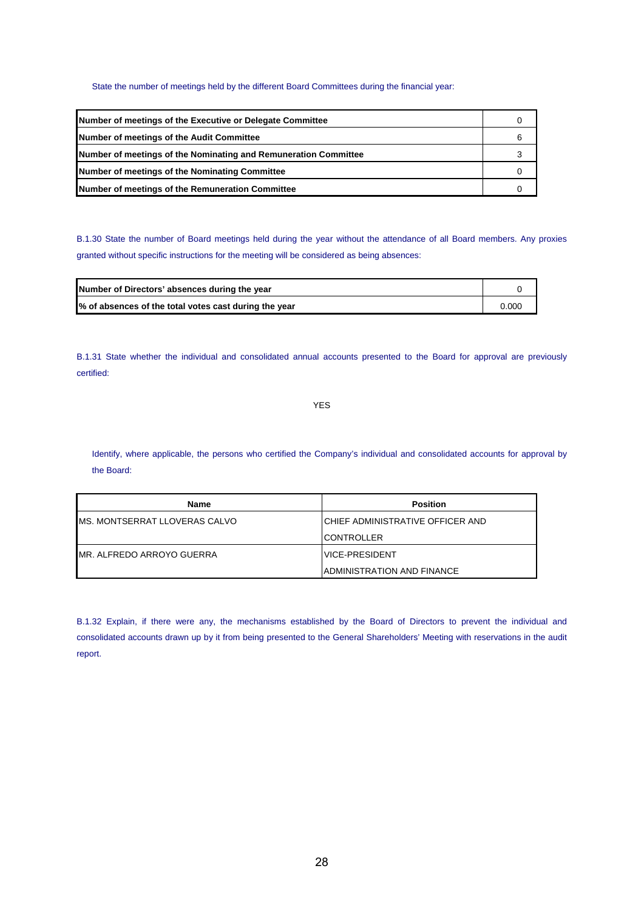## State the number of meetings held by the different Board Committees during the financial year:

| Number of meetings of the Executive or Delegate Committee       |   |
|-----------------------------------------------------------------|---|
| Number of meetings of the Audit Committee                       | 6 |
| Number of meetings of the Nominating and Remuneration Committee |   |
| Number of meetings of the Nominating Committee                  |   |
| Number of meetings of the Remuneration Committee                |   |

B.1.30 State the number of Board meetings held during the year without the attendance of all Board members. Any proxies granted without specific instructions for the meeting will be considered as being absences:

| Number of Directors' absences during the year         |       |
|-------------------------------------------------------|-------|
| % of absences of the total votes cast during the year | 0.000 |

B.1.31 State whether the individual and consolidated annual accounts presented to the Board for approval are previously certified:

YES

Identify, where applicable, the persons who certified the Company's individual and consolidated accounts for approval by the Board:

| Name                              | <b>Position</b>                   |
|-----------------------------------|-----------------------------------|
| MS. MONTSERRAT LLOVERAS CALVO     | ICHIEF ADMINISTRATIVE OFFICER AND |
|                                   | <b>ICONTROLLER</b>                |
| <b>IMR. ALFREDO ARROYO GUERRA</b> | IVICE-PRESIDENT                   |
|                                   | IADMINISTRATION AND FINANCE       |

B.1.32 Explain, if there were any, the mechanisms established by the Board of Directors to prevent the individual and consolidated accounts drawn up by it from being presented to the General Shareholders' Meeting with reservations in the audit report.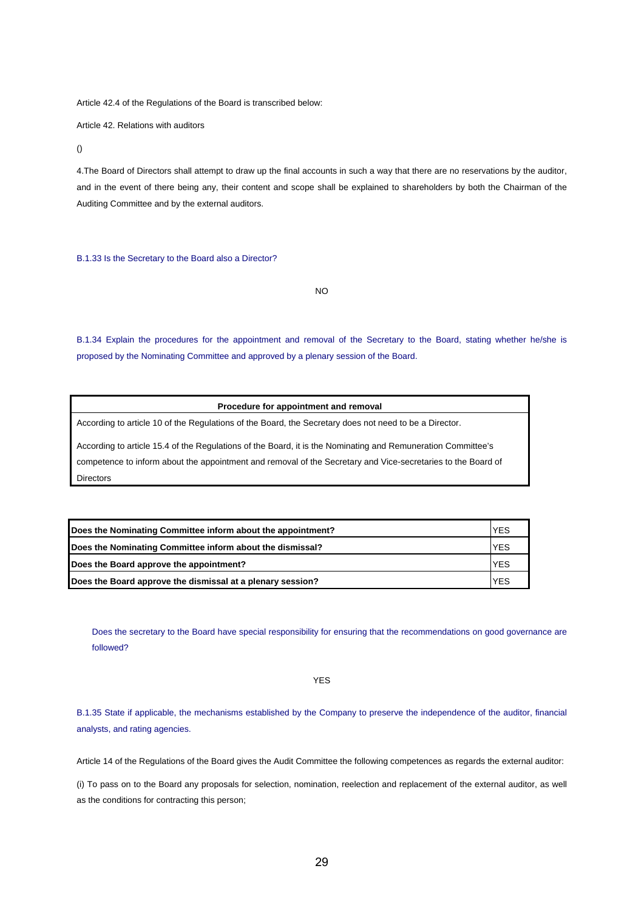Article 42.4 of the Regulations of the Board is transcribed below:

Article 42. Relations with auditors

()

4.The Board of Directors shall attempt to draw up the final accounts in such a way that there are no reservations by the auditor, and in the event of there being any, their content and scope shall be explained to shareholders by both the Chairman of the Auditing Committee and by the external auditors.

B.1.33 Is the Secretary to the Board also a Director?

NO

B.1.34 Explain the procedures for the appointment and removal of the Secretary to the Board, stating whether he/she is proposed by the Nominating Committee and approved by a plenary session of the Board.

|  | Procedure for appointment and removal |  |
|--|---------------------------------------|--|
|--|---------------------------------------|--|

According to article 10 of the Regulations of the Board, the Secretary does not need to be a Director.

According to article 15.4 of the Regulations of the Board, it is the Nominating and Remuneration Committee's competence to inform about the appointment and removal of the Secretary and Vice-secretaries to the Board of Directors

| Does the Nominating Committee inform about the appointment? |            |
|-------------------------------------------------------------|------------|
| Does the Nominating Committee inform about the dismissal?   | <b>YES</b> |
| Does the Board approve the appointment?                     | <b>YES</b> |
| Does the Board approve the dismissal at a plenary session?  | <b>YES</b> |

Does the secretary to the Board have special responsibility for ensuring that the recommendations on good governance are followed?

YES

B.1.35 State if applicable, the mechanisms established by the Company to preserve the independence of the auditor, financial analysts, and rating agencies.

Article 14 of the Regulations of the Board gives the Audit Committee the following competences as regards the external auditor:

(i) To pass on to the Board any proposals for selection, nomination, reelection and replacement of the external auditor, as well as the conditions for contracting this person;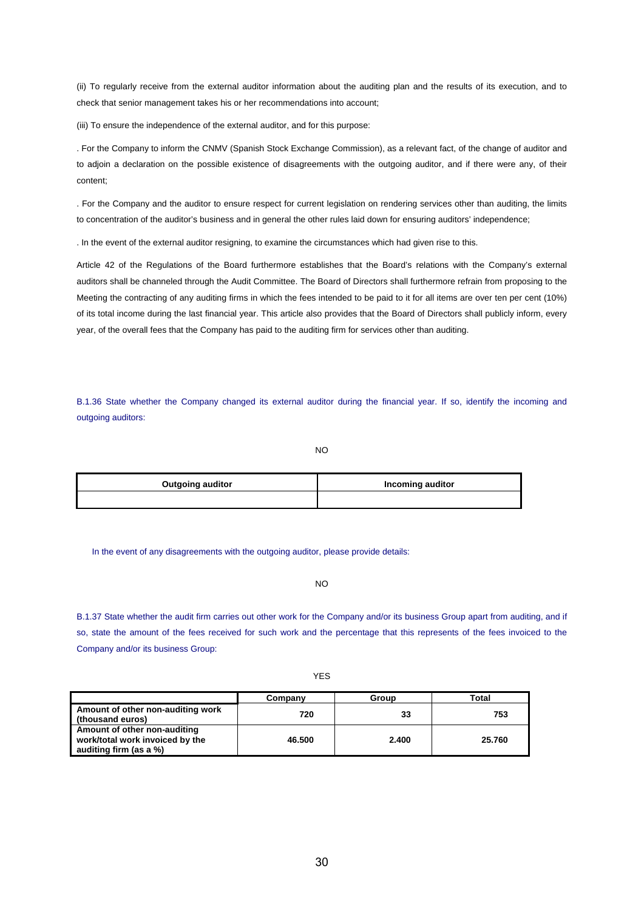(ii) To regularly receive from the external auditor information about the auditing plan and the results of its execution, and to check that senior management takes his or her recommendations into account;

(iii) To ensure the independence of the external auditor, and for this purpose:

. For the Company to inform the CNMV (Spanish Stock Exchange Commission), as a relevant fact, of the change of auditor and to adjoin a declaration on the possible existence of disagreements with the outgoing auditor, and if there were any, of their content;

. For the Company and the auditor to ensure respect for current legislation on rendering services other than auditing, the limits to concentration of the auditor's business and in general the other rules laid down for ensuring auditors' independence;

. In the event of the external auditor resigning, to examine the circumstances which had given rise to this.

Article 42 of the Regulations of the Board furthermore establishes that the Board's relations with the Company's external auditors shall be channeled through the Audit Committee. The Board of Directors shall furthermore refrain from proposing to the Meeting the contracting of any auditing firms in which the fees intended to be paid to it for all items are over ten per cent (10%) of its total income during the last financial year. This article also provides that the Board of Directors shall publicly inform, every year, of the overall fees that the Company has paid to the auditing firm for services other than auditing.

B.1.36 State whether the Company changed its external auditor during the financial year. If so, identify the incoming and outgoing auditors:

NO

| <b>Outgoing auditor</b> | Incoming auditor |  |
|-------------------------|------------------|--|
|                         |                  |  |

In the event of any disagreements with the outgoing auditor, please provide details:

NO

B.1.37 State whether the audit firm carries out other work for the Company and/or its business Group apart from auditing, and if so, state the amount of the fees received for such work and the percentage that this represents of the fees invoiced to the Company and/or its business Group:

|                                                                                           | Company | Group | Total  |
|-------------------------------------------------------------------------------------------|---------|-------|--------|
| Amount of other non-auditing work<br>(thousand euros)                                     | 720     | 33    | 753    |
| Amount of other non-auditing<br>work/total work invoiced by the<br>auditing firm (as a %) | 46.500  | 2.400 | 25.760 |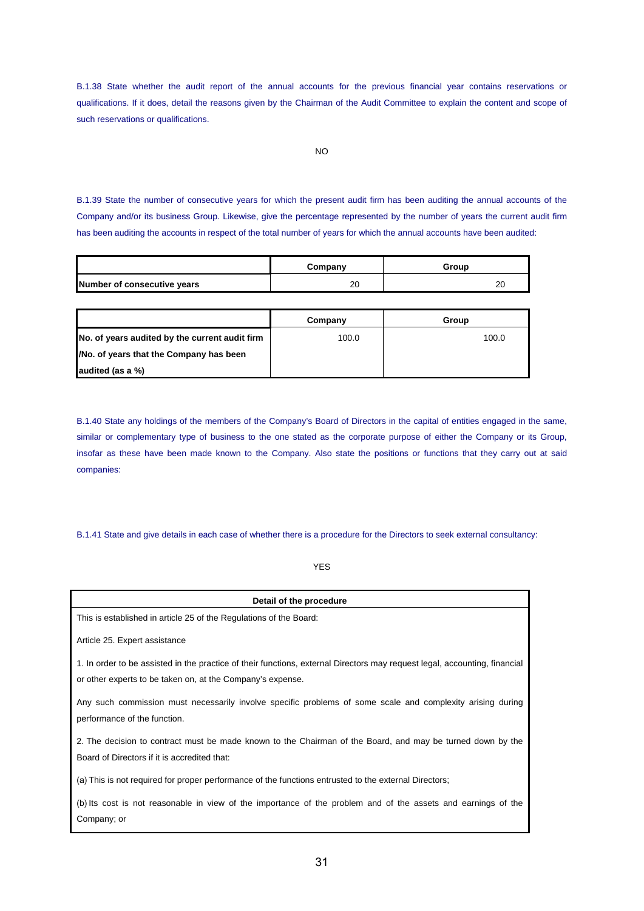B.1.38 State whether the audit report of the annual accounts for the previous financial year contains reservations or qualifications. If it does, detail the reasons given by the Chairman of the Audit Committee to explain the content and scope of such reservations or qualifications.

B.1.39 State the number of consecutive years for which the present audit firm has been auditing the annual accounts of the Company and/or its business Group. Likewise, give the percentage represented by the number of years the current audit firm has been auditing the accounts in respect of the total number of years for which the annual accounts have been audited:

|                             | Company | Group    |
|-----------------------------|---------|----------|
| Number of consecutive years | 20      | or<br>∠∪ |

|                                                | Company | Group |
|------------------------------------------------|---------|-------|
| No. of years audited by the current audit firm | 100.0   | 100.0 |
| /No. of years that the Company has been        |         |       |
| audited (as a %)                               |         |       |

B.1.40 State any holdings of the members of the Company's Board of Directors in the capital of entities engaged in the same, similar or complementary type of business to the one stated as the corporate purpose of either the Company or its Group, insofar as these have been made known to the Company. Also state the positions or functions that they carry out at said companies:

B.1.41 State and give details in each case of whether there is a procedure for the Directors to seek external consultancy:

YES

| Detail of the procedure                                                                                                    |
|----------------------------------------------------------------------------------------------------------------------------|
| This is established in article 25 of the Regulations of the Board:                                                         |
| Article 25. Expert assistance                                                                                              |
| 1. In order to be assisted in the practice of their functions, external Directors may request legal, accounting, financial |
| or other experts to be taken on, at the Company's expense.                                                                 |
| Any such commission must necessarily involve specific problems of some scale and complexity arising during                 |
| performance of the function.                                                                                               |
| 2. The decision to contract must be made known to the Chairman of the Board, and may be turned down by the                 |
| Board of Directors if it is accredited that:                                                                               |
| (a) This is not required for proper performance of the functions entrusted to the external Directors;                      |
| (b) Its cost is not reasonable in view of the importance of the problem and of the assets and earnings of the              |
| Company; or                                                                                                                |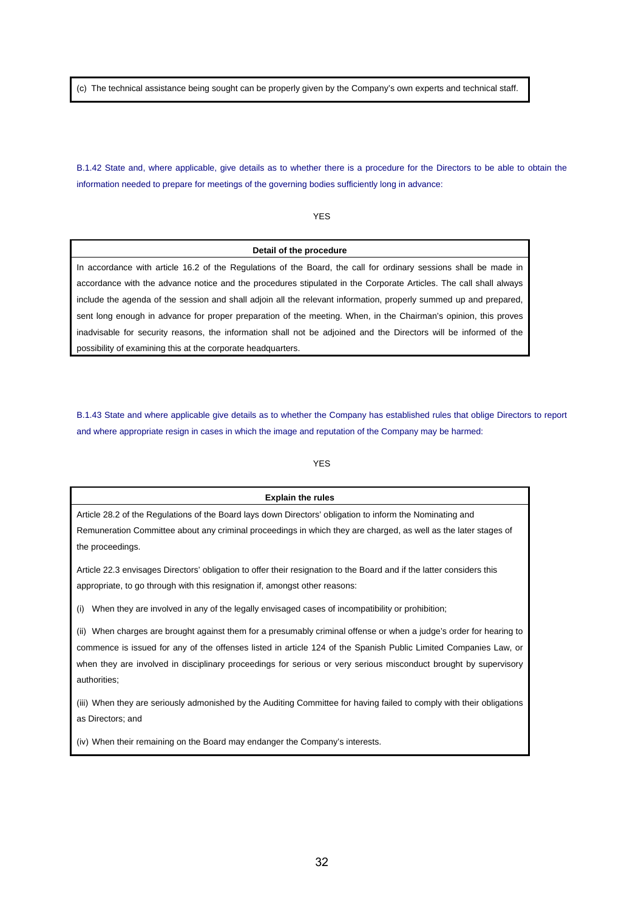(c) The technical assistance being sought can be properly given by the Company's own experts and technical staff.

B.1.42 State and, where applicable, give details as to whether there is a procedure for the Directors to be able to obtain the information needed to prepare for meetings of the governing bodies sufficiently long in advance:

YES

#### **Detail of the procedure**

In accordance with article 16.2 of the Regulations of the Board, the call for ordinary sessions shall be made in accordance with the advance notice and the procedures stipulated in the Corporate Articles. The call shall always include the agenda of the session and shall adjoin all the relevant information, properly summed up and prepared, sent long enough in advance for proper preparation of the meeting. When, in the Chairman's opinion, this proves inadvisable for security reasons, the information shall not be adjoined and the Directors will be informed of the possibility of examining this at the corporate headquarters.

B.1.43 State and where applicable give details as to whether the Company has established rules that oblige Directors to report and where appropriate resign in cases in which the image and reputation of the Company may be harmed:

## YES

#### **Explain the rules**

Article 28.2 of the Regulations of the Board lays down Directors' obligation to inform the Nominating and Remuneration Committee about any criminal proceedings in which they are charged, as well as the later stages of the proceedings.

Article 22.3 envisages Directors' obligation to offer their resignation to the Board and if the latter considers this appropriate, to go through with this resignation if, amongst other reasons:

(i) When they are involved in any of the legally envisaged cases of incompatibility or prohibition;

(ii) When charges are brought against them for a presumably criminal offense or when a judge's order for hearing to commence is issued for any of the offenses listed in article 124 of the Spanish Public Limited Companies Law, or when they are involved in disciplinary proceedings for serious or very serious misconduct brought by supervisory authorities;

(iii) When they are seriously admonished by the Auditing Committee for having failed to comply with their obligations as Directors; and

(iv) When their remaining on the Board may endanger the Company's interests.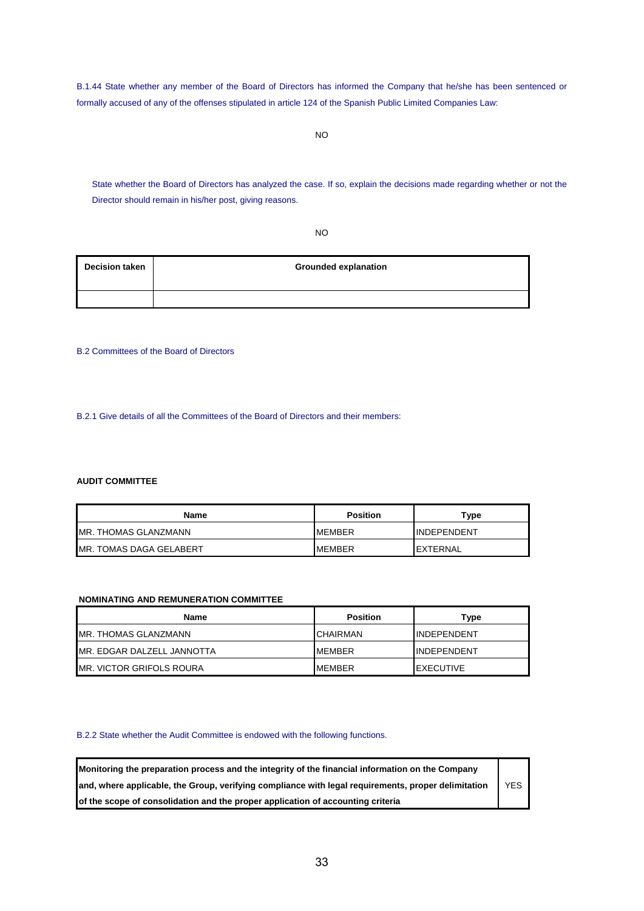B.1.44 State whether any member of the Board of Directors has informed the Company that he/she has been sentenced or formally accused of any of the offenses stipulated in article 124 of the Spanish Public Limited Companies Law:

State whether the Board of Directors has analyzed the case. If so, explain the decisions made regarding whether or not the Director should remain in his/her post, giving reasons.

NO

| <b>Decision taken</b> | <b>Grounded explanation</b> |
|-----------------------|-----------------------------|
|                       |                             |

B.2 Committees of the Board of Directors

B.2.1 Give details of all the Committees of the Board of Directors and their members:

## **AUDIT COMMITTEE**

| Name                     | <b>Position</b> | туре               |
|--------------------------|-----------------|--------------------|
| IMR. THOMAS GLANZMANN    | <b>IMEMBER</b>  | <b>INDEPENDENT</b> |
| IMR. TOMAS DAGA GELABERT | <b>IMEMBER</b>  | <b>IEXTERNAL</b>   |

## **NOMINATING AND REMUNERATION COMMITTEE**

| Name                        | <b>Position</b> | Type                |
|-----------------------------|-----------------|---------------------|
| <b>MR. THOMAS GLANZMANN</b> | <b>CHAIRMAN</b> | <b>INDEPENDENT</b>  |
| MR. EDGAR DALZELL JANNOTTA  | <b>MEMBER</b>   | <b>IINDEPENDENT</b> |
| MR. VICTOR GRIFOLS ROURA    | <b>MEMBER</b>   | <b>IEXECUTIVE</b>   |

### B.2.2 State whether the Audit Committee is endowed with the following functions.

| Monitoring the preparation process and the integrity of the financial information on the Company    |            |
|-----------------------------------------------------------------------------------------------------|------------|
| and, where applicable, the Group, verifying compliance with legal requirements, proper delimitation | <b>YES</b> |
| of the scope of consolidation and the proper application of accounting criteria                     |            |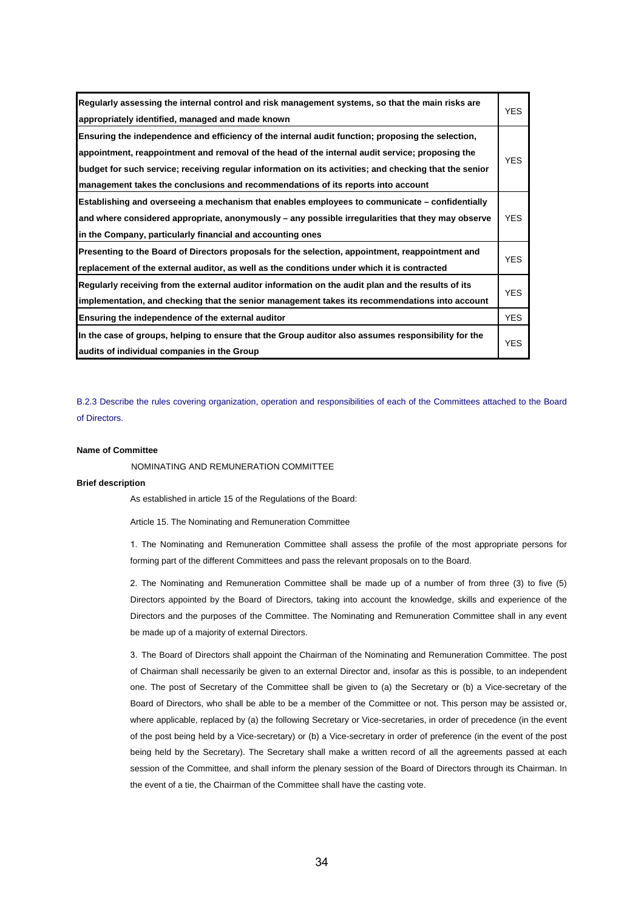| Regularly assessing the internal control and risk management systems, so that the main risks are<br>appropriately identified, managed and made known | <b>YES</b> |
|------------------------------------------------------------------------------------------------------------------------------------------------------|------------|
| Ensuring the independence and efficiency of the internal audit function; proposing the selection,                                                    |            |
| appointment, reappointment and removal of the head of the internal audit service; proposing the                                                      |            |
| budget for such service; receiving regular information on its activities; and checking that the senior                                               | <b>YES</b> |
| management takes the conclusions and recommendations of its reports into account                                                                     |            |
| Establishing and overseeing a mechanism that enables employees to communicate – confidentially                                                       |            |
| and where considered appropriate, anonymously – any possible irregularities that they may observe                                                    | <b>YES</b> |
| in the Company, particularly financial and accounting ones                                                                                           |            |
| Presenting to the Board of Directors proposals for the selection, appointment, reappointment and                                                     |            |
| replacement of the external auditor, as well as the conditions under which it is contracted                                                          | <b>YES</b> |
| Regularly receiving from the external auditor information on the audit plan and the results of its                                                   |            |
| implementation, and checking that the senior management takes its recommendations into account                                                       | <b>YES</b> |
| Ensuring the independence of the external auditor                                                                                                    | <b>YES</b> |
| In the case of groups, helping to ensure that the Group auditor also assumes responsibility for the                                                  |            |
| audits of individual companies in the Group                                                                                                          | YES.       |

B.2.3 Describe the rules covering organization, operation and responsibilities of each of the Committees attached to the Board of Directors.

#### **Name of Committee**

NOMINATING AND REMUNERATION COMMITTEE

#### **Brief description**

As established in article 15 of the Regulations of the Board:

Article 15. The Nominating and Remuneration Committee

1. The Nominating and Remuneration Committee shall assess the profile of the most appropriate persons for forming part of the different Committees and pass the relevant proposals on to the Board.

2. The Nominating and Remuneration Committee shall be made up of a number of from three (3) to five (5) Directors appointed by the Board of Directors, taking into account the knowledge, skills and experience of the Directors and the purposes of the Committee. The Nominating and Remuneration Committee shall in any event be made up of a majority of external Directors.

3. The Board of Directors shall appoint the Chairman of the Nominating and Remuneration Committee. The post of Chairman shall necessarily be given to an external Director and, insofar as this is possible, to an independent one. The post of Secretary of the Committee shall be given to (a) the Secretary or (b) a Vice-secretary of the Board of Directors, who shall be able to be a member of the Committee or not. This person may be assisted or, where applicable, replaced by (a) the following Secretary or Vice-secretaries, in order of precedence (in the event of the post being held by a Vice-secretary) or (b) a Vice-secretary in order of preference (in the event of the post being held by the Secretary). The Secretary shall make a written record of all the agreements passed at each session of the Committee, and shall inform the plenary session of the Board of Directors through its Chairman. In the event of a tie, the Chairman of the Committee shall have the casting vote.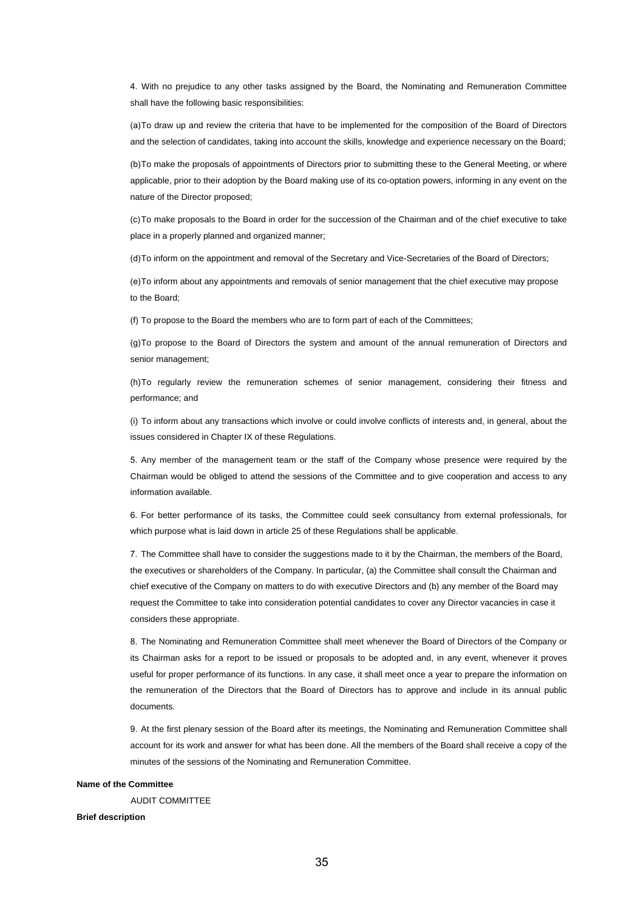4. With no prejudice to any other tasks assigned by the Board, the Nominating and Remuneration Committee shall have the following basic responsibilities:

(a) To draw up and review the criteria that have to be implemented for the composition of the Board of Directors and the selection of candidates, taking into account the skills, knowledge and experience necessary on the Board;

(b) To make the proposals of appointments of Directors prior to submitting these to the General Meeting, or where applicable, prior to their adoption by the Board making use of its co-optation powers, informing in any event on the nature of the Director proposed;

(c) To make proposals to the Board in order for the succession of the Chairman and of the chief executive to take place in a properly planned and organized manner;

(d) To inform on the appointment and removal of the Secretary and Vice-Secretaries of the Board of Directors;

(e) To inform about any appointments and removals of senior management that the chief executive may propose to the Board;

(f) To propose to the Board the members who are to form part of each of the Committees;

(g) To propose to the Board of Directors the system and amount of the annual remuneration of Directors and senior management;

(h) To regularly review the remuneration schemes of senior management, considering their fitness and performance; and

(i) To inform about any transactions which involve or could involve conflicts of interests and, in general, about the issues considered in Chapter IX of these Regulations.

5. Any member of the management team or the staff of the Company whose presence were required by the Chairman would be obliged to attend the sessions of the Committee and to give cooperation and access to any information available.

6. For better performance of its tasks, the Committee could seek consultancy from external professionals, for which purpose what is laid down in article 25 of these Regulations shall be applicable.

7. The Committee shall have to consider the suggestions made to it by the Chairman, the members of the Board, the executives or shareholders of the Company. In particular, (a) the Committee shall consult the Chairman and chief executive of the Company on matters to do with executive Directors and (b) any member of the Board may request the Committee to take into consideration potential candidates to cover any Director vacancies in case it considers these appropriate.

8. The Nominating and Remuneration Committee shall meet whenever the Board of Directors of the Company or its Chairman asks for a report to be issued or proposals to be adopted and, in any event, whenever it proves useful for proper performance of its functions. In any case, it shall meet once a year to prepare the information on the remuneration of the Directors that the Board of Directors has to approve and include in its annual public documents.

9. At the first plenary session of the Board after its meetings, the Nominating and Remuneration Committee shall account for its work and answer for what has been done. All the members of the Board shall receive a copy of the minutes of the sessions of the Nominating and Remuneration Committee.

#### **Name of the Committee**

AUDIT COMMITTEE

#### **Brief description**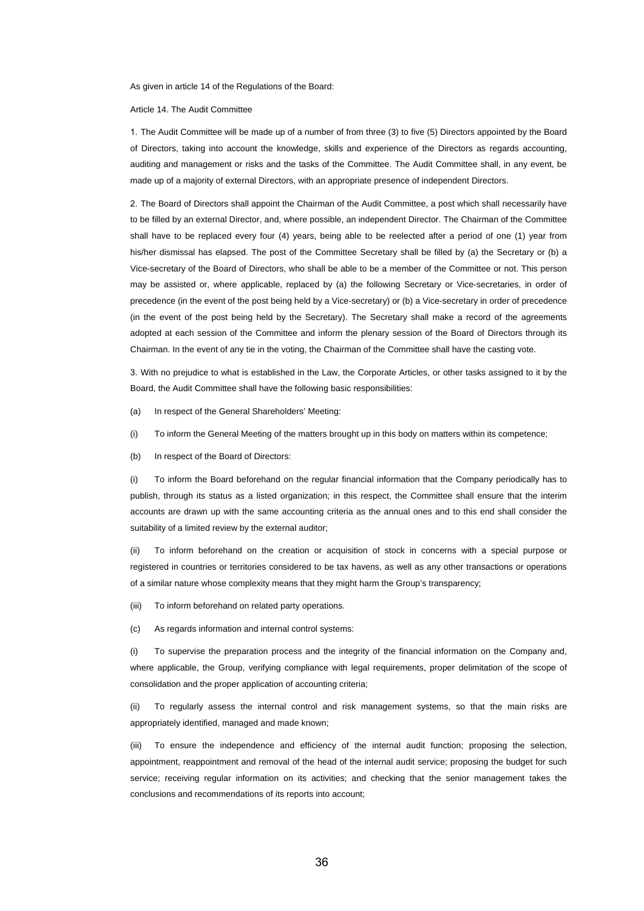As given in article 14 of the Regulations of the Board:

Article 14. The Audit Committee

1. The Audit Committee will be made up of a number of from three (3) to five (5) Directors appointed by the Board of Directors, taking into account the knowledge, skills and experience of the Directors as regards accounting, auditing and management or risks and the tasks of the Committee. The Audit Committee shall, in any event, be made up of a majority of external Directors, with an appropriate presence of independent Directors.

2. The Board of Directors shall appoint the Chairman of the Audit Committee, a post which shall necessarily have to be filled by an external Director, and, where possible, an independent Director. The Chairman of the Committee shall have to be replaced every four (4) years, being able to be reelected after a period of one (1) year from his/her dismissal has elapsed. The post of the Committee Secretary shall be filled by (a) the Secretary or (b) a Vice-secretary of the Board of Directors, who shall be able to be a member of the Committee or not. This person may be assisted or, where applicable, replaced by (a) the following Secretary or Vice-secretaries, in order of precedence (in the event of the post being held by a Vice-secretary) or (b) a Vice-secretary in order of precedence (in the event of the post being held by the Secretary). The Secretary shall make a record of the agreements adopted at each session of the Committee and inform the plenary session of the Board of Directors through its Chairman. In the event of any tie in the voting, the Chairman of the Committee shall have the casting vote.

3. With no prejudice to what is established in the Law, the Corporate Articles, or other tasks assigned to it by the Board, the Audit Committee shall have the following basic responsibilities:

(a) In respect of the General Shareholders' Meeting:

(i) To inform the General Meeting of the matters brought up in this body on matters within its competence;

(b) In respect of the Board of Directors:

(i) To inform the Board beforehand on the regular financial information that the Company periodically has to publish, through its status as a listed organization; in this respect, the Committee shall ensure that the interim accounts are drawn up with the same accounting criteria as the annual ones and to this end shall consider the suitability of a limited review by the external auditor;

(ii) To inform beforehand on the creation or acquisition of stock in concerns with a special purpose or registered in countries or territories considered to be tax havens, as well as any other transactions or operations of a similar nature whose complexity means that they might harm the Group's transparency;

(iii) To inform beforehand on related party operations.

(c) As regards information and internal control systems:

(i) To supervise the preparation process and the integrity of the financial information on the Company and, where applicable, the Group, verifying compliance with legal requirements, proper delimitation of the scope of consolidation and the proper application of accounting criteria;

(ii) To regularly assess the internal control and risk management systems, so that the main risks are appropriately identified, managed and made known;

(iii) To ensure the independence and efficiency of the internal audit function; proposing the selection, appointment, reappointment and removal of the head of the internal audit service; proposing the budget for such service; receiving regular information on its activities; and checking that the senior management takes the conclusions and recommendations of its reports into account;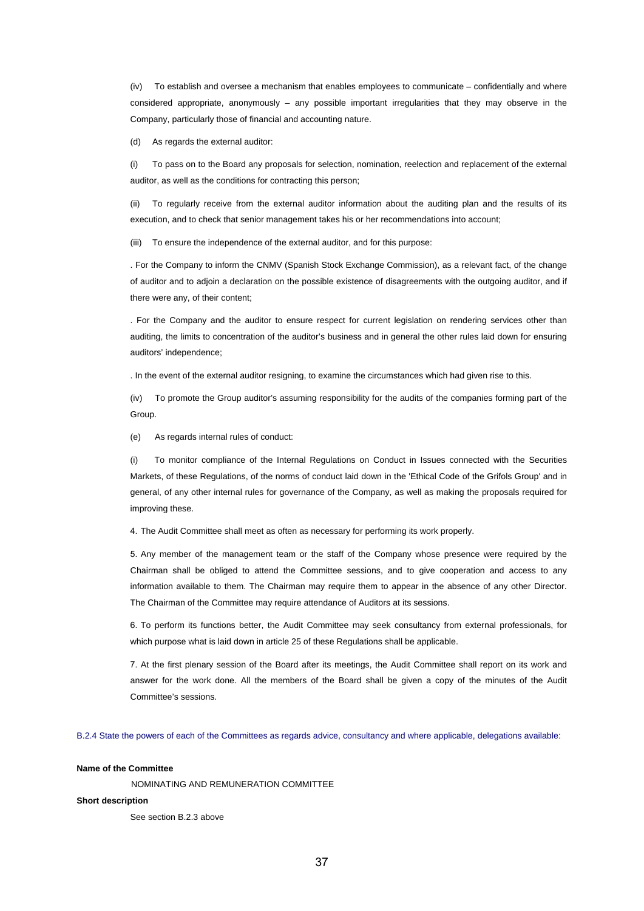(iv) To establish and oversee a mechanism that enables employees to communicate – confidentially and where considered appropriate, anonymously – any possible important irregularities that they may observe in the Company, particularly those of financial and accounting nature.

(d) As regards the external auditor:

(i) To pass on to the Board any proposals for selection, nomination, reelection and replacement of the external auditor, as well as the conditions for contracting this person;

(ii) To regularly receive from the external auditor information about the auditing plan and the results of its execution, and to check that senior management takes his or her recommendations into account;

(iii) To ensure the independence of the external auditor, and for this purpose:

. For the Company to inform the CNMV (Spanish Stock Exchange Commission), as a relevant fact, of the change of auditor and to adjoin a declaration on the possible existence of disagreements with the outgoing auditor, and if there were any, of their content;

. For the Company and the auditor to ensure respect for current legislation on rendering services other than auditing, the limits to concentration of the auditor's business and in general the other rules laid down for ensuring auditors' independence;

. In the event of the external auditor resigning, to examine the circumstances which had given rise to this.

(iv) To promote the Group auditor's assuming responsibility for the audits of the companies forming part of the Group.

(e) As regards internal rules of conduct:

(i) To monitor compliance of the Internal Regulations on Conduct in Issues connected with the Securities Markets, of these Regulations, of the norms of conduct laid down in the 'Ethical Code of the Grifols Group' and in general, of any other internal rules for governance of the Company, as well as making the proposals required for improving these.

4. The Audit Committee shall meet as often as necessary for performing its work properly.

5. Any member of the management team or the staff of the Company whose presence were required by the Chairman shall be obliged to attend the Committee sessions, and to give cooperation and access to any information available to them. The Chairman may require them to appear in the absence of any other Director. The Chairman of the Committee may require attendance of Auditors at its sessions.

6. To perform its functions better, the Audit Committee may seek consultancy from external professionals, for which purpose what is laid down in article 25 of these Regulations shall be applicable.

7. At the first plenary session of the Board after its meetings, the Audit Committee shall report on its work and answer for the work done. All the members of the Board shall be given a copy of the minutes of the Audit Committee's sessions.

B.2.4 State the powers of each of the Committees as regards advice, consultancy and where applicable, delegations available:

### **Name of the Committee**

NOMINATING AND REMUNERATION COMMITTEE

#### **Short description**

See section B.2.3 above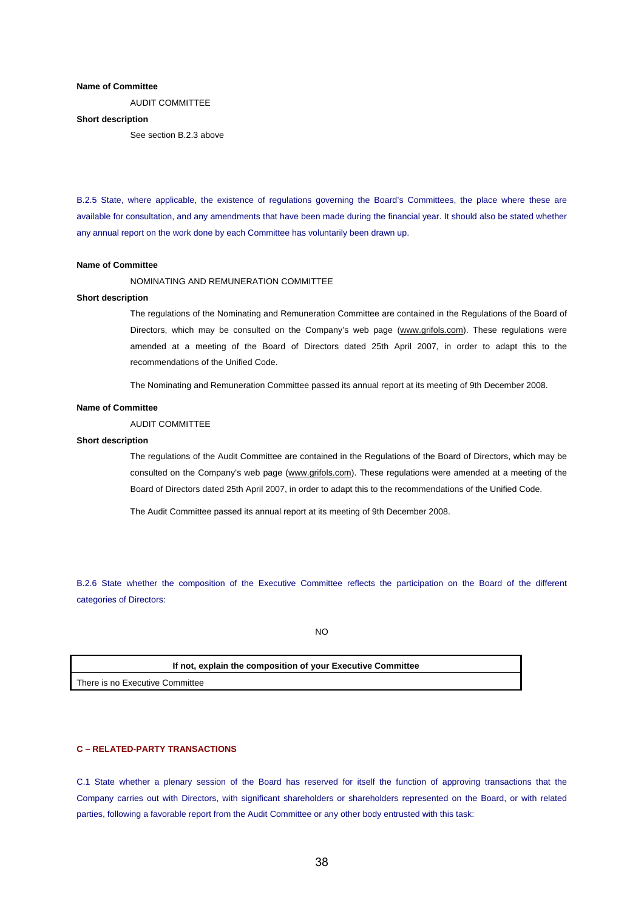## **Name of Committee**

AUDIT COMMITTEE

### **Short description**

See section B.2.3 above

B.2.5 State, where applicable, the existence of regulations governing the Board's Committees, the place where these are available for consultation, and any amendments that have been made during the financial year. It should also be stated whether any annual report on the work done by each Committee has voluntarily been drawn up.

#### **Name of Committee**

NOMINATING AND REMUNERATION COMMITTEE

## **Short description**

The regulations of the Nominating and Remuneration Committee are contained in the Regulations of the Board of Directors, which may be consulted on the Company's web page (www.grifols.com). These regulations were amended at a meeting of the Board of Directors dated 25th April 2007, in order to adapt this to the recommendations of the Unified Code.

The Nominating and Remuneration Committee passed its annual report at its meeting of 9th December 2008.

## **Name of Committee**

AUDIT COMMITTEE

#### **Short description**

The regulations of the Audit Committee are contained in the Regulations of the Board of Directors, which may be consulted on the Company's web page (www.grifols.com). These regulations were amended at a meeting of the Board of Directors dated 25th April 2007, in order to adapt this to the recommendations of the Unified Code.

The Audit Committee passed its annual report at its meeting of 9th December 2008.

B.2.6 State whether the composition of the Executive Committee reflects the participation on the Board of the different categories of Directors:

NO

**If not, explain the composition of your Executive Committee** 

There is no Executive Committee

## **C – RELATED-PARTY TRANSACTIONS**

C.1 State whether a plenary session of the Board has reserved for itself the function of approving transactions that the Company carries out with Directors, with significant shareholders or shareholders represented on the Board, or with related parties, following a favorable report from the Audit Committee or any other body entrusted with this task: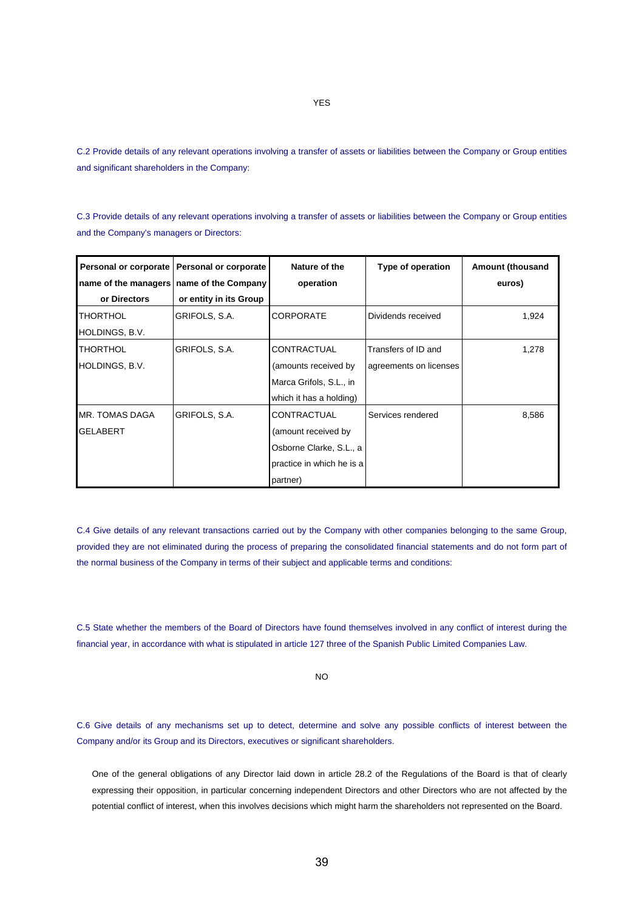C.2 Provide details of any relevant operations involving a transfer of assets or liabilities between the Company or Group entities and significant shareholders in the Company:

C.3 Provide details of any relevant operations involving a transfer of assets or liabilities between the Company or Group entities and the Company's managers or Directors:

| Personal or corporate<br>name of the managers   name of the Company | Personal or corporate  | Nature of the<br>operation | Type of operation      | <b>Amount (thousand</b><br>euros) |
|---------------------------------------------------------------------|------------------------|----------------------------|------------------------|-----------------------------------|
| or Directors                                                        | or entity in its Group |                            |                        |                                   |
| <b>THORTHOL</b>                                                     | GRIFOLS, S.A.          | <b>CORPORATE</b>           | Dividends received     | 1,924                             |
| HOLDINGS, B.V.                                                      |                        |                            |                        |                                   |
| <b>THORTHOL</b>                                                     | GRIFOLS, S.A.          | CONTRACTUAL                | Transfers of ID and    | 1,278                             |
| HOLDINGS, B.V.                                                      |                        | (amounts received by       | agreements on licenses |                                   |
|                                                                     |                        | Marca Grifols, S.L., in    |                        |                                   |
|                                                                     |                        | which it has a holding)    |                        |                                   |
| MR. TOMAS DAGA                                                      | GRIFOLS, S.A.          | <b>CONTRACTUAL</b>         | Services rendered      | 8,586                             |
| <b>GELABERT</b>                                                     |                        | (amount received by        |                        |                                   |
|                                                                     |                        | Osborne Clarke, S.L., a    |                        |                                   |
|                                                                     |                        | practice in which he is a  |                        |                                   |
|                                                                     |                        | partner)                   |                        |                                   |

C.4 Give details of any relevant transactions carried out by the Company with other companies belonging to the same Group, provided they are not eliminated during the process of preparing the consolidated financial statements and do not form part of the normal business of the Company in terms of their subject and applicable terms and conditions:

C.5 State whether the members of the Board of Directors have found themselves involved in any conflict of interest during the financial year, in accordance with what is stipulated in article 127 three of the Spanish Public Limited Companies Law.

NO

C.6 Give details of any mechanisms set up to detect, determine and solve any possible conflicts of interest between the Company and/or its Group and its Directors, executives or significant shareholders.

One of the general obligations of any Director laid down in article 28.2 of the Regulations of the Board is that of clearly expressing their opposition, in particular concerning independent Directors and other Directors who are not affected by the potential conflict of interest, when this involves decisions which might harm the shareholders not represented on the Board.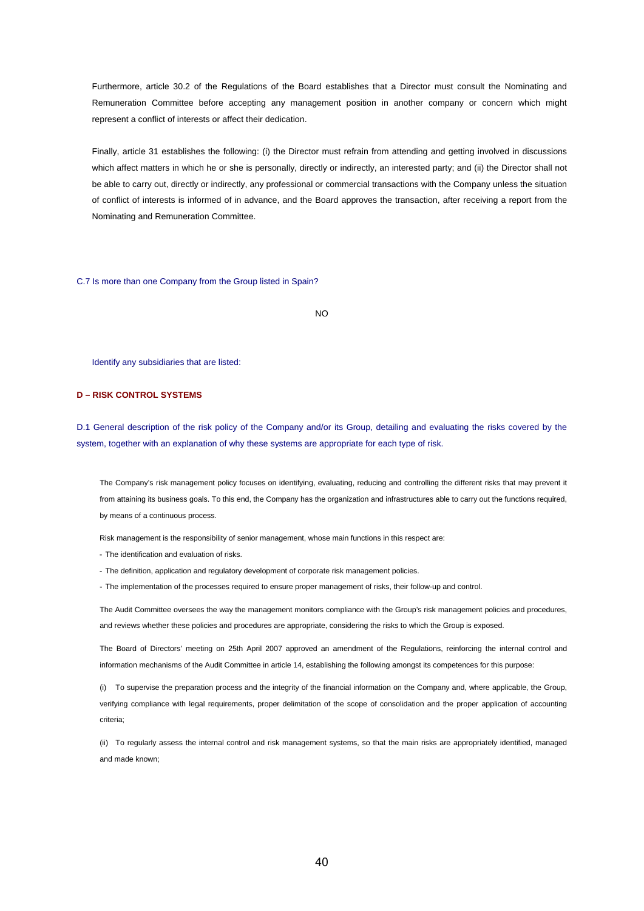Furthermore, article 30.2 of the Regulations of the Board establishes that a Director must consult the Nominating and Remuneration Committee before accepting any management position in another company or concern which might represent a conflict of interests or affect their dedication.

Finally, article 31 establishes the following: (i) the Director must refrain from attending and getting involved in discussions which affect matters in which he or she is personally, directly or indirectly, an interested party; and (ii) the Director shall not be able to carry out, directly or indirectly, any professional or commercial transactions with the Company unless the situation of conflict of interests is informed of in advance, and the Board approves the transaction, after receiving a report from the Nominating and Remuneration Committee.

C.7 Is more than one Company from the Group listed in Spain?

NO

Identify any subsidiaries that are listed:

## **D – RISK CONTROL SYSTEMS**

D.1 General description of the risk policy of the Company and/or its Group, detailing and evaluating the risks covered by the system, together with an explanation of why these systems are appropriate for each type of risk.

The Company's risk management policy focuses on identifying, evaluating, reducing and controlling the different risks that may prevent it from attaining its business goals. To this end, the Company has the organization and infrastructures able to carry out the functions required, by means of a continuous process.

Risk management is the responsibility of senior management, whose main functions in this respect are:

- The identification and evaluation of risks.
- The definition, application and regulatory development of corporate risk management policies.
- The implementation of the processes required to ensure proper management of risks, their follow-up and control.

The Audit Committee oversees the way the management monitors compliance with the Group's risk management policies and procedures, and reviews whether these policies and procedures are appropriate, considering the risks to which the Group is exposed.

The Board of Directors' meeting on 25th April 2007 approved an amendment of the Regulations, reinforcing the internal control and information mechanisms of the Audit Committee in article 14, establishing the following amongst its competences for this purpose:

(i) To supervise the preparation process and the integrity of the financial information on the Company and, where applicable, the Group, verifying compliance with legal requirements, proper delimitation of the scope of consolidation and the proper application of accounting criteria;

(ii) To regularly assess the internal control and risk management systems, so that the main risks are appropriately identified, managed and made known;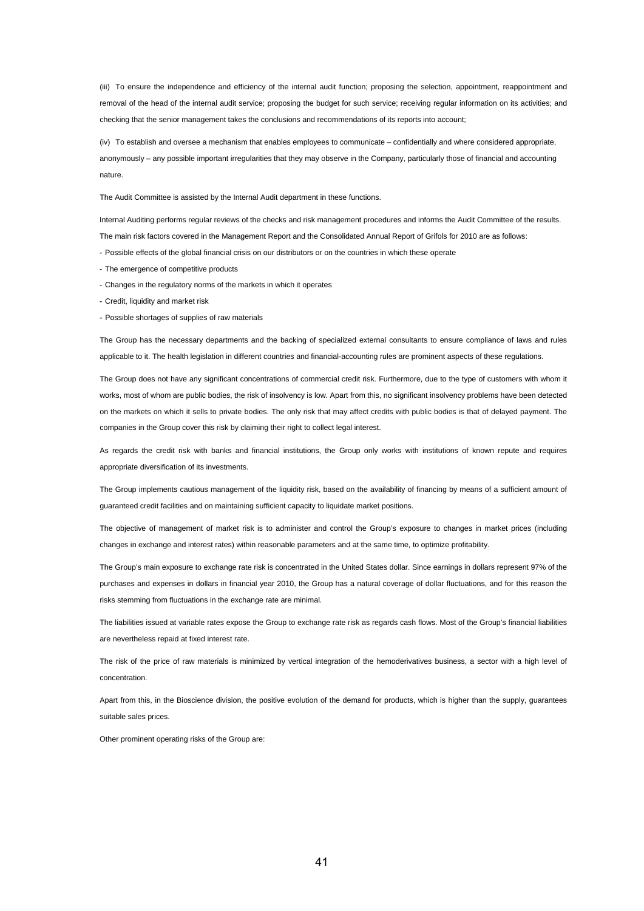(iii) To ensure the independence and efficiency of the internal audit function; proposing the selection, appointment, reappointment and removal of the head of the internal audit service; proposing the budget for such service; receiving regular information on its activities; and checking that the senior management takes the conclusions and recommendations of its reports into account;

(iv) To establish and oversee a mechanism that enables employees to communicate – confidentially and where considered appropriate, anonymously – any possible important irregularities that they may observe in the Company, particularly those of financial and accounting nature.

The Audit Committee is assisted by the Internal Audit department in these functions.

Internal Auditing performs regular reviews of the checks and risk management procedures and informs the Audit Committee of the results. The main risk factors covered in the Management Report and the Consolidated Annual Report of Grifols for 2010 are as follows:

- Possible effects of the global financial crisis on our distributors or on the countries in which these operate
- The emergence of competitive products
- Changes in the regulatory norms of the markets in which it operates
- Credit, liquidity and market risk
- Possible shortages of supplies of raw materials

The Group has the necessary departments and the backing of specialized external consultants to ensure compliance of laws and rules applicable to it. The health legislation in different countries and financial-accounting rules are prominent aspects of these regulations.

The Group does not have any significant concentrations of commercial credit risk. Furthermore, due to the type of customers with whom it works, most of whom are public bodies, the risk of insolvency is low. Apart from this, no significant insolvency problems have been detected on the markets on which it sells to private bodies. The only risk that may affect credits with public bodies is that of delayed payment. The companies in the Group cover this risk by claiming their right to collect legal interest.

As regards the credit risk with banks and financial institutions, the Group only works with institutions of known repute and requires appropriate diversification of its investments.

The Group implements cautious management of the liquidity risk, based on the availability of financing by means of a sufficient amount of guaranteed credit facilities and on maintaining sufficient capacity to liquidate market positions.

The objective of management of market risk is to administer and control the Group's exposure to changes in market prices (including changes in exchange and interest rates) within reasonable parameters and at the same time, to optimize profitability.

The Group's main exposure to exchange rate risk is concentrated in the United States dollar. Since earnings in dollars represent 97% of the purchases and expenses in dollars in financial year 2010, the Group has a natural coverage of dollar fluctuations, and for this reason the risks stemming from fluctuations in the exchange rate are minimal.

The liabilities issued at variable rates expose the Group to exchange rate risk as regards cash flows. Most of the Group's financial liabilities are nevertheless repaid at fixed interest rate.

The risk of the price of raw materials is minimized by vertical integration of the hemoderivatives business, a sector with a high level of concentration.

Apart from this, in the Bioscience division, the positive evolution of the demand for products, which is higher than the supply, guarantees suitable sales prices.

Other prominent operating risks of the Group are: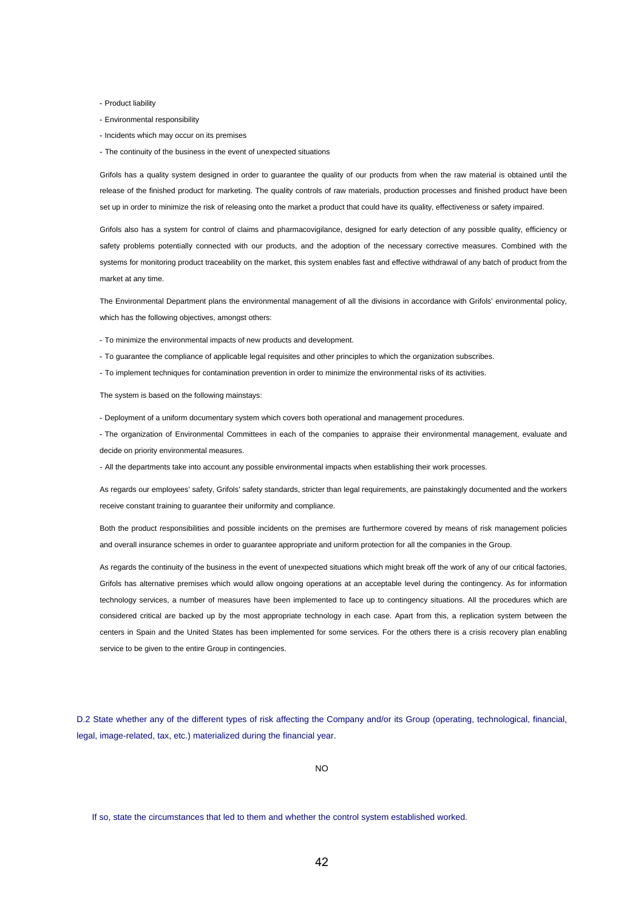- Product liability

- Environmental responsibility
- Incidents which may occur on its premises
- The continuity of the business in the event of unexpected situations

Grifols has a quality system designed in order to guarantee the quality of our products from when the raw material is obtained until the release of the finished product for marketing. The quality controls of raw materials, production processes and finished product have been set up in order to minimize the risk of releasing onto the market a product that could have its quality, effectiveness or safety impaired.

Grifols also has a system for control of claims and pharmacovigilance, designed for early detection of any possible quality, efficiency or safety problems potentially connected with our products, and the adoption of the necessary corrective measures. Combined with the systems for monitoring product traceability on the market, this system enables fast and effective withdrawal of any batch of product from the market at any time.

The Environmental Department plans the environmental management of all the divisions in accordance with Grifols' environmental policy, which has the following objectives, amongst others:

- To minimize the environmental impacts of new products and development.

- To guarantee the compliance of applicable legal requisites and other principles to which the organization subscribes.
- To implement techniques for contamination prevention in order to minimize the environmental risks of its activities.

The system is based on the following mainstays:

- Deployment of a uniform documentary system which covers both operational and management procedures.

- The organization of Environmental Committees in each of the companies to appraise their environmental management, evaluate and decide on priority environmental measures.

- All the departments take into account any possible environmental impacts when establishing their work processes.

As regards our employees' safety, Grifols' safety standards, stricter than legal requirements, are painstakingly documented and the workers receive constant training to guarantee their uniformity and compliance.

Both the product responsibilities and possible incidents on the premises are furthermore covered by means of risk management policies and overall insurance schemes in order to guarantee appropriate and uniform protection for all the companies in the Group.

As regards the continuity of the business in the event of unexpected situations which might break off the work of any of our critical factories, Grifols has alternative premises which would allow ongoing operations at an acceptable level during the contingency. As for information technology services, a number of measures have been implemented to face up to contingency situations. All the procedures which are considered critical are backed up by the most appropriate technology in each case. Apart from this, a replication system between the centers in Spain and the United States has been implemented for some services. For the others there is a crisis recovery plan enabling service to be given to the entire Group in contingencies.

D.2 State whether any of the different types of risk affecting the Company and/or its Group (operating, technological, financial, legal, image-related, tax, etc.) materialized during the financial year.

NO

If so, state the circumstances that led to them and whether the control system established worked.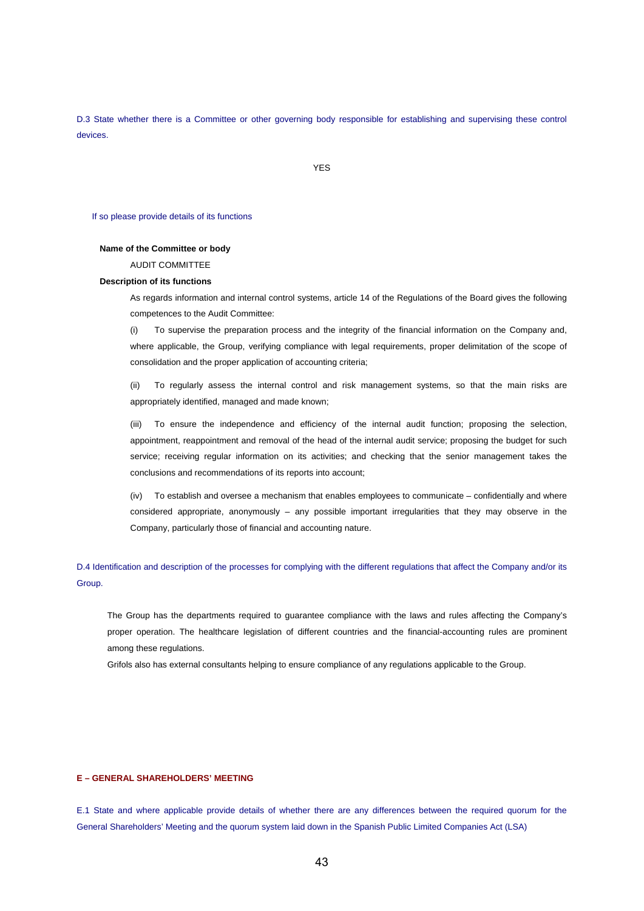D.3 State whether there is a Committee or other governing body responsible for establishing and supervising these control devices.

YES

#### If so please provide details of its functions

## **Name of the Committee or body**

AUDIT COMMITTEE

## **Description of its functions**

As regards information and internal control systems, article 14 of the Regulations of the Board gives the following competences to the Audit Committee:

(i) To supervise the preparation process and the integrity of the financial information on the Company and, where applicable, the Group, verifying compliance with legal requirements, proper delimitation of the scope of consolidation and the proper application of accounting criteria;

(ii) To regularly assess the internal control and risk management systems, so that the main risks are appropriately identified, managed and made known;

(iii) To ensure the independence and efficiency of the internal audit function; proposing the selection, appointment, reappointment and removal of the head of the internal audit service; proposing the budget for such service; receiving regular information on its activities; and checking that the senior management takes the conclusions and recommendations of its reports into account;

(iv) To establish and oversee a mechanism that enables employees to communicate – confidentially and where considered appropriate, anonymously – any possible important irregularities that they may observe in the Company, particularly those of financial and accounting nature.

D.4 Identification and description of the processes for complying with the different regulations that affect the Company and/or its Group.

The Group has the departments required to guarantee compliance with the laws and rules affecting the Company's proper operation. The healthcare legislation of different countries and the financial-accounting rules are prominent among these regulations.

Grifols also has external consultants helping to ensure compliance of any regulations applicable to the Group.

## **E – GENERAL SHAREHOLDERS' MEETING**

E.1 State and where applicable provide details of whether there are any differences between the required quorum for the General Shareholders' Meeting and the quorum system laid down in the Spanish Public Limited Companies Act (LSA)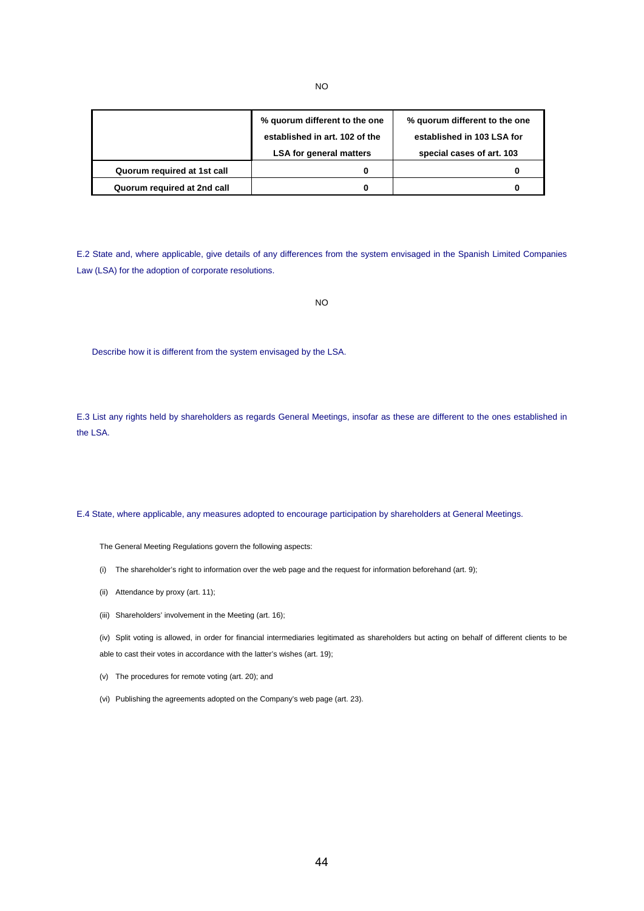|                             | % quorum different to the one<br>established in art. 102 of the<br><b>LSA for general matters</b> | % guorum different to the one<br>established in 103 LSA for<br>special cases of art. 103 |  |
|-----------------------------|---------------------------------------------------------------------------------------------------|------------------------------------------------------------------------------------------|--|
| Quorum required at 1st call |                                                                                                   |                                                                                          |  |
| Quorum required at 2nd call |                                                                                                   |                                                                                          |  |

E.2 State and, where applicable, give details of any differences from the system envisaged in the Spanish Limited Companies Law (LSA) for the adoption of corporate resolutions.

```
NO
```
Describe how it is different from the system envisaged by the LSA.

E.3 List any rights held by shareholders as regards General Meetings, insofar as these are different to the ones established in the LSA.

E.4 State, where applicable, any measures adopted to encourage participation by shareholders at General Meetings.

The General Meeting Regulations govern the following aspects:

- (i) The shareholder's right to information over the web page and the request for information beforehand (art. 9);
- (ii) Attendance by proxy (art. 11);
- (iii) Shareholders' involvement in the Meeting (art. 16);

(iv) Split voting is allowed, in order for financial intermediaries legitimated as shareholders but acting on behalf of different clients to be able to cast their votes in accordance with the latter's wishes (art. 19);

(v) The procedures for remote voting (art. 20); and

(vi) Publishing the agreements adopted on the Company's web page (art. 23).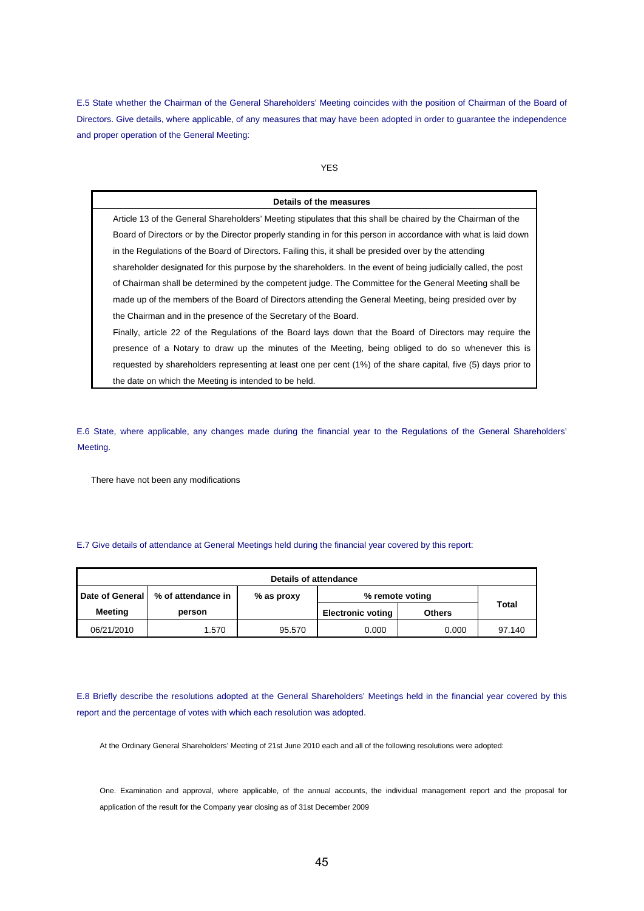E.5 State whether the Chairman of the General Shareholders' Meeting coincides with the position of Chairman of the Board of Directors. Give details, where applicable, of any measures that may have been adopted in order to guarantee the independence and proper operation of the General Meeting:

## YES

#### **Details of the measures**

Article 13 of the General Shareholders' Meeting stipulates that this shall be chaired by the Chairman of the Board of Directors or by the Director properly standing in for this person in accordance with what is laid down in the Regulations of the Board of Directors. Failing this, it shall be presided over by the attending shareholder designated for this purpose by the shareholders. In the event of being judicially called, the post of Chairman shall be determined by the competent judge. The Committee for the General Meeting shall be made up of the members of the Board of Directors attending the General Meeting, being presided over by the Chairman and in the presence of the Secretary of the Board.

Finally, article 22 of the Regulations of the Board lays down that the Board of Directors may require the presence of a Notary to draw up the minutes of the Meeting, being obliged to do so whenever this is requested by shareholders representing at least one per cent (1%) of the share capital, five (5) days prior to the date on which the Meeting is intended to be held.

E.6 State, where applicable, any changes made during the financial year to the Regulations of the General Shareholders' Meeting.

There have not been any modifications

## E.7 Give details of attendance at General Meetings held during the financial year covered by this report:

| <b>Details of attendance</b> |                    |            |                          |               |        |
|------------------------------|--------------------|------------|--------------------------|---------------|--------|
| Date of General              | % of attendance in | % as proxy | % remote voting          |               |        |
| <b>Meeting</b>               | person             |            | <b>Electronic voting</b> | <b>Others</b> | Total  |
| 06/21/2010                   | 1.570              | 95.570     | 0.000                    | 0.000         | 97.140 |

E.8 Briefly describe the resolutions adopted at the General Shareholders' Meetings held in the financial year covered by this report and the percentage of votes with which each resolution was adopted.

At the Ordinary General Shareholders' Meeting of 21st June 2010 each and all of the following resolutions were adopted:

One. Examination and approval, where applicable, of the annual accounts, the individual management report and the proposal for application of the result for the Company year closing as of 31st December 2009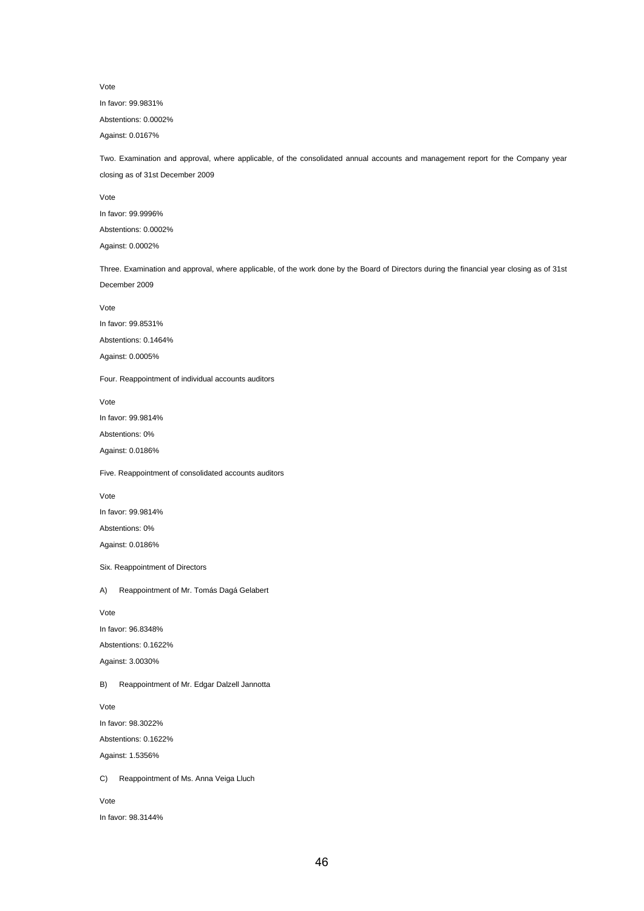Vote

In favor: 99.9831%

Abstentions: 0.0002%

Against: 0.0167%

Two. Examination and approval, where applicable, of the consolidated annual accounts and management report for the Company year closing as of 31st December 2009

Vote

In favor: 99.9996%

Abstentions: 0.0002%

Against: 0.0002%

Three. Examination and approval, where applicable, of the work done by the Board of Directors during the financial year closing as of 31st December 2009

Vote

In favor: 99.8531%

Abstentions: 0.1464%

Against: 0.0005%

Four. Reappointment of individual accounts auditors

Vote

In favor: 99.9814%

Abstentions: 0%

Against: 0.0186%

Five. Reappointment of consolidated accounts auditors

Vote

In favor: 99.9814%

Abstentions: 0% Against: 0.0186%

Six. Reappointment of Directors

A) Reappointment of Mr. Tomás Dagá Gelabert

Vote

In favor: 96.8348%

Abstentions: 0.1622%

Against: 3.0030%

B) Reappointment of Mr. Edgar Dalzell Jannotta

Vote

In favor: 98.3022%

Abstentions: 0.1622%

Against: 1.5356%

C) Reappointment of Ms. Anna Veiga Lluch

Vote

In favor: 98.3144%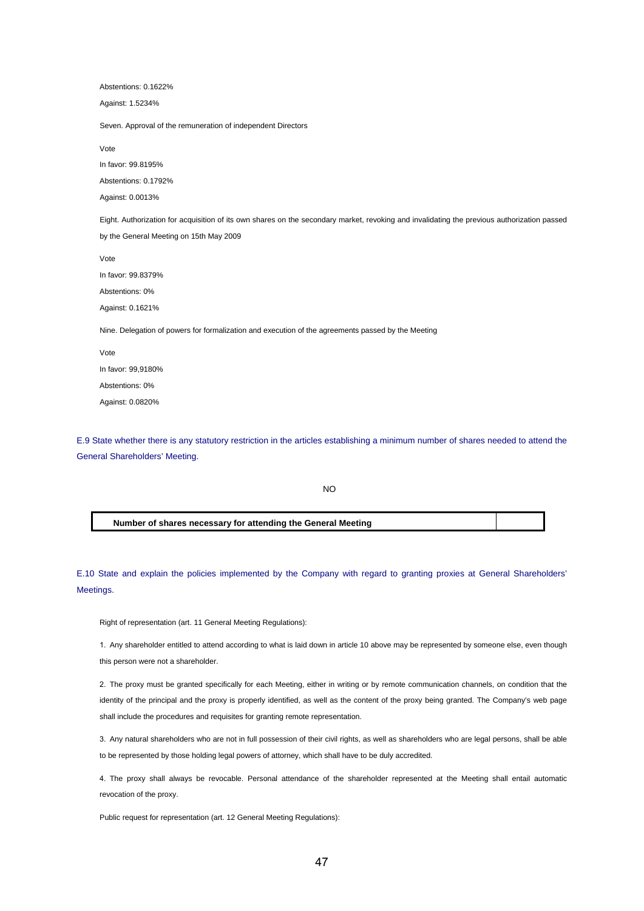| Abstentions: 0.1622%                                                                                                                                                                   |
|----------------------------------------------------------------------------------------------------------------------------------------------------------------------------------------|
| Against: 1.5234%                                                                                                                                                                       |
| Seven. Approval of the remuneration of independent Directors                                                                                                                           |
| Vote                                                                                                                                                                                   |
| In favor: 99.8195%                                                                                                                                                                     |
| Abstentions: 0.1792%                                                                                                                                                                   |
| Against: 0.0013%                                                                                                                                                                       |
| Eight. Authorization for acquisition of its own shares on the secondary market, revoking and invalidating the previous authorization passed<br>by the General Meeting on 15th May 2009 |
| Vote                                                                                                                                                                                   |
| In favor: 99.8379%                                                                                                                                                                     |
| Abstentions: 0%                                                                                                                                                                        |
| Against: 0.1621%                                                                                                                                                                       |
| Nine. Delegation of powers for formalization and execution of the agreements passed by the Meeting                                                                                     |
| Vote                                                                                                                                                                                   |
| In favor: 99,9180%                                                                                                                                                                     |
| Abstentions: 0%                                                                                                                                                                        |
| Against: 0.0820%                                                                                                                                                                       |
|                                                                                                                                                                                        |

E.9 State whether there is any statutory restriction in the articles establishing a minimum number of shares needed to attend the General Shareholders' Meeting.

NO

## **Number of shares necessary for attending the General Meeting**

E.10 State and explain the policies implemented by the Company with regard to granting proxies at General Shareholders' Meetings.

Right of representation (art. 11 General Meeting Regulations):

1. Any shareholder entitled to attend according to what is laid down in article 10 above may be represented by someone else, even though this person were not a shareholder.

2. The proxy must be granted specifically for each Meeting, either in writing or by remote communication channels, on condition that the identity of the principal and the proxy is properly identified, as well as the content of the proxy being granted. The Company's web page shall include the procedures and requisites for granting remote representation.

3. Any natural shareholders who are not in full possession of their civil rights, as well as shareholders who are legal persons, shall be able to be represented by those holding legal powers of attorney, which shall have to be duly accredited.

4. The proxy shall always be revocable. Personal attendance of the shareholder represented at the Meeting shall entail automatic revocation of the proxy.

Public request for representation (art. 12 General Meeting Regulations):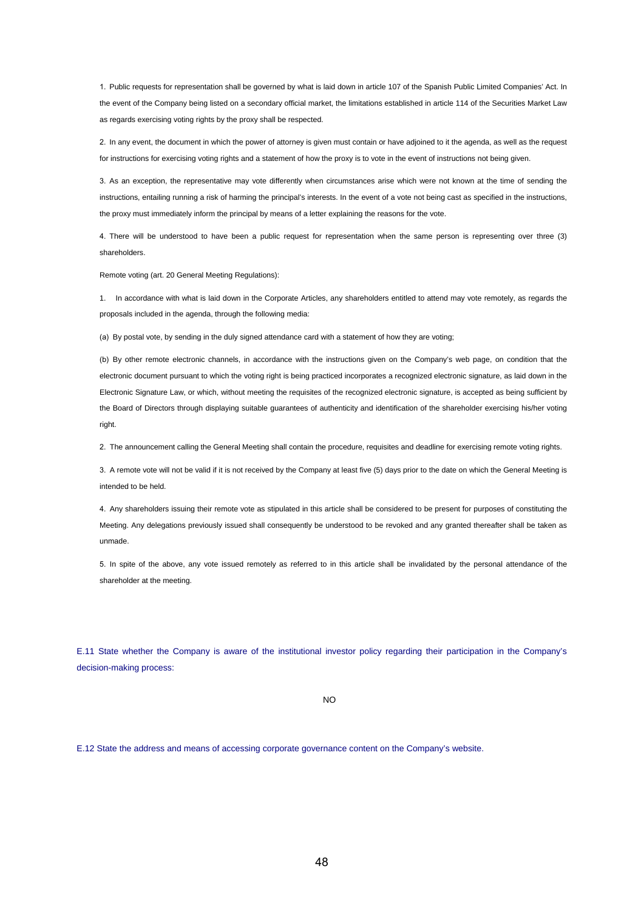1. Public requests for representation shall be governed by what is laid down in article 107 of the Spanish Public Limited Companies' Act. In the event of the Company being listed on a secondary official market, the limitations established in article 114 of the Securities Market Law as regards exercising voting rights by the proxy shall be respected.

2. In any event, the document in which the power of attorney is given must contain or have adjoined to it the agenda, as well as the request for instructions for exercising voting rights and a statement of how the proxy is to vote in the event of instructions not being given.

3. As an exception, the representative may vote differently when circumstances arise which were not known at the time of sending the instructions, entailing running a risk of harming the principal's interests. In the event of a vote not being cast as specified in the instructions, the proxy must immediately inform the principal by means of a letter explaining the reasons for the vote.

4. There will be understood to have been a public request for representation when the same person is representing over three (3) shareholders.

Remote voting (art. 20 General Meeting Regulations):

1. In accordance with what is laid down in the Corporate Articles, any shareholders entitled to attend may vote remotely, as regards the proposals included in the agenda, through the following media:

(a) By postal vote, by sending in the duly signed attendance card with a statement of how they are voting;

(b) By other remote electronic channels, in accordance with the instructions given on the Company's web page, on condition that the electronic document pursuant to which the voting right is being practiced incorporates a recognized electronic signature, as laid down in the Electronic Signature Law, or which, without meeting the requisites of the recognized electronic signature, is accepted as being sufficient by the Board of Directors through displaying suitable guarantees of authenticity and identification of the shareholder exercising his/her voting right.

2. The announcement calling the General Meeting shall contain the procedure, requisites and deadline for exercising remote voting rights.

3. A remote vote will not be valid if it is not received by the Company at least five (5) days prior to the date on which the General Meeting is intended to be held.

4. Any shareholders issuing their remote vote as stipulated in this article shall be considered to be present for purposes of constituting the Meeting. Any delegations previously issued shall consequently be understood to be revoked and any granted thereafter shall be taken as unmade.

5. In spite of the above, any vote issued remotely as referred to in this article shall be invalidated by the personal attendance of the shareholder at the meeting.

E.11 State whether the Company is aware of the institutional investor policy regarding their participation in the Company's decision-making process:

NO

E.12 State the address and means of accessing corporate governance content on the Company's website.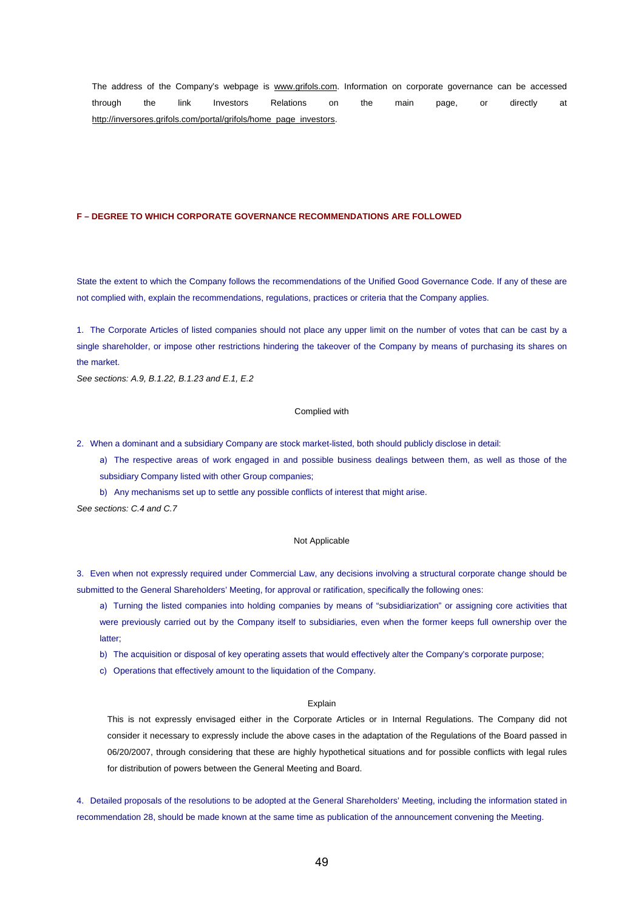The address of the Company's webpage is www.grifols.com. Information on corporate governance can be accessed through the link Investors Relations on the main page, or directly at http://inversores.grifols.com/portal/grifols/home\_page\_investors.

#### **F – DEGREE TO WHICH CORPORATE GOVERNANCE RECOMMENDATIONS ARE FOLLOWED**

State the extent to which the Company follows the recommendations of the Unified Good Governance Code. If any of these are not complied with, explain the recommendations, regulations, practices or criteria that the Company applies.

1. The Corporate Articles of listed companies should not place any upper limit on the number of votes that can be cast by a single shareholder, or impose other restrictions hindering the takeover of the Company by means of purchasing its shares on the market.

*See sections: A.9, B.1.22, B.1.23 and E.1, E.2* 

## Complied with

2. When a dominant and a subsidiary Company are stock market-listed, both should publicly disclose in detail:

a) The respective areas of work engaged in and possible business dealings between them, as well as those of the subsidiary Company listed with other Group companies;

b) Any mechanisms set up to settle any possible conflicts of interest that might arise.

*See sections: C.4 and C.7* 

### Not Applicable

3. Even when not expressly required under Commercial Law, any decisions involving a structural corporate change should be submitted to the General Shareholders' Meeting, for approval or ratification, specifically the following ones:

a) Turning the listed companies into holding companies by means of "subsidiarization" or assigning core activities that were previously carried out by the Company itself to subsidiaries, even when the former keeps full ownership over the latter;

b) The acquisition or disposal of key operating assets that would effectively alter the Company's corporate purpose;

c) Operations that effectively amount to the liquidation of the Company.

#### Explain

This is not expressly envisaged either in the Corporate Articles or in Internal Regulations. The Company did not consider it necessary to expressly include the above cases in the adaptation of the Regulations of the Board passed in 06/20/2007, through considering that these are highly hypothetical situations and for possible conflicts with legal rules for distribution of powers between the General Meeting and Board.

4. Detailed proposals of the resolutions to be adopted at the General Shareholders' Meeting, including the information stated in recommendation 28, should be made known at the same time as publication of the announcement convening the Meeting.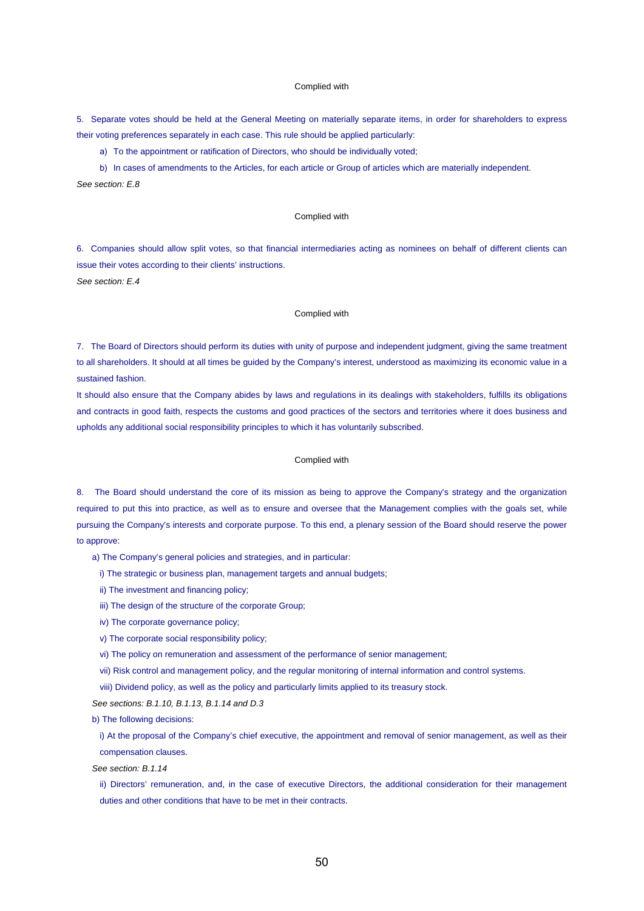#### Complied with

5. Separate votes should be held at the General Meeting on materially separate items, in order for shareholders to express their voting preferences separately in each case. This rule should be applied particularly:

a) To the appointment or ratification of Directors, who should be individually voted;

b) In cases of amendments to the Articles, for each article or Group of articles which are materially independent. *See section: E.8* 

#### Complied with

6. Companies should allow split votes, so that financial intermediaries acting as nominees on behalf of different clients can issue their votes according to their clients' instructions. *See section: E.4* 

## Complied with

7. The Board of Directors should perform its duties with unity of purpose and independent judgment, giving the same treatment to all shareholders. It should at all times be guided by the Company's interest, understood as maximizing its economic value in a sustained fashion.

It should also ensure that the Company abides by laws and regulations in its dealings with stakeholders, fulfills its obligations and contracts in good faith, respects the customs and good practices of the sectors and territories where it does business and upholds any additional social responsibility principles to which it has voluntarily subscribed.

## Complied with

8. The Board should understand the core of its mission as being to approve the Company's strategy and the organization required to put this into practice, as well as to ensure and oversee that the Management complies with the goals set, while pursuing the Company's interests and corporate purpose. To this end, a plenary session of the Board should reserve the power to approve:

- a) The Company's general policies and strategies, and in particular:
	- i) The strategic or business plan, management targets and annual budgets;
	- ii) The investment and financing policy;
	- iii) The design of the structure of the corporate Group;
	- iv) The corporate governance policy;
	- v) The corporate social responsibility policy;
	- vi) The policy on remuneration and assessment of the performance of senior management;
	- vii) Risk control and management policy, and the regular monitoring of internal information and control systems.
	- viii) Dividend policy, as well as the policy and particularly limits applied to its treasury stock.
- *See sections: B.1.10, B.1.13, B.1.14 and D.3*

b) The following decisions:

i) At the proposal of the Company's chief executive, the appointment and removal of senior management, as well as their compensation clauses.

*See section: B.1.14* 

ii) Directors' remuneration, and, in the case of executive Directors, the additional consideration for their management duties and other conditions that have to be met in their contracts.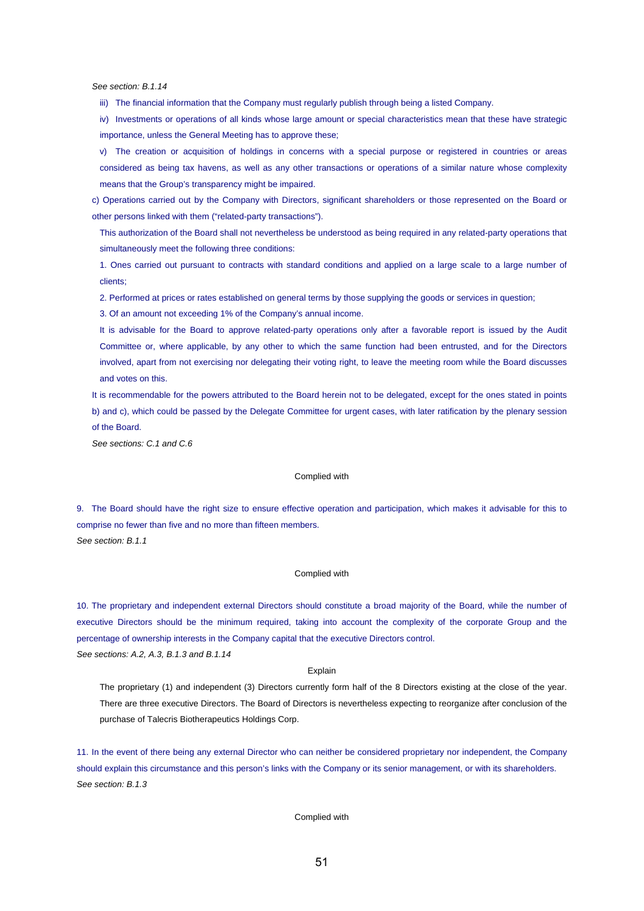*See section: B.1.14* 

iii) The financial information that the Company must regularly publish through being a listed Company.

iv) Investments or operations of all kinds whose large amount or special characteristics mean that these have strategic importance, unless the General Meeting has to approve these;

v) The creation or acquisition of holdings in concerns with a special purpose or registered in countries or areas considered as being tax havens, as well as any other transactions or operations of a similar nature whose complexity means that the Group's transparency might be impaired.

c) Operations carried out by the Company with Directors, significant shareholders or those represented on the Board or other persons linked with them ("related-party transactions").

This authorization of the Board shall not nevertheless be understood as being required in any related-party operations that simultaneously meet the following three conditions:

1. Ones carried out pursuant to contracts with standard conditions and applied on a large scale to a large number of clients;

2. Performed at prices or rates established on general terms by those supplying the goods or services in question;

3. Of an amount not exceeding 1% of the Company's annual income.

It is advisable for the Board to approve related-party operations only after a favorable report is issued by the Audit Committee or, where applicable, by any other to which the same function had been entrusted, and for the Directors involved, apart from not exercising nor delegating their voting right, to leave the meeting room while the Board discusses and votes on this.

It is recommendable for the powers attributed to the Board herein not to be delegated, except for the ones stated in points b) and c), which could be passed by the Delegate Committee for urgent cases, with later ratification by the plenary session of the Board.

*See sections: C.1 and C.6* 

#### Complied with

9. The Board should have the right size to ensure effective operation and participation, which makes it advisable for this to comprise no fewer than five and no more than fifteen members.

*See section: B.1.1* 

### Complied with

10. The proprietary and independent external Directors should constitute a broad majority of the Board, while the number of executive Directors should be the minimum required, taking into account the complexity of the corporate Group and the percentage of ownership interests in the Company capital that the executive Directors control. *See sections: A.2, A.3, B.1.3 and B.1.14* 

Explain

The proprietary (1) and independent (3) Directors currently form half of the 8 Directors existing at the close of the year. There are three executive Directors. The Board of Directors is nevertheless expecting to reorganize after conclusion of the purchase of Talecris Biotherapeutics Holdings Corp.

11. In the event of there being any external Director who can neither be considered proprietary nor independent, the Company should explain this circumstance and this person's links with the Company or its senior management, or with its shareholders. *See section: B.1.3*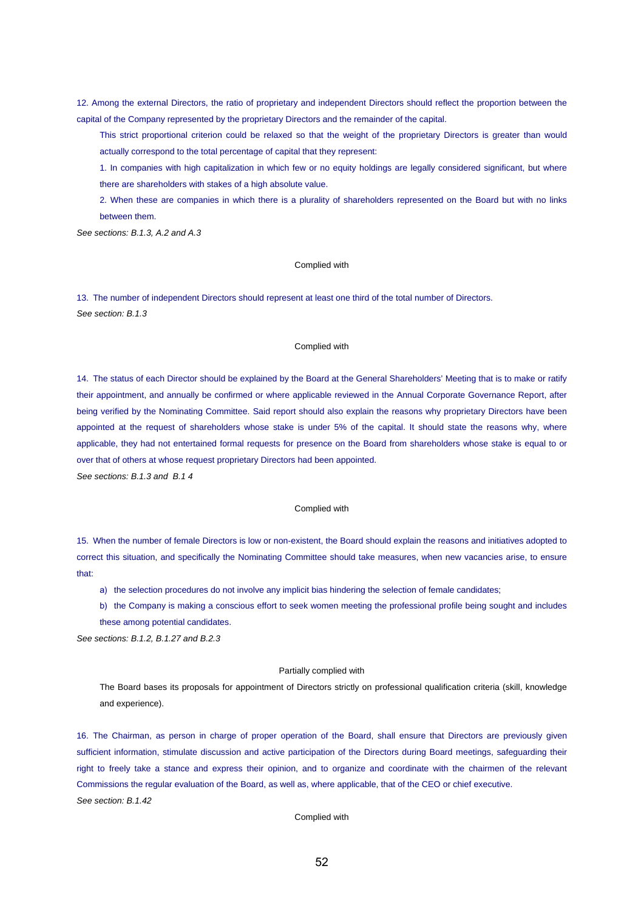12. Among the external Directors, the ratio of proprietary and independent Directors should reflect the proportion between the capital of the Company represented by the proprietary Directors and the remainder of the capital.

This strict proportional criterion could be relaxed so that the weight of the proprietary Directors is greater than would actually correspond to the total percentage of capital that they represent:

1. In companies with high capitalization in which few or no equity holdings are legally considered significant, but where there are shareholders with stakes of a high absolute value.

2. When these are companies in which there is a plurality of shareholders represented on the Board but with no links between them.

*See sections: B.1.3, A.2 and A.3* 

### Complied with

13. The number of independent Directors should represent at least one third of the total number of Directors. *See section: B.1.3* 

### Complied with

14. The status of each Director should be explained by the Board at the General Shareholders' Meeting that is to make or ratify their appointment, and annually be confirmed or where applicable reviewed in the Annual Corporate Governance Report, after being verified by the Nominating Committee. Said report should also explain the reasons why proprietary Directors have been appointed at the request of shareholders whose stake is under 5% of the capital. It should state the reasons why, where applicable, they had not entertained formal requests for presence on the Board from shareholders whose stake is equal to or over that of others at whose request proprietary Directors had been appointed.

*See sections: B.1.3 and B.1 4* 

#### Complied with

15. When the number of female Directors is low or non-existent, the Board should explain the reasons and initiatives adopted to correct this situation, and specifically the Nominating Committee should take measures, when new vacancies arise, to ensure that:

a) the selection procedures do not involve any implicit bias hindering the selection of female candidates;

b) the Company is making a conscious effort to seek women meeting the professional profile being sought and includes these among potential candidates.

*See sections: B.1.2, B.1.27 and B.2.3* 

#### Partially complied with

The Board bases its proposals for appointment of Directors strictly on professional qualification criteria (skill, knowledge and experience).

16. The Chairman, as person in charge of proper operation of the Board, shall ensure that Directors are previously given sufficient information, stimulate discussion and active participation of the Directors during Board meetings, safeguarding their right to freely take a stance and express their opinion, and to organize and coordinate with the chairmen of the relevant Commissions the regular evaluation of the Board, as well as, where applicable, that of the CEO or chief executive. *See section: B.1.42*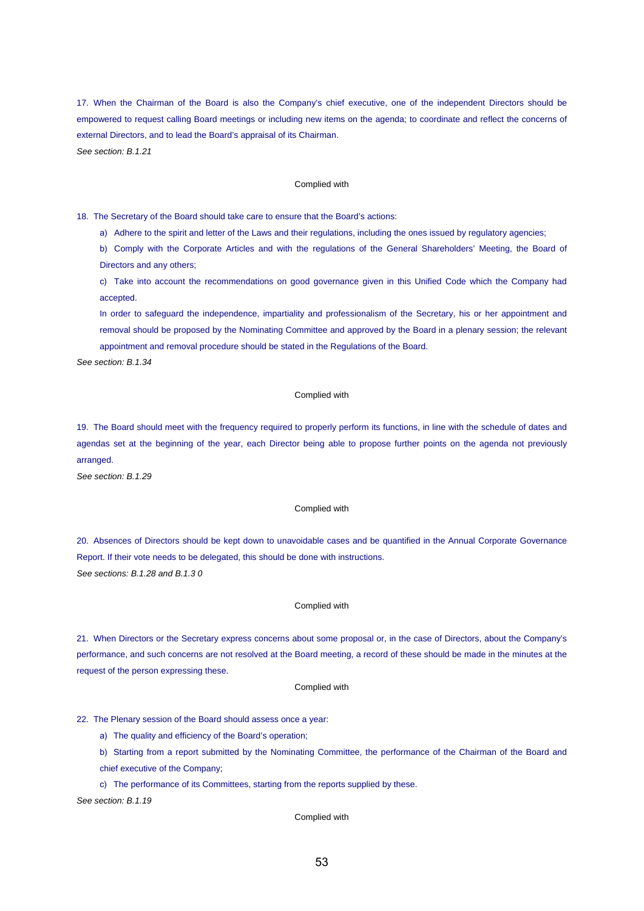17. When the Chairman of the Board is also the Company's chief executive, one of the independent Directors should be empowered to request calling Board meetings or including new items on the agenda; to coordinate and reflect the concerns of external Directors, and to lead the Board's appraisal of its Chairman. *See section: B.1.21* 

### Complied with

18. The Secretary of the Board should take care to ensure that the Board's actions:

a) Adhere to the spirit and letter of the Laws and their regulations, including the ones issued by regulatory agencies;

b) Comply with the Corporate Articles and with the regulations of the General Shareholders' Meeting, the Board of Directors and any others;

c) Take into account the recommendations on good governance given in this Unified Code which the Company had accepted.

In order to safeguard the independence, impartiality and professionalism of the Secretary, his or her appointment and removal should be proposed by the Nominating Committee and approved by the Board in a plenary session; the relevant appointment and removal procedure should be stated in the Regulations of the Board.

*See section: B.1.34* 

### Complied with

19. The Board should meet with the frequency required to properly perform its functions, in line with the schedule of dates and agendas set at the beginning of the year, each Director being able to propose further points on the agenda not previously arranged.

*See section: B.1.29* 

#### Complied with

20. Absences of Directors should be kept down to unavoidable cases and be quantified in the Annual Corporate Governance Report. If their vote needs to be delegated, this should be done with instructions. *See sections: B.1.28 and B.1.3 0* 

#### Complied with

21. When Directors or the Secretary express concerns about some proposal or, in the case of Directors, about the Company's performance, and such concerns are not resolved at the Board meeting, a record of these should be made in the minutes at the request of the person expressing these.

## Complied with

22. The Plenary session of the Board should assess once a year:

a) The quality and efficiency of the Board's operation;

b) Starting from a report submitted by the Nominating Committee, the performance of the Chairman of the Board and chief executive of the Company;

c) The performance of its Committees, starting from the reports supplied by these.

*See section: B.1.19*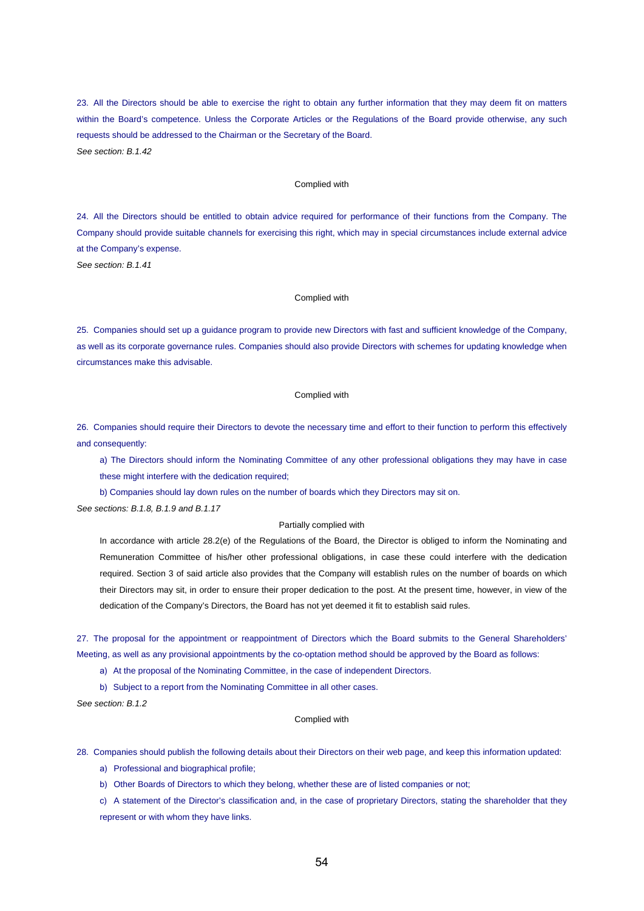23. All the Directors should be able to exercise the right to obtain any further information that they may deem fit on matters within the Board's competence. Unless the Corporate Articles or the Regulations of the Board provide otherwise, any such requests should be addressed to the Chairman or the Secretary of the Board. *See section: B.1.42* 

## Complied with

24. All the Directors should be entitled to obtain advice required for performance of their functions from the Company. The Company should provide suitable channels for exercising this right, which may in special circumstances include external advice at the Company's expense.

*See section: B.1.41* 

## Complied with

25. Companies should set up a guidance program to provide new Directors with fast and sufficient knowledge of the Company, as well as its corporate governance rules. Companies should also provide Directors with schemes for updating knowledge when circumstances make this advisable.

#### Complied with

26. Companies should require their Directors to devote the necessary time and effort to their function to perform this effectively and consequently:

a) The Directors should inform the Nominating Committee of any other professional obligations they may have in case these might interfere with the dedication required;

b) Companies should lay down rules on the number of boards which they Directors may sit on.

*See sections: B.1.8, B.1.9 and B.1.17* 

## Partially complied with

In accordance with article 28.2(e) of the Regulations of the Board, the Director is obliged to inform the Nominating and Remuneration Committee of his/her other professional obligations, in case these could interfere with the dedication required. Section 3 of said article also provides that the Company will establish rules on the number of boards on which their Directors may sit, in order to ensure their proper dedication to the post. At the present time, however, in view of the dedication of the Company's Directors, the Board has not yet deemed it fit to establish said rules.

27. The proposal for the appointment or reappointment of Directors which the Board submits to the General Shareholders' Meeting, as well as any provisional appointments by the co-optation method should be approved by the Board as follows:

a) At the proposal of the Nominating Committee, in the case of independent Directors.

b) Subject to a report from the Nominating Committee in all other cases.

*See section: B.1.2* 

## Complied with

28. Companies should publish the following details about their Directors on their web page, and keep this information updated:

a) Professional and biographical profile;

b) Other Boards of Directors to which they belong, whether these are of listed companies or not;

c) A statement of the Director's classification and, in the case of proprietary Directors, stating the shareholder that they represent or with whom they have links.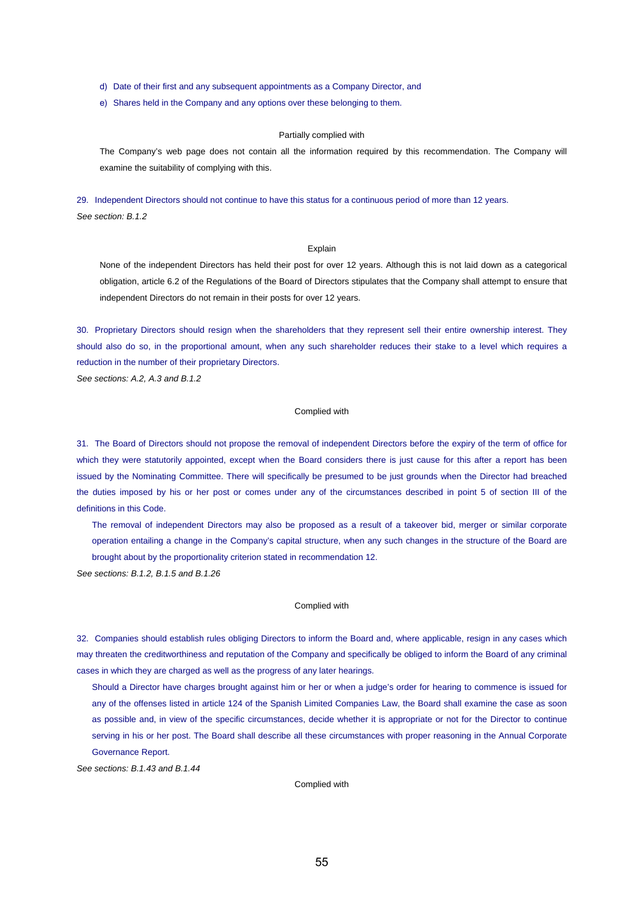d) Date of their first and any subsequent appointments as a Company Director, and

e) Shares held in the Company and any options over these belonging to them.

## Partially complied with

The Company's web page does not contain all the information required by this recommendation. The Company will examine the suitability of complying with this.

29. Independent Directors should not continue to have this status for a continuous period of more than 12 years.

*See section: B.1.2* 

## Explain

None of the independent Directors has held their post for over 12 years. Although this is not laid down as a categorical obligation, article 6.2 of the Regulations of the Board of Directors stipulates that the Company shall attempt to ensure that independent Directors do not remain in their posts for over 12 years.

30. Proprietary Directors should resign when the shareholders that they represent sell their entire ownership interest. They should also do so, in the proportional amount, when any such shareholder reduces their stake to a level which requires a reduction in the number of their proprietary Directors.

*See sections: A.2, A.3 and B.1.2* 

## Complied with

31. The Board of Directors should not propose the removal of independent Directors before the expiry of the term of office for which they were statutorily appointed, except when the Board considers there is just cause for this after a report has been issued by the Nominating Committee. There will specifically be presumed to be just grounds when the Director had breached the duties imposed by his or her post or comes under any of the circumstances described in point 5 of section III of the definitions in this Code.

The removal of independent Directors may also be proposed as a result of a takeover bid, merger or similar corporate operation entailing a change in the Company's capital structure, when any such changes in the structure of the Board are brought about by the proportionality criterion stated in recommendation 12.

*See sections: B.1.2, B.1.5 and B.1.26* 

#### Complied with

32. Companies should establish rules obliging Directors to inform the Board and, where applicable, resign in any cases which may threaten the creditworthiness and reputation of the Company and specifically be obliged to inform the Board of any criminal cases in which they are charged as well as the progress of any later hearings.

Should a Director have charges brought against him or her or when a judge's order for hearing to commence is issued for any of the offenses listed in article 124 of the Spanish Limited Companies Law, the Board shall examine the case as soon as possible and, in view of the specific circumstances, decide whether it is appropriate or not for the Director to continue serving in his or her post. The Board shall describe all these circumstances with proper reasoning in the Annual Corporate Governance Report.

*See sections: B.1.43 and B.1.44*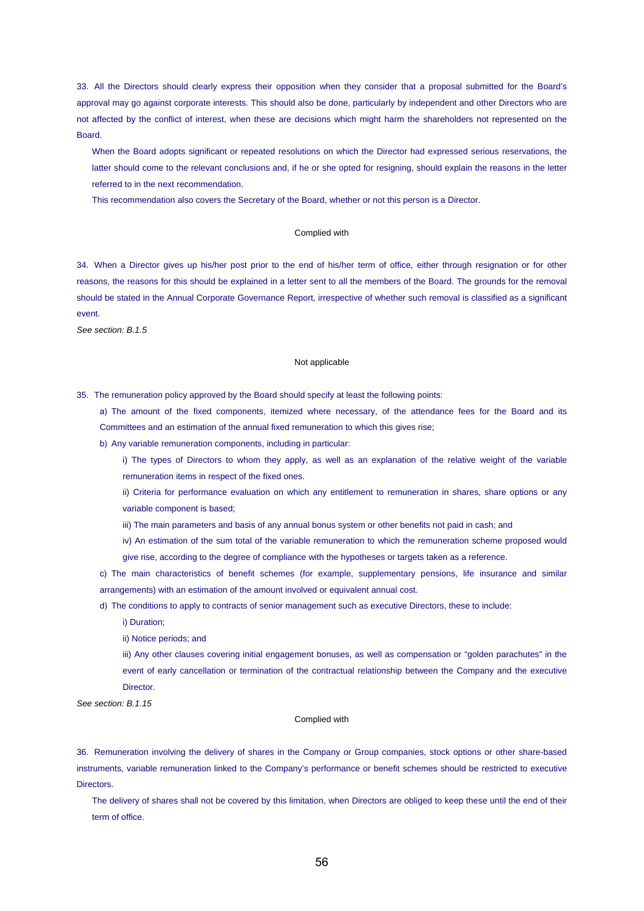33. All the Directors should clearly express their opposition when they consider that a proposal submitted for the Board's approval may go against corporate interests. This should also be done, particularly by independent and other Directors who are not affected by the conflict of interest, when these are decisions which might harm the shareholders not represented on the Board.

When the Board adopts significant or repeated resolutions on which the Director had expressed serious reservations, the latter should come to the relevant conclusions and, if he or she opted for resigning, should explain the reasons in the letter referred to in the next recommendation.

This recommendation also covers the Secretary of the Board, whether or not this person is a Director.

## Complied with

34. When a Director gives up his/her post prior to the end of his/her term of office, either through resignation or for other reasons, the reasons for this should be explained in a letter sent to all the members of the Board. The grounds for the removal should be stated in the Annual Corporate Governance Report, irrespective of whether such removal is classified as a significant event.

*See section: B.1.5* 

## Not applicable

35. The remuneration policy approved by the Board should specify at least the following points:

a) The amount of the fixed components, itemized where necessary, of the attendance fees for the Board and its Committees and an estimation of the annual fixed remuneration to which this gives rise;

- b) Any variable remuneration components, including in particular:
	- i) The types of Directors to whom they apply, as well as an explanation of the relative weight of the variable remuneration items in respect of the fixed ones.
	- ii) Criteria for performance evaluation on which any entitlement to remuneration in shares, share options or any variable component is based;
	- iii) The main parameters and basis of any annual bonus system or other benefits not paid in cash; and
	- iv) An estimation of the sum total of the variable remuneration to which the remuneration scheme proposed would give rise, according to the degree of compliance with the hypotheses or targets taken as a reference.

c) The main characteristics of benefit schemes (for example, supplementary pensions, life insurance and similar arrangements) with an estimation of the amount involved or equivalent annual cost.

d) The conditions to apply to contracts of senior management such as executive Directors, these to include:

i) Duration;

ii) Notice periods; and

iii) Any other clauses covering initial engagement bonuses, as well as compensation or "golden parachutes" in the event of early cancellation or termination of the contractual relationship between the Company and the executive **Director** 

*See section: B.1.15* 

## Complied with

36. Remuneration involving the delivery of shares in the Company or Group companies, stock options or other share-based instruments, variable remuneration linked to the Company's performance or benefit schemes should be restricted to executive **Directors** 

The delivery of shares shall not be covered by this limitation, when Directors are obliged to keep these until the end of their term of office.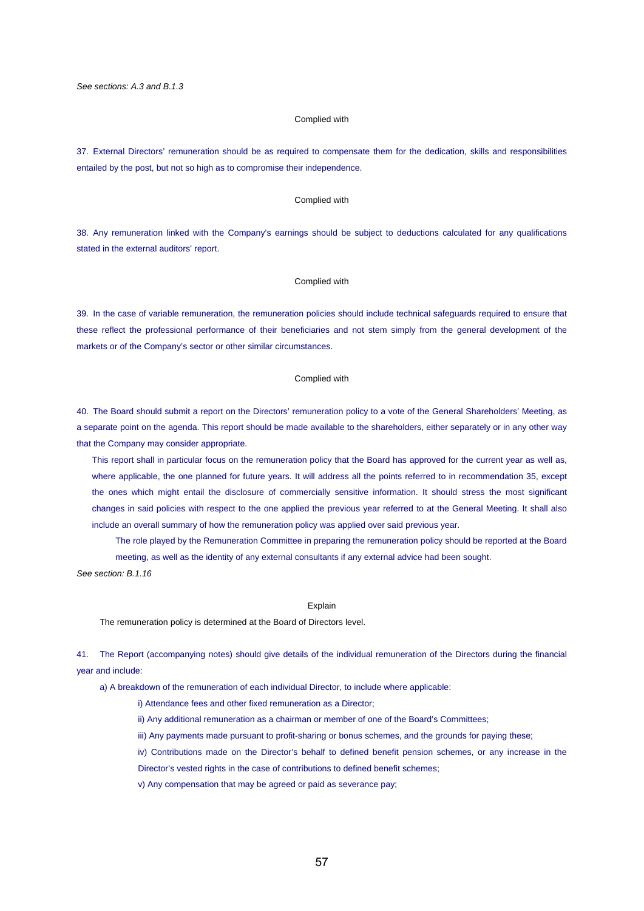### Complied with

37. External Directors' remuneration should be as required to compensate them for the dedication, skills and responsibilities entailed by the post, but not so high as to compromise their independence.

## Complied with

38. Any remuneration linked with the Company's earnings should be subject to deductions calculated for any qualifications stated in the external auditors' report.

#### Complied with

39. In the case of variable remuneration, the remuneration policies should include technical safeguards required to ensure that these reflect the professional performance of their beneficiaries and not stem simply from the general development of the markets or of the Company's sector or other similar circumstances.

#### Complied with

40. The Board should submit a report on the Directors' remuneration policy to a vote of the General Shareholders' Meeting, as a separate point on the agenda. This report should be made available to the shareholders, either separately or in any other way that the Company may consider appropriate.

This report shall in particular focus on the remuneration policy that the Board has approved for the current year as well as, where applicable, the one planned for future years. It will address all the points referred to in recommendation 35, except the ones which might entail the disclosure of commercially sensitive information. It should stress the most significant changes in said policies with respect to the one applied the previous year referred to at the General Meeting. It shall also include an overall summary of how the remuneration policy was applied over said previous year.

The role played by the Remuneration Committee in preparing the remuneration policy should be reported at the Board meeting, as well as the identity of any external consultants if any external advice had been sought.

*See section: B.1.16* 

#### Explain

The remuneration policy is determined at the Board of Directors level.

41. The Report (accompanying notes) should give details of the individual remuneration of the Directors during the financial year and include:

a) A breakdown of the remuneration of each individual Director, to include where applicable:

i) Attendance fees and other fixed remuneration as a Director;

ii) Any additional remuneration as a chairman or member of one of the Board's Committees;

iii) Any payments made pursuant to profit-sharing or bonus schemes, and the grounds for paying these;

iv) Contributions made on the Director's behalf to defined benefit pension schemes, or any increase in the Director's vested rights in the case of contributions to defined benefit schemes;

v) Any compensation that may be agreed or paid as severance pay;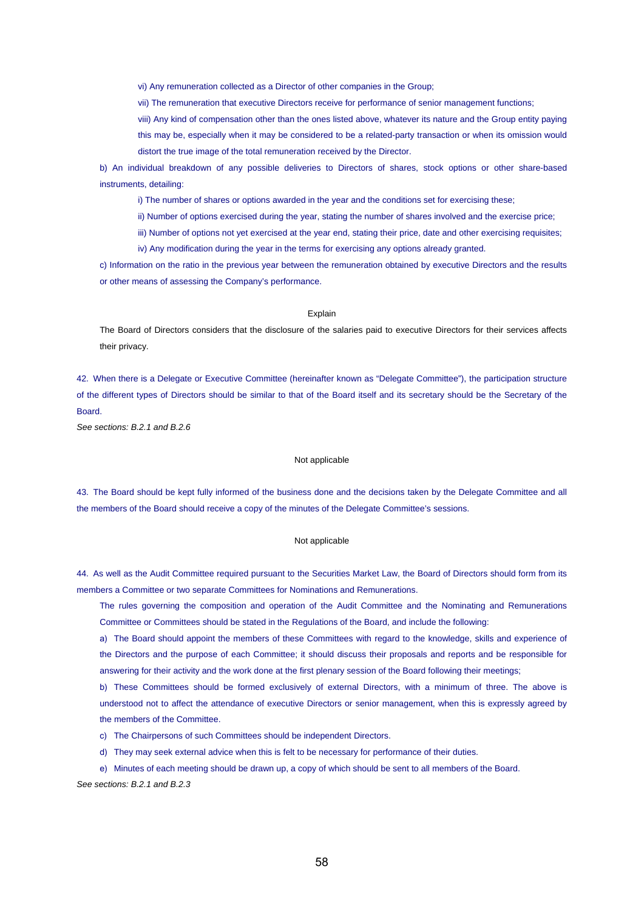vi) Any remuneration collected as a Director of other companies in the Group;

vii) The remuneration that executive Directors receive for performance of senior management functions;

viii) Any kind of compensation other than the ones listed above, whatever its nature and the Group entity paying

this may be, especially when it may be considered to be a related-party transaction or when its omission would distort the true image of the total remuneration received by the Director.

b) An individual breakdown of any possible deliveries to Directors of shares, stock options or other share-based instruments, detailing:

i) The number of shares or options awarded in the year and the conditions set for exercising these;

ii) Number of options exercised during the year, stating the number of shares involved and the exercise price;

iii) Number of options not yet exercised at the year end, stating their price, date and other exercising requisites;

iv) Any modification during the year in the terms for exercising any options already granted.

c) Information on the ratio in the previous year between the remuneration obtained by executive Directors and the results or other means of assessing the Company's performance.

#### **Explain**

The Board of Directors considers that the disclosure of the salaries paid to executive Directors for their services affects their privacy.

42. When there is a Delegate or Executive Committee (hereinafter known as "Delegate Committee"), the participation structure of the different types of Directors should be similar to that of the Board itself and its secretary should be the Secretary of the Board.

*See sections: B.2.1 and B.2.6* 

#### Not applicable

43. The Board should be kept fully informed of the business done and the decisions taken by the Delegate Committee and all the members of the Board should receive a copy of the minutes of the Delegate Committee's sessions.

### Not applicable

44. As well as the Audit Committee required pursuant to the Securities Market Law, the Board of Directors should form from its members a Committee or two separate Committees for Nominations and Remunerations.

The rules governing the composition and operation of the Audit Committee and the Nominating and Remunerations Committee or Committees should be stated in the Regulations of the Board, and include the following:

a) The Board should appoint the members of these Committees with regard to the knowledge, skills and experience of the Directors and the purpose of each Committee; it should discuss their proposals and reports and be responsible for answering for their activity and the work done at the first plenary session of the Board following their meetings;

b) These Committees should be formed exclusively of external Directors, with a minimum of three. The above is understood not to affect the attendance of executive Directors or senior management, when this is expressly agreed by the members of the Committee.

- c) The Chairpersons of such Committees should be independent Directors.
- d) They may seek external advice when this is felt to be necessary for performance of their duties.

e) Minutes of each meeting should be drawn up, a copy of which should be sent to all members of the Board.

*See sections: B.2.1 and B.2.3*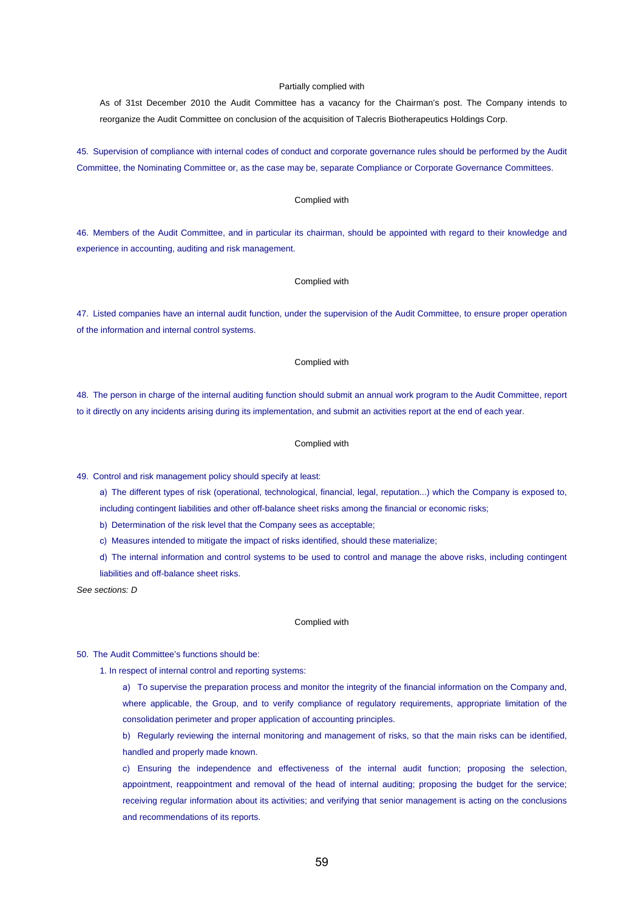#### Partially complied with

As of 31st December 2010 the Audit Committee has a vacancy for the Chairman's post. The Company intends to reorganize the Audit Committee on conclusion of the acquisition of Talecris Biotherapeutics Holdings Corp.

45. Supervision of compliance with internal codes of conduct and corporate governance rules should be performed by the Audit Committee, the Nominating Committee or, as the case may be, separate Compliance or Corporate Governance Committees.

## Complied with

46. Members of the Audit Committee, and in particular its chairman, should be appointed with regard to their knowledge and experience in accounting, auditing and risk management.

### Complied with

47. Listed companies have an internal audit function, under the supervision of the Audit Committee, to ensure proper operation of the information and internal control systems.

## Complied with

48. The person in charge of the internal auditing function should submit an annual work program to the Audit Committee, report to it directly on any incidents arising during its implementation, and submit an activities report at the end of each year.

### Complied with

49. Control and risk management policy should specify at least:

- a) The different types of risk (operational, technological, financial, legal, reputation...) which the Company is exposed to, including contingent liabilities and other off-balance sheet risks among the financial or economic risks;
- b) Determination of the risk level that the Company sees as acceptable;
- c) Measures intended to mitigate the impact of risks identified, should these materialize;
- d) The internal information and control systems to be used to control and manage the above risks, including contingent liabilities and off-balance sheet risks.

*See sections: D* 

#### Complied with

#### 50. The Audit Committee's functions should be:

- 1. In respect of internal control and reporting systems:
	- a) To supervise the preparation process and monitor the integrity of the financial information on the Company and, where applicable, the Group, and to verify compliance of regulatory requirements, appropriate limitation of the consolidation perimeter and proper application of accounting principles.
	- b) Regularly reviewing the internal monitoring and management of risks, so that the main risks can be identified, handled and properly made known.
	- c) Ensuring the independence and effectiveness of the internal audit function; proposing the selection, appointment, reappointment and removal of the head of internal auditing; proposing the budget for the service; receiving regular information about its activities; and verifying that senior management is acting on the conclusions and recommendations of its reports.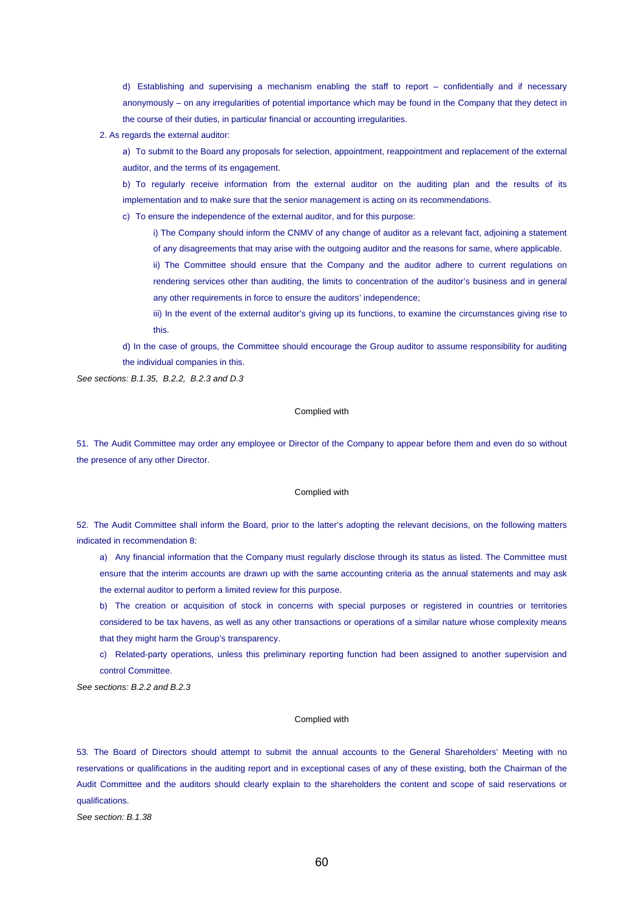d) Establishing and supervising a mechanism enabling the staff to report – confidentially and if necessary anonymously – on any irregularities of potential importance which may be found in the Company that they detect in the course of their duties, in particular financial or accounting irregularities.

2. As regards the external auditor:

a) To submit to the Board any proposals for selection, appointment, reappointment and replacement of the external auditor, and the terms of its engagement.

b) To regularly receive information from the external auditor on the auditing plan and the results of its implementation and to make sure that the senior management is acting on its recommendations.

c) To ensure the independence of the external auditor, and for this purpose:

i) The Company should inform the CNMV of any change of auditor as a relevant fact, adjoining a statement of any disagreements that may arise with the outgoing auditor and the reasons for same, where applicable.

ii) The Committee should ensure that the Company and the auditor adhere to current regulations on rendering services other than auditing, the limits to concentration of the auditor's business and in general any other requirements in force to ensure the auditors' independence;

iii) In the event of the external auditor's giving up its functions, to examine the circumstances giving rise to this.

d) In the case of groups, the Committee should encourage the Group auditor to assume responsibility for auditing the individual companies in this.

*See sections: B.1.35, B.2.2, B.2.3 and D.3* 

## Complied with

51. The Audit Committee may order any employee or Director of the Company to appear before them and even do so without the presence of any other Director.

### Complied with

52. The Audit Committee shall inform the Board, prior to the latter's adopting the relevant decisions, on the following matters indicated in recommendation 8:

a) Any financial information that the Company must regularly disclose through its status as listed. The Committee must ensure that the interim accounts are drawn up with the same accounting criteria as the annual statements and may ask the external auditor to perform a limited review for this purpose.

b) The creation or acquisition of stock in concerns with special purposes or registered in countries or territories considered to be tax havens, as well as any other transactions or operations of a similar nature whose complexity means that they might harm the Group's transparency.

c) Related-party operations, unless this preliminary reporting function had been assigned to another supervision and control Committee.

*See sections: B.2.2 and B.2.3* 

## Complied with

53. The Board of Directors should attempt to submit the annual accounts to the General Shareholders' Meeting with no reservations or qualifications in the auditing report and in exceptional cases of any of these existing, both the Chairman of the Audit Committee and the auditors should clearly explain to the shareholders the content and scope of said reservations or qualifications.

*See section: B.1.38*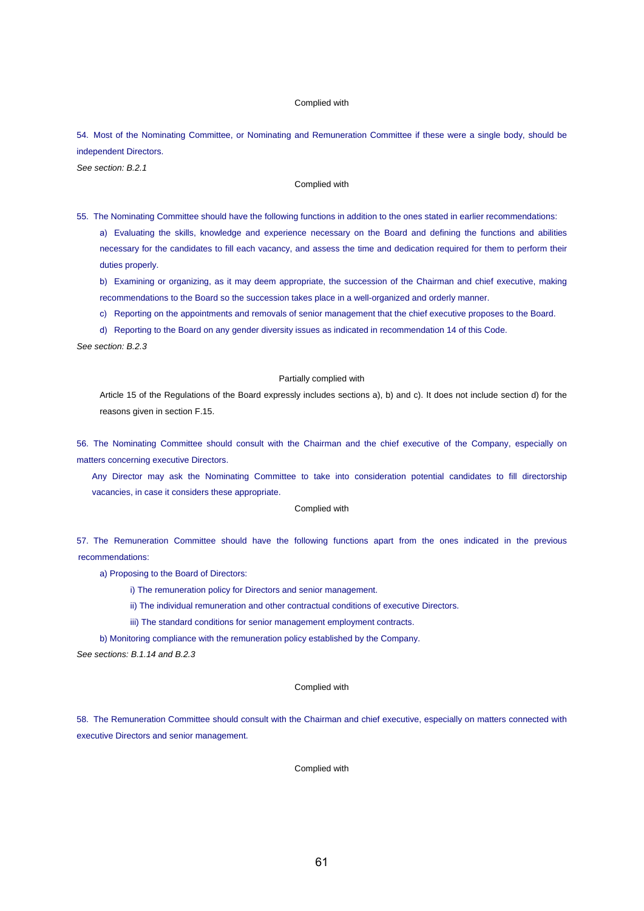## Complied with

54. Most of the Nominating Committee, or Nominating and Remuneration Committee if these were a single body, should be independent Directors.

*See section: B.2.1* 

## Complied with

55. The Nominating Committee should have the following functions in addition to the ones stated in earlier recommendations:

a) Evaluating the skills, knowledge and experience necessary on the Board and defining the functions and abilities necessary for the candidates to fill each vacancy, and assess the time and dedication required for them to perform their duties properly.

b) Examining or organizing, as it may deem appropriate, the succession of the Chairman and chief executive, making recommendations to the Board so the succession takes place in a well-organized and orderly manner.

c) Reporting on the appointments and removals of senior management that the chief executive proposes to the Board.

d) Reporting to the Board on any gender diversity issues as indicated in recommendation 14 of this Code.

*See section: B.2.3* 

#### Partially complied with

Article 15 of the Regulations of the Board expressly includes sections a), b) and c). It does not include section d) for the reasons given in section F.15.

56. The Nominating Committee should consult with the Chairman and the chief executive of the Company, especially on matters concerning executive Directors.

Any Director may ask the Nominating Committee to take into consideration potential candidates to fill directorship vacancies, in case it considers these appropriate.

### Complied with

57. The Remuneration Committee should have the following functions apart from the ones indicated in the previous recommendations:

a) Proposing to the Board of Directors:

i) The remuneration policy for Directors and senior management.

ii) The individual remuneration and other contractual conditions of executive Directors.

iii) The standard conditions for senior management employment contracts.

b) Monitoring compliance with the remuneration policy established by the Company.

*See sections: B.1.14 and B.2.3* 

### Complied with

58. The Remuneration Committee should consult with the Chairman and chief executive, especially on matters connected with executive Directors and senior management.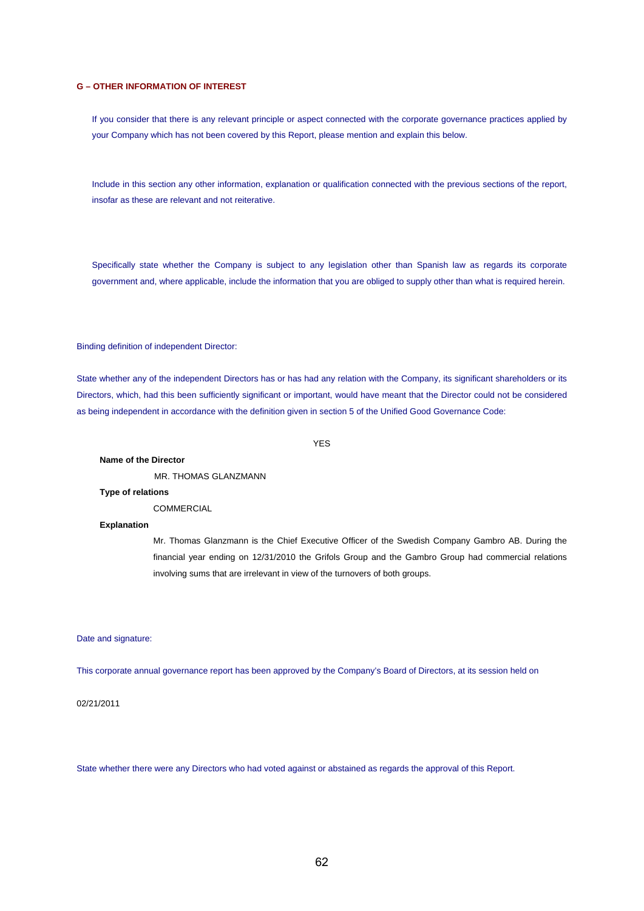## **G – OTHER INFORMATION OF INTEREST**

If you consider that there is any relevant principle or aspect connected with the corporate governance practices applied by your Company which has not been covered by this Report, please mention and explain this below.

Include in this section any other information, explanation or qualification connected with the previous sections of the report, insofar as these are relevant and not reiterative.

Specifically state whether the Company is subject to any legislation other than Spanish law as regards its corporate government and, where applicable, include the information that you are obliged to supply other than what is required herein.

Binding definition of independent Director:

State whether any of the independent Directors has or has had any relation with the Company, its significant shareholders or its Directors, which, had this been sufficiently significant or important, would have meant that the Director could not be considered as being independent in accordance with the definition given in section 5 of the Unified Good Governance Code:

YES

## **Name of the Director**

MR. THOMAS GLANZMANN

## **Type of relations**

**COMMERCIAL** 

## **Explanation**

Mr. Thomas Glanzmann is the Chief Executive Officer of the Swedish Company Gambro AB. During the financial year ending on 12/31/2010 the Grifols Group and the Gambro Group had commercial relations involving sums that are irrelevant in view of the turnovers of both groups.

Date and signature:

This corporate annual governance report has been approved by the Company's Board of Directors, at its session held on

02/21/2011

State whether there were any Directors who had voted against or abstained as regards the approval of this Report.